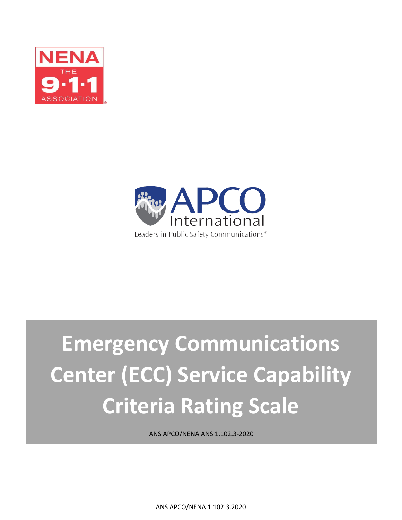



# **Emergency Communications Center (ECC) Service Capability Criteria Rating Scale**

ANS APCO/NENA ANS 1.102.3-2020

ANS APCO/NENA 1.102.3.2020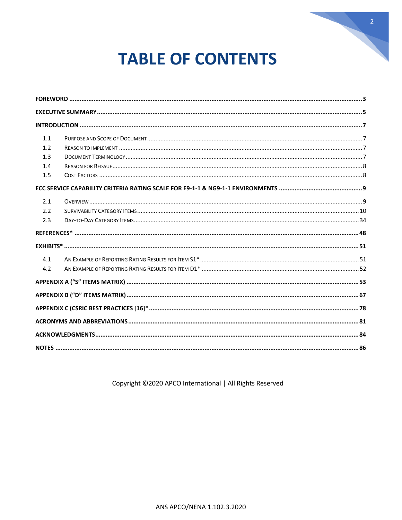

# **TABLE OF CONTENTS**

| 1.1 |  |  |  |
|-----|--|--|--|
| 1.2 |  |  |  |
| 1.3 |  |  |  |
| 1.4 |  |  |  |
| 1.5 |  |  |  |
|     |  |  |  |
| 2.1 |  |  |  |
| 2.2 |  |  |  |
| 2.3 |  |  |  |
|     |  |  |  |
|     |  |  |  |
| 4.1 |  |  |  |
| 4.2 |  |  |  |
|     |  |  |  |
|     |  |  |  |
|     |  |  |  |
|     |  |  |  |
|     |  |  |  |
|     |  |  |  |
|     |  |  |  |

<span id="page-1-0"></span>Copyright ©2020 APCO International | All Rights Reserved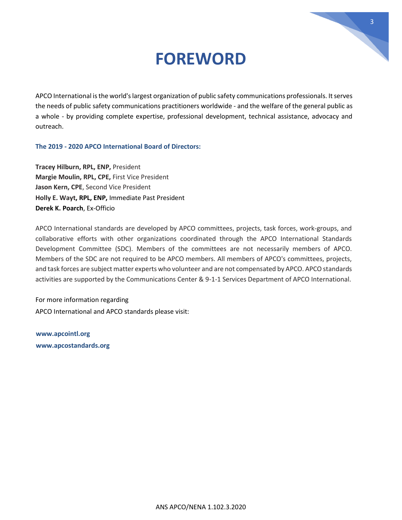# **FOREWORD**

APCO International is the world's largest organization of public safety communications professionals. It serves the needs of public safety communications practitioners worldwide - and the welfare of the general public as a whole - by providing complete expertise, professional development, technical assistance, advocacy and outreach.

#### **The 2019 - 2020 APCO International Board of Directors:**

**Tracey Hilburn, RPL, ENP,** President **Margie Moulin, RPL, CPE,** First Vice President **Jason Kern, CPE**, Second Vice President **Holly E. Wayt, RPL, ENP,** Immediate Past President **Derek K. Poarch**, Ex-Officio

APCO International standards are developed by APCO committees, projects, task forces, work-groups, and collaborative efforts with other organizations coordinated through the APCO International Standards Development Committee (SDC). Members of the committees are not necessarily members of APCO. Members of the SDC are not required to be APCO members. All members of APCO's committees, projects, and task forces are subject matter experts who volunteer and are not compensated by APCO. APCO standards activities are supported by the Communications Center & 9-1-1 Services Department of APCO International.

For more information regarding APCO International and APCO standards please visit:

**[www.apcointl.org](http://www.apcointl.org/) [www.apcostandards.org](http://www.apcostandards.org/)**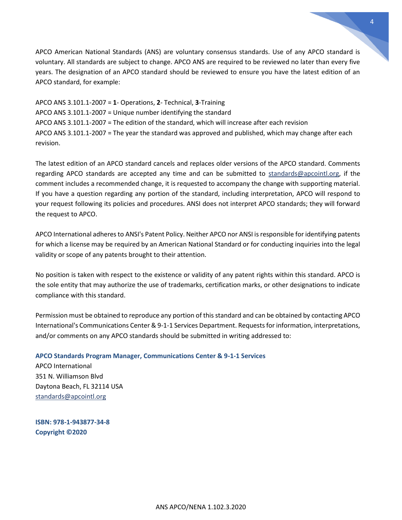APCO American National Standards (ANS) are voluntary consensus standards. Use of any APCO standard is voluntary. All standards are subject to change. APCO ANS are required to be reviewed no later than every five years. The designation of an APCO standard should be reviewed to ensure you have the latest edition of an APCO standard, for example:

APCO ANS 3.101.1-2007 = **1**- Operations, **2**- Technical, **3**-Training APCO ANS 3.101.1-2007 = Unique number identifying the standard APCO ANS 3.101.1-2007 = The edition of the standard, which will increase after each revision APCO ANS 3.101.1-2007 = The year the standard was approved and published, which may change after each revision.

The latest edition of an APCO standard cancels and replaces older versions of the APCO standard. Comments regarding APCO standards are accepted any time and can be submitted to [standards@apcointl.org,](mailto:standards@apcointl.org) if the comment includes a recommended change, it is requested to accompany the change with supporting material. If you have a question regarding any portion of the standard, including interpretation, APCO will respond to your request following its policies and procedures. ANSI does not interpret APCO standards; they will forward the request to APCO.

APCO International adheres to ANSI's Patent Policy. Neither APCO nor ANSI is responsible for identifying patents for which a license may be required by an American National Standard or for conducting inquiries into the legal validity or scope of any patents brought to their attention.

No position is taken with respect to the existence or validity of any patent rights within this standard. APCO is the sole entity that may authorize the use of trademarks, certification marks, or other designations to indicate compliance with this standard.

Permission must be obtained to reproduce any portion of this standard and can be obtained by contacting APCO International's Communications Center & 9-1-1 Services Department. Requests for information, interpretations, and/or comments on any APCO standards should be submitted in writing addressed to:

#### **APCO Standards Program Manager, Communications Center & 9-1-1 Services**

APCO International 351 N. Williamson Blvd Daytona Beach, FL 32114 USA [standards@apcointl.org](mailto:standards@apcointl.org)

**ISBN: 978-1-943877-34-8 Copyright ©2020**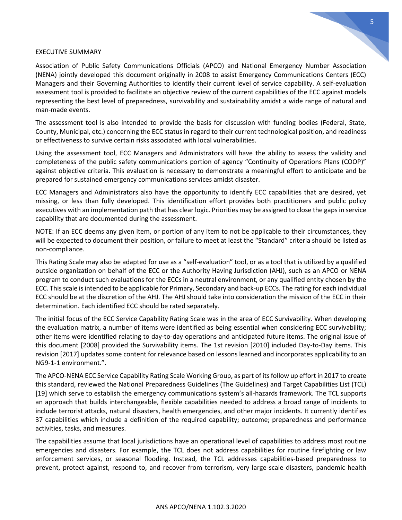#### <span id="page-4-0"></span>EXECUTIVE SUMMARY

Association of Public Safety Communications Officials (APCO) and National Emergency Number Association (NENA) jointly developed this document originally in 2008 to assist Emergency Communications Centers (ECC) Managers and their Governing Authorities to identify their current level of service capability. A self-evaluation assessment tool is provided to facilitate an objective review of the current capabilities of the ECC against models representing the best level of preparedness, survivability and sustainability amidst a wide range of natural and man-made events.

The assessment tool is also intended to provide the basis for discussion with funding bodies (Federal, State, County, Municipal, etc.) concerning the ECC status in regard to their current technological position, and readiness or effectiveness to survive certain risks associated with local vulnerabilities.

Using the assessment tool, ECC Managers and Administrators will have the ability to assess the validity and completeness of the public safety communications portion of agency "Continuity of Operations Plans (COOP)" against objective criteria. This evaluation is necessary to demonstrate a meaningful effort to anticipate and be prepared for sustained emergency communications services amidst disaster.

ECC Managers and Administrators also have the opportunity to identify ECC capabilities that are desired, yet missing, or less than fully developed. This identification effort provides both practitioners and public policy executives with an implementation path that has clear logic. Priorities may be assigned to close the gaps in service capability that are documented during the assessment.

NOTE: If an ECC deems any given item, or portion of any item to not be applicable to their circumstances, they will be expected to document their position, or failure to meet at least the "Standard" criteria should be listed as non-compliance.

This Rating Scale may also be adapted for use as a "self-evaluation" tool, or as a tool that is utilized by a qualified outside organization on behalf of the ECC or the Authority Having Jurisdiction (AHJ), such as an APCO or NENA program to conduct such evaluations for the ECCs in a neutral environment, or any qualified entity chosen by the ECC. This scale is intended to be applicable for Primary, Secondary and back-up ECCs. The rating for each individual ECC should be at the discretion of the AHJ. The AHJ should take into consideration the mission of the ECC in their determination. Each identified ECC should be rated separately.

The initial focus of the ECC Service Capability Rating Scale was in the area of ECC Survivability. When developing the evaluation matrix, a number of items were identified as being essential when considering ECC survivability; other items were identified relating to day-to-day operations and anticipated future items. The original issue of this document [2008] provided the Survivability items. The 1st revision [2010] included Day-to-Day items. This revision [2017] updates some content for relevance based on lessons learned and incorporates applicability to an NG9-1-1 environment.".

The APCO-NENA ECC Service Capability Rating Scale Working Group, as part of its follow up effort in 2017 to create this standard, reviewed the National Preparedness Guidelines (The Guidelines) and Target Capabilities List (TCL) [19] which serve to establish the emergency communications system's all-hazards framework. The TCL supports an approach that builds interchangeable, flexible capabilities needed to address a broad range of incidents to include terrorist attacks, natural disasters, health emergencies, and other major incidents. It currently identifies 37 capabilities which include a definition of the required capability; outcome; preparedness and performance activities, tasks, and measures.

The capabilities assume that local jurisdictions have an operational level of capabilities to address most routine emergencies and disasters. For example, the TCL does not address capabilities for routine firefighting or law enforcement services, or seasonal flooding. Instead, the TCL addresses capabilities-based preparedness to prevent, protect against, respond to, and recover from terrorism, very large-scale disasters, pandemic health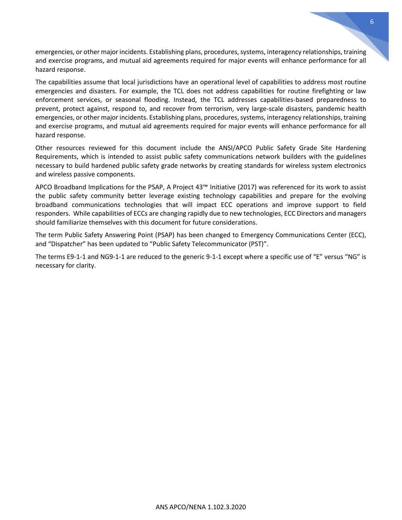emergencies, or other major incidents. Establishing plans, procedures, systems, interagency relationships, training and exercise programs, and mutual aid agreements required for major events will enhance performance for all hazard response.

The capabilities assume that local jurisdictions have an operational level of capabilities to address most routine emergencies and disasters. For example, the TCL does not address capabilities for routine firefighting or law enforcement services, or seasonal flooding. Instead, the TCL addresses capabilities-based preparedness to prevent, protect against, respond to, and recover from terrorism, very large-scale disasters, pandemic health emergencies, or other major incidents. Establishing plans, procedures, systems, interagency relationships, training and exercise programs, and mutual aid agreements required for major events will enhance performance for all hazard response.

Other resources reviewed for this document include the ANSI/APCO Public Safety Grade Site Hardening Requirements, which is intended to assist public safety communications network builders with the guidelines necessary to build hardened public safety grade networks by creating standards for wireless system electronics and wireless passive components.

APCO Broadband Implications for the PSAP, A Project 43™ Initiative (2017) was referenced for its work to assist the public safety community better leverage existing technology capabilities and prepare for the evolving broadband communications technologies that will impact ECC operations and improve support to field responders. While capabilities of ECCs are changing rapidly due to new technologies, ECC Directors and managers should familiarize themselves with this document for future considerations.

The term Public Safety Answering Point (PSAP) has been changed to Emergency Communications Center (ECC), and "Dispatcher" has been updated to "Public Safety Telecommunicator (PST)".

The terms E9-1-1 and NG9-1-1 are reduced to the generic 9-1-1 except where a specific use of "E" versus "NG" is necessary for clarity.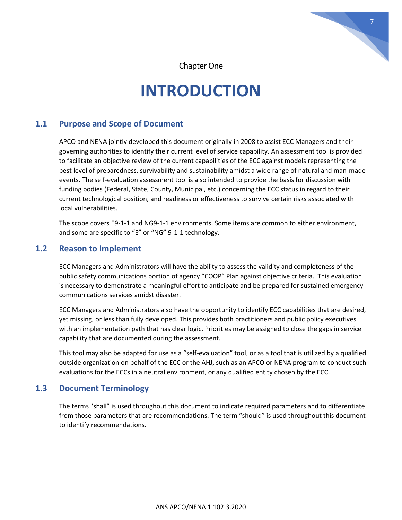1

Chapter One

# **INTRODUCTION**

# <span id="page-6-0"></span>**1.1 Purpose and Scope of Document**

APCO and NENA jointly developed this document originally in 2008 to assist ECC Managers and their governing authorities to identify their current level of service capability. An assessment tool is provided to facilitate an objective review of the current capabilities of the ECC against models representing the best level of preparedness, survivability and sustainability amidst a wide range of natural and man-made events. The self-evaluation assessment tool is also intended to provide the basis for discussion with funding bodies (Federal, State, County, Municipal, etc.) concerning the ECC status in regard to their current technological position, and readiness or effectiveness to survive certain risks associated with local vulnerabilities.

The scope covers E9-1-1 and NG9-1-1 environments. Some items are common to either environment, and some are specific to "E" or "NG" 9-1-1 technology.

# **1.2 Reason to Implement**

ECC Managers and Administrators will have the ability to assess the validity and completeness of the public safety communications portion of agency "COOP" Plan against objective criteria. This evaluation is necessary to demonstrate a meaningful effort to anticipate and be prepared for sustained emergency communications services amidst disaster.

ECC Managers and Administrators also have the opportunity to identify ECC capabilities that are desired, yet missing, or less than fully developed. This provides both practitioners and public policy executives with an implementation path that has clear logic. Priorities may be assigned to close the gaps in service capability that are documented during the assessment.

This tool may also be adapted for use as a "self-evaluation" tool, or as a tool that is utilized by a qualified outside organization on behalf of the ECC or the AHJ, such as an APCO or NENA program to conduct such evaluations for the ECCs in a neutral environment, or any qualified entity chosen by the ECC.

# **1.3 Document Terminology**

The terms "shall" is used throughout this document to indicate required parameters and to differentiate from those parameters that are recommendations. The term "should" is used throughout this document to identify recommendations.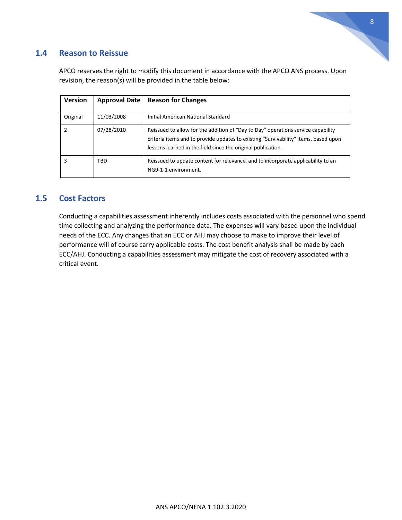

# **1.4 Reason to Reissue**

APCO reserves the right to modify this document in accordance with the APCO ANS process. Upon revision, the reason(s) will be provided in the table below:

| <b>Version</b> | <b>Approval Date</b> | <b>Reason for Changes</b>                                                                                                                                                                                                               |
|----------------|----------------------|-----------------------------------------------------------------------------------------------------------------------------------------------------------------------------------------------------------------------------------------|
| Original       | 11/03/2008           | Initial American National Standard                                                                                                                                                                                                      |
|                | 07/28/2010           | Reissued to allow for the addition of "Day to Day" operations service capability<br>criteria items and to provide updates to existing "Survivability" items, based upon<br>lessons learned in the field since the original publication. |
|                | TBD                  | Reissued to update content for relevance, and to incorporate applicability to an<br>NG9-1-1 environment.                                                                                                                                |

# **1.5 Cost Factors**

Conducting a capabilities assessment inherently includes costs associated with the personnel who spend time collecting and analyzing the performance data. The expenses will vary based upon the individual needs of the ECC. Any changes that an ECC or AHJ may choose to make to improve their level of performance will of course carry applicable costs. The cost benefit analysis shall be made by each ECC/AHJ. Conducting a capabilities assessment may mitigate the cost of recovery associated with a critical event.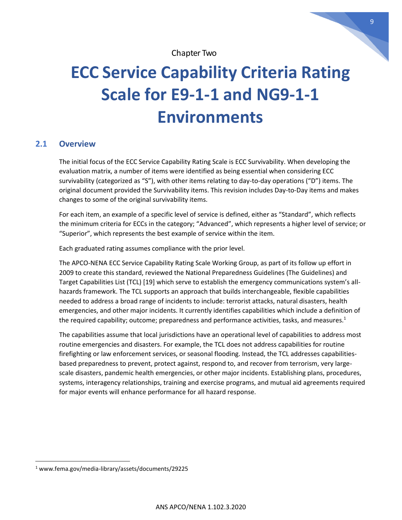Chapter Two

# **ECC Service Capability Criteria Rating Scale for E9-1-1 and NG9-1-1 Environments**

# **2.1 Overview**

The initial focus of the ECC Service Capability Rating Scale is ECC Survivability. When developing the evaluation matrix, a number of items were identified as being essential when considering ECC survivability (categorized as "S"), with other items relating to day-to-day operations ("D") items. The original document provided the Survivability items. This revision includes Day-to-Day items and makes changes to some of the original survivability items.

For each item, an example of a specific level of service is defined, either as "Standard", which reflects the minimum criteria for ECCs in the category; "Advanced", which represents a higher level of service; or "Superior", which represents the best example of service within the item.

Each graduated rating assumes compliance with the prior level.

The APCO-NENA ECC Service Capability Rating Scale Working Group, as part of its follow up effort in 2009 to create this standard, reviewed the National Preparedness Guidelines (The Guidelines) and Target Capabilities List (TCL) [19] which serve to establish the emergency communications system's allhazards framework. The TCL supports an approach that builds interchangeable, flexible capabilities needed to address a broad range of incidents to include: terrorist attacks, natural disasters, health emergencies, and other major incidents. It currently identifies capabilities which include a definition of the required capability; outcome; preparedness and performance activities, tasks, and measures.<sup>1</sup>

The capabilities assume that local jurisdictions have an operational level of capabilities to address most routine emergencies and disasters. For example, the TCL does not address capabilities for routine firefighting or law enforcement services, or seasonal flooding. Instead, the TCL addresses capabilitiesbased preparedness to prevent, protect against, respond to, and recover from terrorism, very largescale disasters, pandemic health emergencies, or other major incidents. Establishing plans, procedures, systems, interagency relationships, training and exercise programs, and mutual aid agreements required for major events will enhance performance for all hazard response.

<sup>1</sup> www.fema.gov/media-library/assets/documents/29225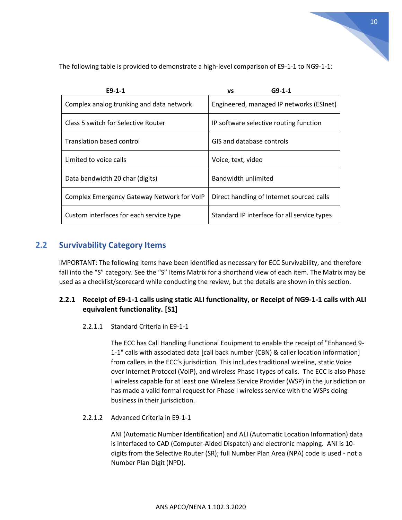The following table is provided to demonstrate a high-level comparison of E9-1-1 to NG9-1-1:

| $E9-1-1$                                   | $G9-1-1$<br>VS                              |
|--------------------------------------------|---------------------------------------------|
| Complex analog trunking and data network   | Engineered, managed IP networks (ESInet)    |
| Class 5 switch for Selective Router        | IP software selective routing function      |
| Translation based control                  | GIS and database controls                   |
| Limited to voice calls                     | Voice, text, video                          |
| Data bandwidth 20 char (digits)            | Bandwidth unlimited                         |
| Complex Emergency Gateway Network for VoIP | Direct handling of Internet sourced calls   |
| Custom interfaces for each service type    | Standard IP interface for all service types |

# **2.2 Survivability Category Items**

IMPORTANT: The following items have been identified as necessary for ECC Survivability, and therefore fall into the "S" category. See the "S" Items Matrix for a shorthand view of each item. The Matrix may be used as a checklist/scorecard while conducting the review, but the details are shown in this section.

# **2.2.1 Receipt of E9-1-1 calls using static ALI functionality, or Receipt of NG9-1-1 calls with ALI equivalent functionality. [S1]**

2.2.1.1 Standard Criteria in E9-1-1

The ECC has Call Handling Functional Equipment to enable the receipt of "Enhanced 9- 1-1" calls with associated data [call back number (CBN) & caller location information] from callers in the ECC's jurisdiction. This includes traditional wireline, static Voice over Internet Protocol (VoIP), and wireless Phase I types of calls. The ECC is also Phase I wireless capable for at least one Wireless Service Provider (WSP) in the jurisdiction or has made a valid formal request for Phase I wireless service with the WSPs doing business in their jurisdiction.

2.2.1.2 Advanced Criteria in E9-1-1

ANI (Automatic Number Identification) and ALI (Automatic Location Information) data is interfaced to CAD (Computer-Aided Dispatch) and electronic mapping. ANI is 10 digits from the Selective Router (SR); full Number Plan Area (NPA) code is used - not a Number Plan Digit (NPD).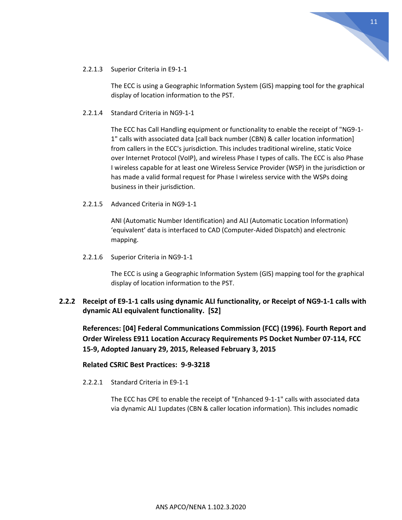

#### 2.2.1.3 Superior Criteria in E9-1-1

The ECC is using a Geographic Information System (GIS) mapping tool for the graphical display of location information to the PST.

2.2.1.4 Standard Criteria in NG9-1-1

The ECC has Call Handling equipment or functionality to enable the receipt of "NG9-1- 1" calls with associated data [call back number (CBN) & caller location information] from callers in the ECC's jurisdiction. This includes traditional wireline, static Voice over Internet Protocol (VoIP), and wireless Phase I types of calls. The ECC is also Phase I wireless capable for at least one Wireless Service Provider (WSP) in the jurisdiction or has made a valid formal request for Phase I wireless service with the WSPs doing business in their jurisdiction.

2.2.1.5 Advanced Criteria in NG9-1-1

ANI (Automatic Number Identification) and ALI (Automatic Location Information) 'equivalent' data is interfaced to CAD (Computer-Aided Dispatch) and electronic mapping.

2.2.1.6 Superior Criteria in NG9-1-1

The ECC is using a Geographic Information System (GIS) mapping tool for the graphical display of location information to the PST.

# **2.2.2 Receipt of E9-1-1 calls using dynamic ALI functionality, or Receipt of NG9-1-1 calls with dynamic ALI equivalent functionality. [S2]**

**References: [04] Federal Communications Commission (FCC) (1996). Fourth Report and Order Wireless E911 Location Accuracy Requirements PS Docket Number 07-114, FCC 15-9, Adopted January 29, 2015, Released February 3, 2015**

### **Related CSRIC Best Practices: 9-9-3218**

2.2.2.1 Standard Criteria in E9-1-1

The ECC has CPE to enable the receipt of "Enhanced 9-1-1" calls with associated data via dynamic ALI 1updates (CBN & caller location information). This includes nomadic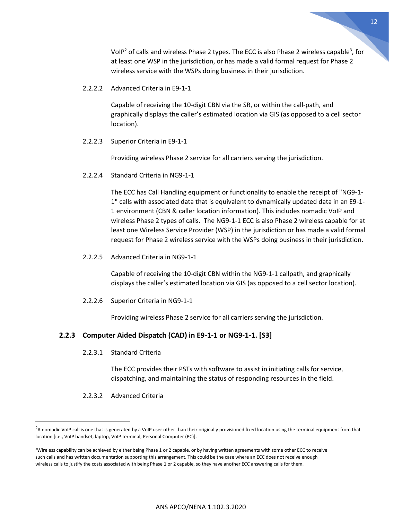VoIP<sup>2</sup> of calls and wireless Phase 2 types. The ECC is also Phase 2 wireless capable<sup>3</sup>, for at least one WSP in the jurisdiction, or has made a valid formal request for Phase 2 wireless service with the WSPs doing business in their jurisdiction.

2.2.2.2 Advanced Criteria in E9-1-1

Capable of receiving the 10-digit CBN via the SR, or within the call-path, and graphically displays the caller's estimated location via GIS (as opposed to a cell sector location).

2.2.2.3 Superior Criteria in E9-1-1

Providing wireless Phase 2 service for all carriers serving the jurisdiction.

2.2.2.4 Standard Criteria in NG9-1-1

The ECC has Call Handling equipment or functionality to enable the receipt of "NG9-1- 1" calls with associated data that is equivalent to dynamically updated data in an E9-1- 1 environment (CBN & caller location information). This includes nomadic VoIP and wireless Phase 2 types of calls. The NG9-1-1 ECC is also Phase 2 wireless capable for at least one Wireless Service Provider (WSP) in the jurisdiction or has made a valid formal request for Phase 2 wireless service with the WSPs doing business in their jurisdiction.

2.2.2.5 Advanced Criteria in NG9-1-1

Capable of receiving the 10-digit CBN within the NG9-1-1 callpath, and graphically displays the caller's estimated location via GIS (as opposed to a cell sector location).

2.2.2.6 Superior Criteria in NG9-1-1

Providing wireless Phase 2 service for all carriers serving the jurisdiction.

### **2.2.3 Computer Aided Dispatch (CAD) in E9-1-1 or NG9-1-1. [S3]**

2.2.3.1 Standard Criteria

The ECC provides their PSTs with software to assist in initiating calls for service, dispatching, and maintaining the status of responding resources in the field.

#### 2.2.3.2 Advanced Criteria

<sup>&</sup>lt;sup>2</sup>A nomadic VoIP call is one that is generated by a VoIP user other than their originally provisioned fixed location using the terminal equipment from that location [i.e., VoIP handset, laptop, VoIP terminal, Personal Computer (PC)].

<sup>&</sup>lt;sup>3</sup>Wireless capability can be achieved by either being Phase 1 or 2 capable, or by having written agreements with some other ECC to receive such calls and has written documentation supporting this arrangement. This could be the case where an ECC does not receive enough wireless calls to justify the costs associated with being Phase 1 or 2 capable, so they have another ECC answering calls for them.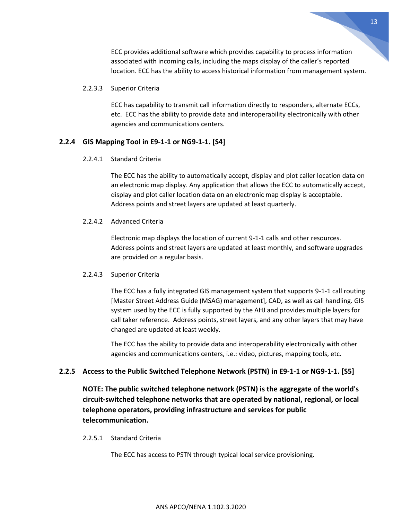ECC provides additional software which provides capability to process information associated with incoming calls, including the maps display of the caller's reported location. ECC has the ability to access historical information from management system.

#### 2.2.3.3 Superior Criteria

ECC has capability to transmit call information directly to responders, alternate ECCs, etc. ECC has the ability to provide data and interoperability electronically with other agencies and communications centers.

#### **2.2.4 GIS Mapping Tool in E9-1-1 or NG9-1-1. [S4]**

#### 2.2.4.1 Standard Criteria

The ECC has the ability to automatically accept, display and plot caller location data on an electronic map display. Any application that allows the ECC to automatically accept, display and plot caller location data on an electronic map display is acceptable. Address points and street layers are updated at least quarterly.

#### 2.2.4.2 Advanced Criteria

Electronic map displays the location of current 9-1-1 calls and other resources. Address points and street layers are updated at least monthly, and software upgrades are provided on a regular basis.

#### 2.2.4.3 Superior Criteria

The ECC has a fully integrated GIS management system that supports 9-1-1 call routing [Master Street Address Guide (MSAG) management], CAD, as well as call handling. GIS system used by the ECC is fully supported by the AHJ and provides multiple layers for call taker reference. Address points, street layers, and any other layers that may have changed are updated at least weekly.

The ECC has the ability to provide data and interoperability electronically with other agencies and communications centers, i.e.: video, pictures, mapping tools, etc.

#### **2.2.5 Access to the Public Switched Telephone Network (PSTN) in E9-1-1 or NG9-1-1. [S5]**

**NOTE: The public switched telephone network (PSTN) is the aggregate of the world's circuit-switched telephone networks that are operated by national, regional, or local telephone operators, providing infrastructure and services for public telecommunication.**

#### 2.2.5.1 Standard Criteria

The ECC has access to PSTN through typical local service provisioning.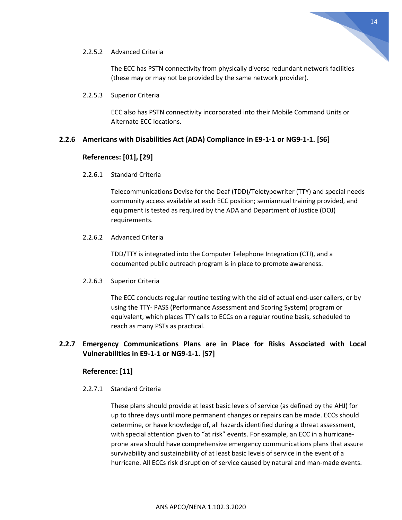

#### 2.2.5.2 Advanced Criteria

The ECC has PSTN connectivity from physically diverse redundant network facilities (these may or may not be provided by the same network provider).

2.2.5.3 Superior Criteria

ECC also has PSTN connectivity incorporated into their Mobile Command Units or Alternate ECC locations.

#### **2.2.6 Americans with Disabilities Act (ADA) Compliance in E9-1-1 or NG9-1-1. [S6]**

#### **References: [01], [29]**

2.2.6.1 Standard Criteria

Telecommunications Devise for the Deaf (TDD)/Teletypewriter (TTY) and special needs community access available at each ECC position; semiannual training provided, and equipment is tested as required by the ADA and Department of Justice (DOJ) requirements.

2.2.6.2 Advanced Criteria

TDD/TTY is integrated into the Computer Telephone Integration (CTI), and a documented public outreach program is in place to promote awareness.

2.2.6.3 Superior Criteria

The ECC conducts regular routine testing with the aid of actual end-user callers, or by using the TTY- PASS (Performance Assessment and Scoring System) program or equivalent, which places TTY calls to ECCs on a regular routine basis, scheduled to reach as many PSTs as practical.

## **2.2.7 Emergency Communications Plans are in Place for Risks Associated with Local Vulnerabilities in E9-1-1 or NG9-1-1. [S7]**

#### **Reference: [11]**

2.2.7.1 Standard Criteria

These plans should provide at least basic levels of service (as defined by the AHJ) for up to three days until more permanent changes or repairs can be made. ECCs should determine, or have knowledge of, all hazards identified during a threat assessment, with special attention given to "at risk" events. For example, an ECC in a hurricaneprone area should have comprehensive emergency communications plans that assure survivability and sustainability of at least basic levels of service in the event of a hurricane. All ECCs risk disruption of service caused by natural and man-made events.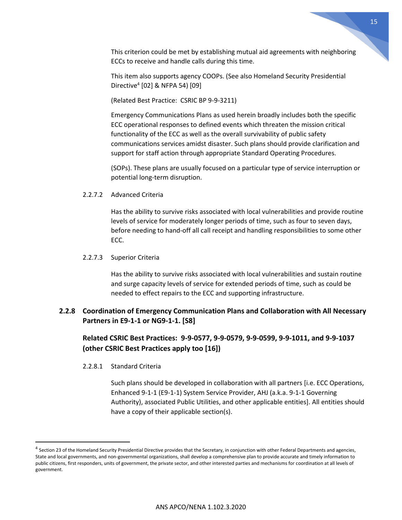This criterion could be met by establishing mutual aid agreements with neighboring ECCs to receive and handle calls during this time.

This item also supports agency COOPs. (See also Homeland Security Presidential Directive<sup>4</sup> [02] & NFPA 54) [09]

(Related Best Practice: CSRIC BP 9-9-3211)

Emergency Communications Plans as used herein broadly includes both the specific ECC operational responses to defined events which threaten the mission critical functionality of the ECC as well as the overall survivability of public safety communications services amidst disaster. Such plans should provide clarification and support for staff action through appropriate Standard Operating Procedures.

(SOPs). These plans are usually focused on a particular type of service interruption or potential long-term disruption.

2.2.7.2 Advanced Criteria

Has the ability to survive risks associated with local vulnerabilities and provide routine levels of service for moderately longer periods of time, such as four to seven days, before needing to hand-off all call receipt and handling responsibilities to some other ECC.

#### 2.2.7.3 Superior Criteria

Has the ability to survive risks associated with local vulnerabilities and sustain routine and surge capacity levels of service for extended periods of time, such as could be needed to effect repairs to the ECC and supporting infrastructure.

### **2.2.8 Coordination of Emergency Communication Plans and Collaboration with All Necessary Partners in E9-1-1 or NG9-1-1. [S8]**

# **Related CSRIC Best Practices: 9-9-0577, 9-9-0579, 9-9-0599, 9-9-1011, and 9-9-1037 (other CSRIC Best Practices apply too [16])**

#### 2.2.8.1 Standard Criteria

Such plans should be developed in collaboration with all partners [i.e. ECC Operations, Enhanced 9-1-1 (E9-1-1) System Service Provider, AHJ (a.k.a. 9-1-1 Governing Authority), associated Public Utilities, and other applicable entities]. All entities should have a copy of their applicable section(s).

<sup>&</sup>lt;sup>4</sup> Section 23 of the Homeland Security Presidential Directive provides that the Secretary, in conjunction with other Federal Departments and agencies, State and local governments, and non-governmental organizations, shall develop a comprehensive plan to provide accurate and timely information to public citizens, first responders, units of government, the private sector, and other interested parties and mechanisms for coordination at all levels of government.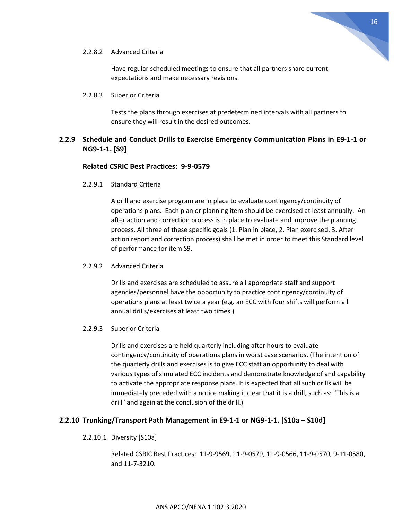

#### 2.2.8.2 Advanced Criteria

Have regular scheduled meetings to ensure that all partners share current expectations and make necessary revisions.

2.2.8.3 Superior Criteria

Tests the plans through exercises at predetermined intervals with all partners to ensure they will result in the desired outcomes.

# **2.2.9 Schedule and Conduct Drills to Exercise Emergency Communication Plans in E9-1-1 or NG9-1-1. [S9]**

#### **Related CSRIC Best Practices: 9-9-0579**

2.2.9.1 Standard Criteria

A drill and exercise program are in place to evaluate contingency/continuity of operations plans. Each plan or planning item should be exercised at least annually. An after action and correction process is in place to evaluate and improve the planning process. All three of these specific goals (1. Plan in place, 2. Plan exercised, 3. After action report and correction process) shall be met in order to meet this Standard level of performance for item S9.

#### 2.2.9.2 Advanced Criteria

Drills and exercises are scheduled to assure all appropriate staff and support agencies/personnel have the opportunity to practice contingency/continuity of operations plans at least twice a year (e.g. an ECC with four shifts will perform all annual drills/exercises at least two times.)

#### 2.2.9.3 Superior Criteria

Drills and exercises are held quarterly including after hours to evaluate contingency/continuity of operations plans in worst case scenarios. (The intention of the quarterly drills and exercises is to give ECC staff an opportunity to deal with various types of simulated ECC incidents and demonstrate knowledge of and capability to activate the appropriate response plans. It is expected that all such drills will be immediately preceded with a notice making it clear that it is a drill, such as: "This is a drill" and again at the conclusion of the drill.)

#### **2.2.10 Trunking/Transport Path Management in E9-1-1 or NG9-1-1. [S10a – S10d]**

#### 2.2.10.1 Diversity [S10a]

Related CSRIC Best Practices: 11-9-9569, 11-9-0579, 11-9-0566, 11-9-0570, 9-11-0580, and 11-7-3210.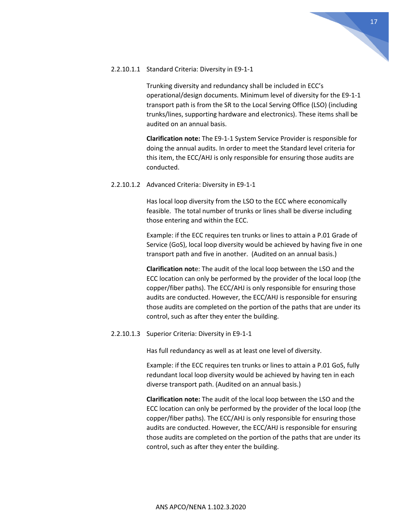2.2.10.1.1 Standard Criteria: Diversity in E9-1-1

Trunking diversity and redundancy shall be included in ECC's operational/design documents. Minimum level of diversity for the E9-1-1 transport path is from the SR to the Local Serving Office (LSO) (including trunks/lines, supporting hardware and electronics). These items shall be audited on an annual basis.

**Clarification note:** The E9-1-1 System Service Provider is responsible for doing the annual audits. In order to meet the Standard level criteria for this item, the ECC/AHJ is only responsible for ensuring those audits are conducted.

2.2.10.1.2 Advanced Criteria: Diversity in E9-1-1

Has local loop diversity from the LSO to the ECC where economically feasible. The total number of trunks or lines shall be diverse including those entering and within the ECC.

Example: if the ECC requires ten trunks or lines to attain a P.01 Grade of Service (GoS), local loop diversity would be achieved by having five in one transport path and five in another. (Audited on an annual basis.)

**Clarification not**e: The audit of the local loop between the LSO and the ECC location can only be performed by the provider of the local loop (the copper/fiber paths). The ECC/AHJ is only responsible for ensuring those audits are conducted. However, the ECC/AHJ is responsible for ensuring those audits are completed on the portion of the paths that are under its control, such as after they enter the building.

2.2.10.1.3 Superior Criteria: Diversity in E9-1-1

Has full redundancy as well as at least one level of diversity.

Example: if the ECC requires ten trunks or lines to attain a P.01 GoS, fully redundant local loop diversity would be achieved by having ten in each diverse transport path. (Audited on an annual basis.)

**Clarification note:** The audit of the local loop between the LSO and the ECC location can only be performed by the provider of the local loop (the copper/fiber paths). The ECC/AHJ is only responsible for ensuring those audits are conducted. However, the ECC/AHJ is responsible for ensuring those audits are completed on the portion of the paths that are under its control, such as after they enter the building.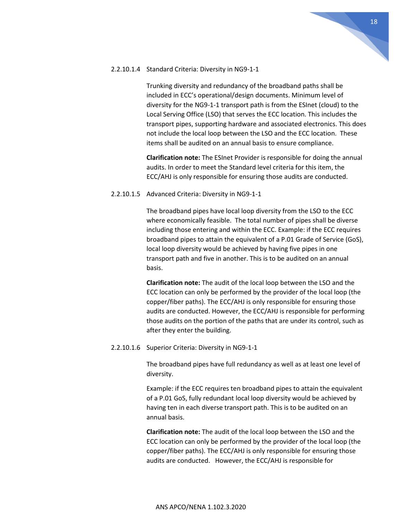2.2.10.1.4 Standard Criteria: Diversity in NG9-1-1

Trunking diversity and redundancy of the broadband paths shall be included in ECC's operational/design documents. Minimum level of diversity for the NG9-1-1 transport path is from the ESInet (cloud) to the Local Serving Office (LSO) that serves the ECC location. This includes the transport pipes, supporting hardware and associated electronics. This does not include the local loop between the LSO and the ECC location. These items shall be audited on an annual basis to ensure compliance.

**Clarification note:** The ESInet Provider is responsible for doing the annual audits. In order to meet the Standard level criteria for this item, the ECC/AHJ is only responsible for ensuring those audits are conducted.

#### 2.2.10.1.5 Advanced Criteria: Diversity in NG9-1-1

The broadband pipes have local loop diversity from the LSO to the ECC where economically feasible. The total number of pipes shall be diverse including those entering and within the ECC. Example: if the ECC requires broadband pipes to attain the equivalent of a P.01 Grade of Service (GoS), local loop diversity would be achieved by having five pipes in one transport path and five in another. This is to be audited on an annual basis.

**Clarification note:** The audit of the local loop between the LSO and the ECC location can only be performed by the provider of the local loop (the copper/fiber paths). The ECC/AHJ is only responsible for ensuring those audits are conducted. However, the ECC/AHJ is responsible for performing those audits on the portion of the paths that are under its control, such as after they enter the building.

#### 2.2.10.1.6 Superior Criteria: Diversity in NG9-1-1

The broadband pipes have full redundancy as well as at least one level of diversity.

Example: if the ECC requires ten broadband pipes to attain the equivalent of a P.01 GoS, fully redundant local loop diversity would be achieved by having ten in each diverse transport path. This is to be audited on an annual basis.

**Clarification note:** The audit of the local loop between the LSO and the ECC location can only be performed by the provider of the local loop (the copper/fiber paths). The ECC/AHJ is only responsible for ensuring those audits are conducted. However, the ECC/AHJ is responsible for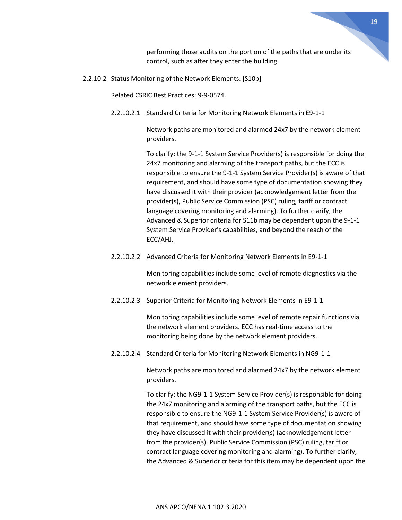performing those audits on the portion of the paths that are under its control, such as after they enter the building.

2.2.10.2 Status Monitoring of the Network Elements. [S10b]

Related CSRIC Best Practices: 9-9-0574.

2.2.10.2.1 Standard Criteria for Monitoring Network Elements in E9-1-1

Network paths are monitored and alarmed 24x7 by the network element providers.

To clarify: the 9-1-1 System Service Provider(s) is responsible for doing the 24x7 monitoring and alarming of the transport paths, but the ECC is responsible to ensure the 9-1-1 System Service Provider(s) is aware of that requirement, and should have some type of documentation showing they have discussed it with their provider (acknowledgement letter from the provider(s), Public Service Commission (PSC) ruling, tariff or contract language covering monitoring and alarming). To further clarify, the Advanced & Superior criteria for S11b may be dependent upon the 9-1-1 System Service Provider's capabilities, and beyond the reach of the ECC/AHJ.

2.2.10.2.2 Advanced Criteria for Monitoring Network Elements in E9-1-1

Monitoring capabilities include some level of remote diagnostics via the network element providers.

2.2.10.2.3 Superior Criteria for Monitoring Network Elements in E9-1-1

Monitoring capabilities include some level of remote repair functions via the network element providers. ECC has real-time access to the monitoring being done by the network element providers.

2.2.10.2.4 Standard Criteria for Monitoring Network Elements in NG9-1-1

Network paths are monitored and alarmed 24x7 by the network element providers.

To clarify: the NG9-1-1 System Service Provider(s) is responsible for doing the 24x7 monitoring and alarming of the transport paths, but the ECC is responsible to ensure the NG9-1-1 System Service Provider(s) is aware of that requirement, and should have some type of documentation showing they have discussed it with their provider(s) (acknowledgement letter from the provider(s), Public Service Commission (PSC) ruling, tariff or contract language covering monitoring and alarming). To further clarify, the Advanced & Superior criteria for this item may be dependent upon the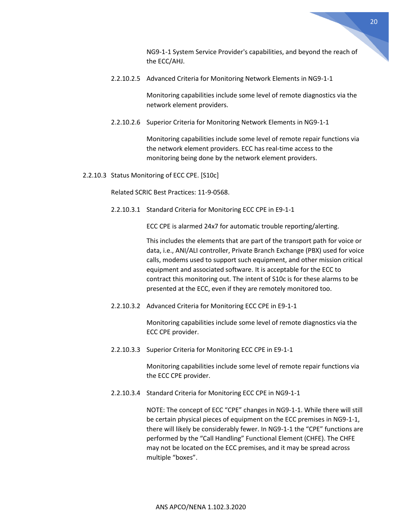NG9-1-1 System Service Provider's capabilities, and beyond the reach of the ECC/AHJ.

2.2.10.2.5 Advanced Criteria for Monitoring Network Elements in NG9-1-1

Monitoring capabilities include some level of remote diagnostics via the network element providers.

2.2.10.2.6 Superior Criteria for Monitoring Network Elements in NG9-1-1

Monitoring capabilities include some level of remote repair functions via the network element providers. ECC has real-time access to the monitoring being done by the network element providers.

2.2.10.3 Status Monitoring of ECC CPE. [S10c]

Related SCRIC Best Practices: 11-9-0568.

2.2.10.3.1 Standard Criteria for Monitoring ECC CPE in E9-1-1

ECC CPE is alarmed 24x7 for automatic trouble reporting/alerting.

This includes the elements that are part of the transport path for voice or data, i.e., ANI/ALI controller, Private Branch Exchange (PBX) used for voice calls, modems used to support such equipment, and other mission critical equipment and associated software. It is acceptable for the ECC to contract this monitoring out. The intent of S10c is for these alarms to be presented at the ECC, even if they are remotely monitored too.

2.2.10.3.2 Advanced Criteria for Monitoring ECC CPE in E9-1-1

Monitoring capabilities include some level of remote diagnostics via the ECC CPE provider.

2.2.10.3.3 Superior Criteria for Monitoring ECC CPE in E9-1-1

Monitoring capabilities include some level of remote repair functions via the ECC CPE provider.

2.2.10.3.4 Standard Criteria for Monitoring ECC CPE in NG9-1-1

NOTE: The concept of ECC "CPE" changes in NG9-1-1. While there will still be certain physical pieces of equipment on the ECC premises in NG9-1-1, there will likely be considerably fewer. In NG9-1-1 the "CPE" functions are performed by the "Call Handling" Functional Element (CHFE). The CHFE may not be located on the ECC premises, and it may be spread across multiple "boxes".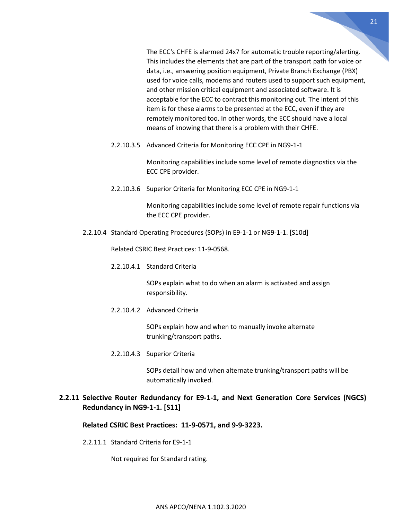The ECC's CHFE is alarmed 24x7 for automatic trouble reporting/alerting. This includes the elements that are part of the transport path for voice or data, i.e., answering position equipment, Private Branch Exchange (PBX) used for voice calls, modems and routers used to support such equipment, and other mission critical equipment and associated software. It is acceptable for the ECC to contract this monitoring out. The intent of this item is for these alarms to be presented at the ECC, even if they are remotely monitored too. In other words, the ECC should have a local means of knowing that there is a problem with their CHFE.

2.2.10.3.5 Advanced Criteria for Monitoring ECC CPE in NG9-1-1

Monitoring capabilities include some level of remote diagnostics via the ECC CPE provider.

2.2.10.3.6 Superior Criteria for Monitoring ECC CPE in NG9-1-1

Monitoring capabilities include some level of remote repair functions via the ECC CPE provider.

2.2.10.4 Standard Operating Procedures (SOPs) in E9-1-1 or NG9-1-1. [S10d]

Related CSRIC Best Practices: 11-9-0568.

2.2.10.4.1 Standard Criteria

SOPs explain what to do when an alarm is activated and assign responsibility.

2.2.10.4.2 Advanced Criteria

SOPs explain how and when to manually invoke alternate trunking/transport paths.

2.2.10.4.3 Superior Criteria

SOPs detail how and when alternate trunking/transport paths will be automatically invoked.

# **2.2.11 Selective Router Redundancy for E9-1-1, and Next Generation Core Services (NGCS) Redundancy in NG9-1-1. [S11]**

#### **Related CSRIC Best Practices: 11-9-0571, and 9-9-3223.**

2.2.11.1 Standard Criteria for E9-1-1

Not required for Standard rating.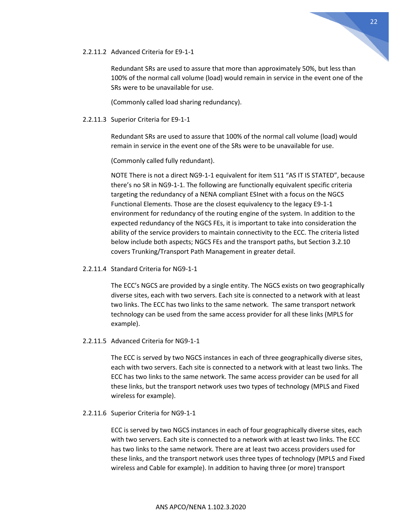

#### 2.2.11.2 Advanced Criteria for E9-1-1

Redundant SRs are used to assure that more than approximately 50%, but less than 100% of the normal call volume (load) would remain in service in the event one of the SRs were to be unavailable for use.

(Commonly called load sharing redundancy).

#### 2.2.11.3 Superior Criteria for E9-1-1

Redundant SRs are used to assure that 100% of the normal call volume (load) would remain in service in the event one of the SRs were to be unavailable for use.

(Commonly called fully redundant).

NOTE There is not a direct NG9-1-1 equivalent for item S11 "AS IT IS STATED", because there's no SR in NG9-1-1. The following are functionally equivalent specific criteria targeting the redundancy of a NENA compliant ESInet with a focus on the NGCS Functional Elements. Those are the closest equivalency to the legacy E9-1-1 environment for redundancy of the routing engine of the system. In addition to the expected redundancy of the NGCS FEs, it is important to take into consideration the ability of the service providers to maintain connectivity to the ECC. The criteria listed below include both aspects; NGCS FEs and the transport paths, but Section 3.2.10 covers Trunking/Transport Path Management in greater detail.

2.2.11.4 Standard Criteria for NG9-1-1

The ECC's NGCS are provided by a single entity. The NGCS exists on two geographically diverse sites, each with two servers. Each site is connected to a network with at least two links. The ECC has two links to the same network. The same transport network technology can be used from the same access provider for all these links (MPLS for example).

#### 2.2.11.5 Advanced Criteria for NG9-1-1

The ECC is served by two NGCS instances in each of three geographically diverse sites, each with two servers. Each site is connected to a network with at least two links. The ECC has two links to the same network. The same access provider can be used for all these links, but the transport network uses two types of technology (MPLS and Fixed wireless for example).

#### 2.2.11.6 Superior Criteria for NG9-1-1

ECC is served by two NGCS instances in each of four geographically diverse sites, each with two servers. Each site is connected to a network with at least two links. The ECC has two links to the same network. There are at least two access providers used for these links, and the transport network uses three types of technology (MPLS and Fixed wireless and Cable for example). In addition to having three (or more) transport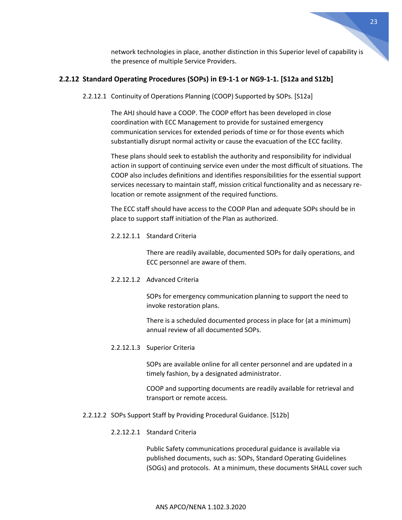network technologies in place, another distinction in this Superior level of capability is the presence of multiple Service Providers.

#### **2.2.12 Standard Operating Procedures (SOPs) in E9-1-1 or NG9-1-1. [S12a and S12b]**

2.2.12.1 Continuity of Operations Planning (COOP) Supported by SOPs. [S12a]

The AHJ should have a COOP. The COOP effort has been developed in close coordination with ECC Management to provide for sustained emergency communication services for extended periods of time or for those events which substantially disrupt normal activity or cause the evacuation of the ECC facility.

These plans should seek to establish the authority and responsibility for individual action in support of continuing service even under the most difficult of situations. The COOP also includes definitions and identifies responsibilities for the essential support services necessary to maintain staff, mission critical functionality and as necessary relocation or remote assignment of the required functions.

The ECC staff should have access to the COOP Plan and adequate SOPs should be in place to support staff initiation of the Plan as authorized.

#### 2.2.12.1.1 Standard Criteria

There are readily available, documented SOPs for daily operations, and ECC personnel are aware of them.

2.2.12.1.2 Advanced Criteria

SOPs for emergency communication planning to support the need to invoke restoration plans.

There is a scheduled documented process in place for (at a minimum) annual review of all documented SOPs.

2.2.12.1.3 Superior Criteria

SOPs are available online for all center personnel and are updated in a timely fashion, by a designated administrator.

COOP and supporting documents are readily available for retrieval and transport or remote access.

- 2.2.12.2 SOPs Support Staff by Providing Procedural Guidance. [S12b]
	- 2.2.12.2.1 Standard Criteria

Public Safety communications procedural guidance is available via published documents, such as: SOPs, Standard Operating Guidelines (SOGs) and protocols. At a minimum, these documents SHALL cover such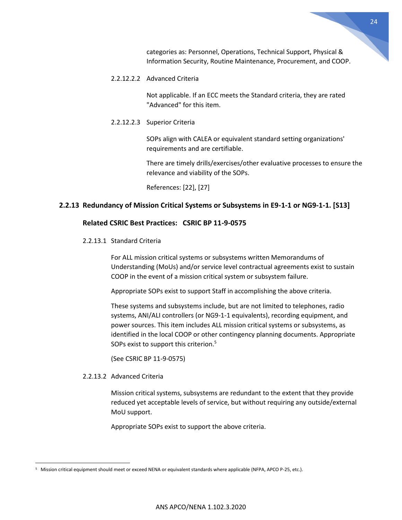categories as: Personnel, Operations, Technical Support, Physical & Information Security, Routine Maintenance, Procurement, and COOP.

2.2.12.2.2 Advanced Criteria

Not applicable. If an ECC meets the Standard criteria, they are rated "Advanced" for this item.

2.2.12.2.3 Superior Criteria

SOPs align with CALEA or equivalent standard setting organizations' requirements and are certifiable.

There are timely drills/exercises/other evaluative processes to ensure the relevance and viability of the SOPs.

References: [22], [27]

#### **2.2.13 Redundancy of Mission Critical Systems or Subsystems in E9-1-1 or NG9-1-1. [S13]**

#### **Related CSRIC Best Practices: CSRIC BP 11-9-0575**

2.2.13.1 Standard Criteria

For ALL mission critical systems or subsystems written Memorandums of Understanding (MoUs) and/or service level contractual agreements exist to sustain COOP in the event of a mission critical system or subsystem failure.

Appropriate SOPs exist to support Staff in accomplishing the above criteria.

These systems and subsystems include, but are not limited to telephones, radio systems, ANI/ALI controllers (or NG9-1-1 equivalents), recording equipment, and power sources. This item includes ALL mission critical systems or subsystems, as identified in the local COOP or other contingency planning documents. Appropriate SOPs exist to support this criterion.<sup>5</sup>

(See CSRIC BP 11-9-0575)

#### 2.2.13.2 Advanced Criteria

Mission critical systems, subsystems are redundant to the extent that they provide reduced yet acceptable levels of service, but without requiring any outside/external MoU support.

Appropriate SOPs exist to support the above criteria.

<sup>5</sup> Mission critical equipment should meet or exceed NENA or equivalent standards where applicable (NFPA, APCO P-25, etc.).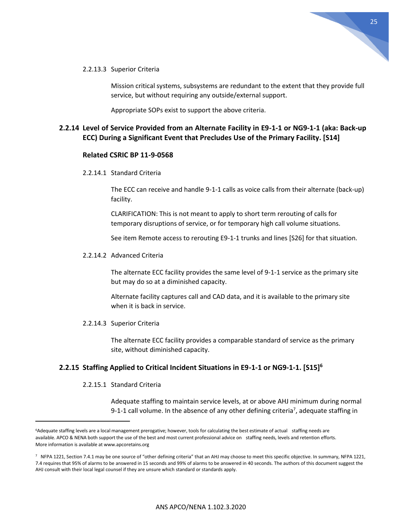

#### 2.2.13.3 Superior Criteria

Mission critical systems, subsystems are redundant to the extent that they provide full service, but without requiring any outside/external support.

Appropriate SOPs exist to support the above criteria.

# **2.2.14 Level of Service Provided from an Alternate Facility in E9-1-1 or NG9-1-1 (aka: Back-up ECC) During a Significant Event that Precludes Use of the Primary Facility. [S14]**

#### **Related CSRIC BP 11-9-0568**

2.2.14.1 Standard Criteria

The ECC can receive and handle 9-1-1 calls as voice calls from their alternate (back-up) facility.

CLARIFICATION: This is not meant to apply to short term rerouting of calls for temporary disruptions of service, or for temporary high call volume situations.

See item Remote access to rerouting E9-1-1 trunks and lines [S26] for that situation.

#### 2.2.14.2 Advanced Criteria

The alternate ECC facility provides the same level of 9-1-1 service as the primary site but may do so at a diminished capacity.

Alternate facility captures call and CAD data, and it is available to the primary site when it is back in service.

#### 2.2.14.3 Superior Criteria

The alternate ECC facility provides a comparable standard of service as the primary site, without diminished capacity.

#### **2.2.15 Staffing Applied to Critical Incident Situations in E9-1-1 or NG9-1-1. [S15]<sup>6</sup>**

#### 2.2.15.1 Standard Criteria

Adequate staffing to maintain service levels, at or above AHJ minimum during normal 9-1-1 call volume. In the absence of any other defining criteria<sup>7</sup>, adequate staffing in

<sup>6</sup>Adequate staffing levels are a local management prerogative; however, tools for calculating the best estimate of actual staffing needs are available. APCO & NENA both support the use of the best and most current professional advice on staffing needs, levels and retention efforts. More information is available a[t www.apcoretains.org](http://www.apcoretains.org/)

<sup>7</sup> NFPA 1221, Section 7.4.1 may be one source of "other defining criteria" that an AHJ may choose to meet this specific objective. In summary, NFPA 1221, 7.4 requires that 95% of alarms to be answered in 15 seconds and 99% of alarms to be answered in 40 seconds. The authors of this document suggest the AHJ consult with their local legal counsel if they are unsure which standard or standards apply.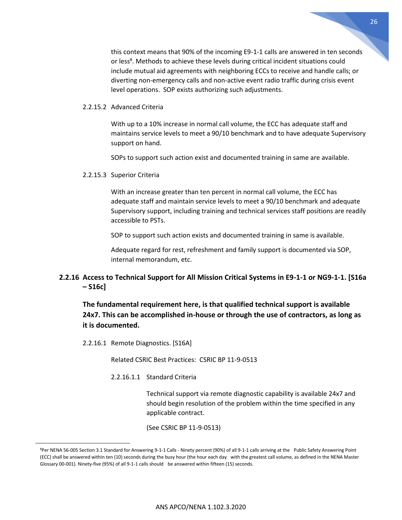this context means that 90% of the incoming E9-1-1 calls are answered in ten seconds or less<sup>8</sup>. Methods to achieve these levels during critical incident situations could include mutual aid agreements with neighboring ECCs to receive and handle calls; or diverting non-emergency calls and non-active event radio traffic during crisis event level operations. SOP exists authorizing such adjustments.

2.2.15.2 Advanced Criteria

With up to a 10% increase in normal call volume, the ECC has adequate staff and maintains service levels to meet a 90/10 benchmark and to have adequate Supervisory support on hand.

SOPs to support such action exist and documented training in same are available.

2.2.15.3 Superior Criteria

With an increase greater than ten percent in normal call volume, the ECC has adequate staff and maintain service levels to meet a 90/10 benchmark and adequate Supervisory support, including training and technical services staff positions are readily accessible to PSTs.

SOP to support such action exists and documented training in same is available.

Adequate regard for rest, refreshment and family support is documented via SOP, internal memorandum, etc.

# **2.2.16 Access to Technical Support for All Mission Critical Systems in E9-1-1 or NG9-1-1. [S16a – S16c]**

# **The fundamental requirement here, is that qualified technical support is available 24x7. This can be accomplished in-house or through the use of contractors, as long as it is documented.**

2.2.16.1 Remote Diagnostics. [S16A]

Related CSRIC Best Practices: CSRIC BP 11-9-0513

2.2.16.1.1 Standard Criteria

Technical support via remote diagnostic capability is available 24x7 and should begin resolution of the problem within the time specified in any applicable contract.

(See CSRIC BP 11-9-0513)

<sup>&</sup>lt;sup>8</sup>Per NENA 56-005 Section 3.1 Standard for Answering 9-1-1 Calls - Ninety percent (90%) of all 9-1-1 calls arriving at the Public Safety Answering Point (ECC) shall be answered within ten (10) seconds during the busy hour (the hour each day with the greatest call volume, as defined in the NENA Master Glossary 00-001). Ninety-five (95%) of all 9-1-1 calls should be answered within fifteen (15) seconds.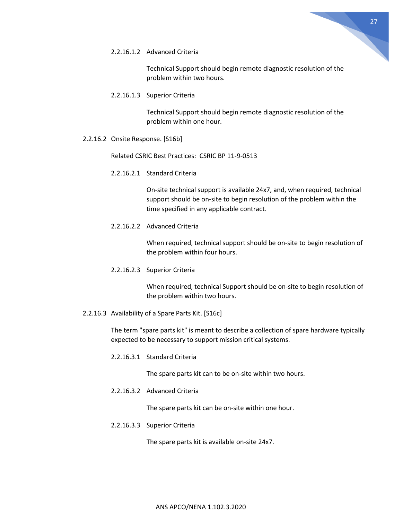

2.2.16.1.2 Advanced Criteria

Technical Support should begin remote diagnostic resolution of the problem within two hours.

2.2.16.1.3 Superior Criteria

Technical Support should begin remote diagnostic resolution of the problem within one hour.

2.2.16.2 Onsite Response. [S16b]

Related CSRIC Best Practices: CSRIC BP 11-9-0513

2.2.16.2.1 Standard Criteria

On-site technical support is available 24x7, and, when required, technical support should be on-site to begin resolution of the problem within the time specified in any applicable contract.

2.2.16.2.2 Advanced Criteria

When required, technical support should be on-site to begin resolution of the problem within four hours.

2.2.16.2.3 Superior Criteria

When required, technical Support should be on-site to begin resolution of the problem within two hours.

2.2.16.3 Availability of a Spare Parts Kit. [S16c]

The term "spare parts kit" is meant to describe a collection of spare hardware typically expected to be necessary to support mission critical systems.

2.2.16.3.1 Standard Criteria

The spare parts kit can to be on-site within two hours.

2.2.16.3.2 Advanced Criteria

The spare parts kit can be on-site within one hour.

2.2.16.3.3 Superior Criteria

The spare parts kit is available on-site 24x7.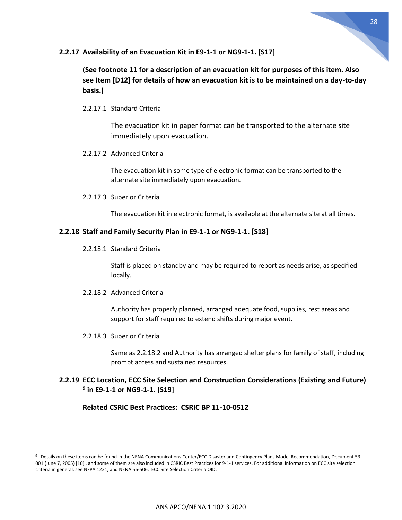#### **2.2.17 Availability of an Evacuation Kit in E9-1-1 or NG9-1-1. [S17]**

**(See footnote 11 for a description of an evacuation kit for purposes of this item. Also see Item [D12] for details of how an evacuation kit is to be maintained on a day-to-day basis.)**

2.2.17.1 Standard Criteria

The evacuation kit in paper format can be transported to the alternate site immediately upon evacuation.

2.2.17.2 Advanced Criteria

The evacuation kit in some type of electronic format can be transported to the alternate site immediately upon evacuation.

2.2.17.3 Superior Criteria

The evacuation kit in electronic format, is available at the alternate site at all times.

#### **2.2.18 Staff and Family Security Plan in E9-1-1 or NG9-1-1. [S18]**

2.2.18.1 Standard Criteria

Staff is placed on standby and may be required to report as needs arise, as specified locally.

2.2.18.2 Advanced Criteria

Authority has properly planned, arranged adequate food, supplies, rest areas and support for staff required to extend shifts during major event.

2.2.18.3 Superior Criteria

Same as 2.2.18.2 and Authority has arranged shelter plans for family of staff, including prompt access and sustained resources.

# **2.2.19 ECC Location, ECC Site Selection and Construction Considerations (Existing and Future) 9 in E9-1-1 or NG9-1-1. [S19]**

#### **Related CSRIC Best Practices: CSRIC BP 11-10-0512**

<sup>9</sup> Details on these items can be found in the NENA Communications Center/ECC Disaster and Contingency Plans Model Recommendation, Document 53- 001 (June 7, 2005) [10] , and some of them are also included in CSRIC Best Practices for 9-1-1 services. For additional information on ECC site selection criteria in general, see NFPA 1221, and NENA 56-506: ECC Site Selection Criteria OID.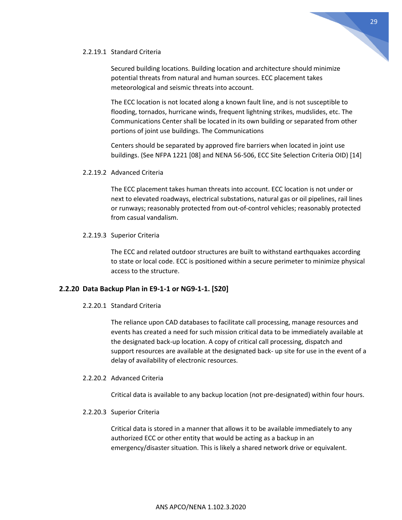

#### 2.2.19.1 Standard Criteria

Secured building locations. Building location and architecture should minimize potential threats from natural and human sources. ECC placement takes meteorological and seismic threats into account.

The ECC location is not located along a known fault line, and is not susceptible to flooding, tornados, hurricane winds, frequent lightning strikes, mudslides, etc. The Communications Center shall be located in its own building or separated from other portions of joint use buildings. The Communications

Centers should be separated by approved fire barriers when located in joint use buildings. (See NFPA 1221 [08] and NENA 56-506, ECC Site Selection Criteria OID) [14]

2.2.19.2 Advanced Criteria

The ECC placement takes human threats into account. ECC location is not under or next to elevated roadways, electrical substations, natural gas or oil pipelines, rail lines or runways; reasonably protected from out-of-control vehicles; reasonably protected from casual vandalism.

2.2.19.3 Superior Criteria

The ECC and related outdoor structures are built to withstand earthquakes according to state or local code. ECC is positioned within a secure perimeter to minimize physical access to the structure.

#### **2.2.20 Data Backup Plan in E9-1-1 or NG9-1-1. [S20]**

#### 2.2.20.1 Standard Criteria

The reliance upon CAD databases to facilitate call processing, manage resources and events has created a need for such mission critical data to be immediately available at the designated back-up location. A copy of critical call processing, dispatch and support resources are available at the designated back- up site for use in the event of a delay of availability of electronic resources.

#### 2.2.20.2 Advanced Criteria

Critical data is available to any backup location (not pre-designated) within four hours.

2.2.20.3 Superior Criteria

Critical data is stored in a manner that allows it to be available immediately to any authorized ECC or other entity that would be acting as a backup in an emergency/disaster situation. This is likely a shared network drive or equivalent.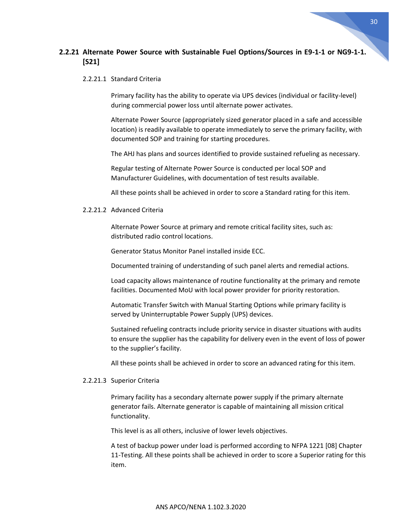# **2.2.21 Alternate Power Source with Sustainable Fuel Options/Sources in E9-1-1 or NG9-1-1. [S21]**

#### 2.2.21.1 Standard Criteria

Primary facility has the ability to operate via UPS devices (individual or facility-level) during commercial power loss until alternate power activates.

Alternate Power Source (appropriately sized generator placed in a safe and accessible location) is readily available to operate immediately to serve the primary facility, with documented SOP and training for starting procedures.

The AHJ has plans and sources identified to provide sustained refueling as necessary.

Regular testing of Alternate Power Source is conducted per local SOP and Manufacturer Guidelines, with documentation of test results available.

All these points shall be achieved in order to score a Standard rating for this item.

#### 2.2.21.2 Advanced Criteria

Alternate Power Source at primary and remote critical facility sites, such as: distributed radio control locations.

Generator Status Monitor Panel installed inside ECC.

Documented training of understanding of such panel alerts and remedial actions.

Load capacity allows maintenance of routine functionality at the primary and remote facilities. Documented MoU with local power provider for priority restoration.

Automatic Transfer Switch with Manual Starting Options while primary facility is served by Uninterruptable Power Supply (UPS) devices.

Sustained refueling contracts include priority service in disaster situations with audits to ensure the supplier has the capability for delivery even in the event of loss of power to the supplier's facility.

All these points shall be achieved in order to score an advanced rating for this item.

#### 2.2.21.3 Superior Criteria

Primary facility has a secondary alternate power supply if the primary alternate generator fails. Alternate generator is capable of maintaining all mission critical functionality.

This level is as all others, inclusive of lower levels objectives.

A test of backup power under load is performed according to NFPA 1221 [08] Chapter 11-Testing. All these points shall be achieved in order to score a Superior rating for this item.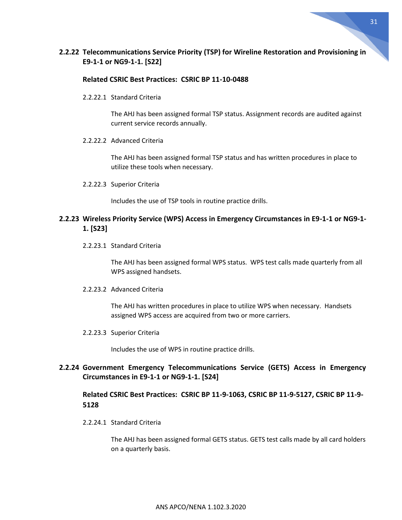# **2.2.22 Telecommunications Service Priority (TSP) for Wireline Restoration and Provisioning in E9-1-1 or NG9-1-1. [S22]**

#### **Related CSRIC Best Practices: CSRIC BP 11-10-0488**

2.2.22.1 Standard Criteria

The AHJ has been assigned formal TSP status. Assignment records are audited against current service records annually.

2.2.22.2 Advanced Criteria

The AHJ has been assigned formal TSP status and has written procedures in place to utilize these tools when necessary.

2.2.22.3 Superior Criteria

Includes the use of TSP tools in routine practice drills.

## **2.2.23 Wireless Priority Service (WPS) Access in Emergency Circumstances in E9-1-1 or NG9-1- 1. [S23]**

2.2.23.1 Standard Criteria

The AHJ has been assigned formal WPS status. WPS test calls made quarterly from all WPS assigned handsets.

2.2.23.2 Advanced Criteria

The AHJ has written procedures in place to utilize WPS when necessary. Handsets assigned WPS access are acquired from two or more carriers.

2.2.23.3 Superior Criteria

Includes the use of WPS in routine practice drills.

**2.2.24 Government Emergency Telecommunications Service (GETS) Access in Emergency Circumstances in E9-1-1 or NG9-1-1. [S24]**

# **Related CSRIC Best Practices: CSRIC BP 11-9-1063, CSRIC BP 11-9-5127, CSRIC BP 11-9- 5128**

2.2.24.1 Standard Criteria

The AHJ has been assigned formal GETS status. GETS test calls made by all card holders on a quarterly basis.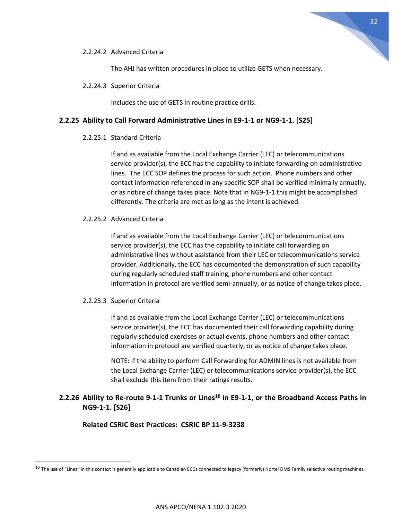

#### 2.2.24.2 Advanced Criteria

The AHJ has written procedures in place to utilize GETS when necessary.

#### 2.2.24.3 Superior Criteria

Includes the use of GETS in routine practice drills.

#### **2.2.25 Ability to Call Forward Administrative Lines in E9-1-1 or NG9-1-1. [S25]**

#### 2.2.25.1 Standard Criteria

If and as available from the Local Exchange Carrier (LEC) or telecommunications service provider(s), the ECC has the capability to initiate forwarding on administrative lines. The ECC SOP defines the process for such action. Phone numbers and other contact information referenced in any specific SOP shall be verified minimally annually, or as notice of change takes place. Note that in NG9-1-1 this might be accomplished differently. The criteria are met as long as the intent is achieved.

#### 2.2.25.2 Advanced Criteria

If and as available from the Local Exchange Carrier (LEC) or telecommunications service provider(s), the ECC has the capability to initiate call forwarding on administrative lines without assistance from their LEC or telecommunications service provider. Additionally, the ECC has documented the demonstration of such capability during regularly scheduled staff training, phone numbers and other contact information in protocol are verified semi-annually, or as notice of change takes place.

#### 2.2.25.3 Superior Criteria

If and as available from the Local Exchange Carrier (LEC) or telecommunications service provider(s), the ECC has documented their call forwarding capability during regularly scheduled exercises or actual events, phone numbers and other contact information in protocol are verified quarterly, or as notice of change takes place.

NOTE: If the ability to perform Call Forwarding for ADMIN lines is not available from the Local Exchange Carrier (LEC) or telecommunications service provider(s), the ECC shall exclude this item from their ratings results.

# **2.2.26 Ability to Re-route 9-1-1 Trunks or Lines<sup>10</sup> in E9-1-1, or the Broadband Access Paths in NG9-1-1. [S26]**

#### **Related CSRIC Best Practices: CSRIC BP 11-9-3238**

 $10$  The use of "Lines" in this context is generally applicable to Canadian ECCs connected to legacy (formerly) Nortel DMS Family selective routing machines.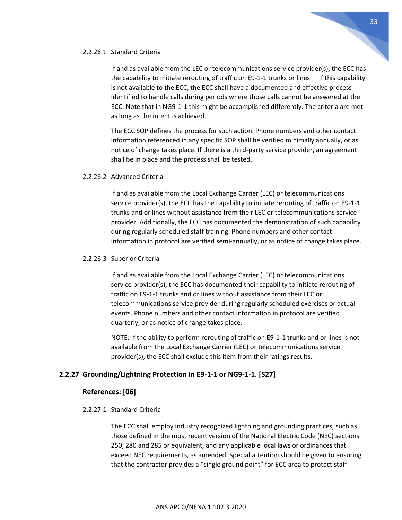

#### 2.2.26.1 Standard Criteria

If and as available from the LEC or telecommunications service provider(s), the ECC has the capability to initiate rerouting of traffic on E9-1-1 trunks or lines. If this capability is not available to the ECC, the ECC shall have a documented and effective process identified to handle calls during periods where those calls cannot be answered at the ECC. Note that in NG9-1-1 this might be accomplished differently. The criteria are met as long as the intent is achieved.

The ECC SOP defines the process for such action. Phone numbers and other contact information referenced in any specific SOP shall be verified minimally annually, or as notice of change takes place. If there is a third-party service provider, an agreement shall be in place and the process shall be tested.

#### 2.2.26.2 Advanced Criteria

If and as available from the Local Exchange Carrier (LEC) or telecommunications service provider(s), the ECC has the capability to initiate rerouting of traffic on E9-1-1 trunks and or lines without assistance from their LEC or telecommunications service provider. Additionally, the ECC has documented the demonstration of such capability during regularly scheduled staff training. Phone numbers and other contact information in protocol are verified semi-annually, or as notice of change takes place.

#### 2.2.26.3 Superior Criteria

If and as available from the Local Exchange Carrier (LEC) or telecommunications service provider(s), the ECC has documented their capability to initiate rerouting of traffic on E9-1-1 trunks and or lines without assistance from their LEC or telecommunications service provider during regularly scheduled exercises or actual events. Phone numbers and other contact information in protocol are verified quarterly, or as notice of change takes place.

NOTE: If the ability to perform rerouting of traffic on E9-1-1 trunks and or lines is not available from the Local Exchange Carrier (LEC) or telecommunications service provider(s), the ECC shall exclude this item from their ratings results.

#### **2.2.27 Grounding/Lightning Protection in E9-1-1 or NG9-1-1. [S27]**

#### **References: [06]**

#### 2.2.27.1 Standard Criteria

The ECC shall employ industry recognized lightning and grounding practices, such as those defined in the most recent version of the National Electric Code (NEC) sections 250, 280 and 285 or equivalent, and any applicable local laws or ordinances that exceed NEC requirements, as amended. Special attention should be given to ensuring that the contractor provides a "single ground point" for ECC area to protect staff.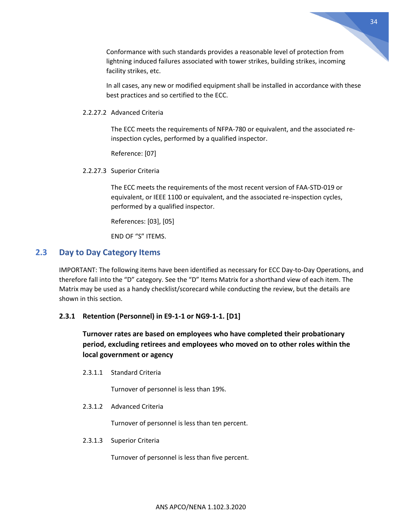Conformance with such standards provides a reasonable level of protection from lightning induced failures associated with tower strikes, building strikes, incoming facility strikes, etc.

In all cases, any new or modified equipment shall be installed in accordance with these best practices and so certified to the ECC.

2.2.27.2 Advanced Criteria

The ECC meets the requirements of NFPA-780 or equivalent, and the associated reinspection cycles, performed by a qualified inspector.

Reference: [07]

2.2.27.3 Superior Criteria

The ECC meets the requirements of the most recent version of FAA-STD-019 or equivalent, or IEEE 1100 or equivalent, and the associated re-inspection cycles, performed by a qualified inspector.

References: [03], [05]

END OF "S" ITEMS.

### **2.3 Day to Day Category Items**

IMPORTANT: The following items have been identified as necessary for ECC Day-to-Day Operations, and therefore fall into the "D" category. See the "D" Items Matrix for a shorthand view of each item. The Matrix may be used as a handy checklist/scorecard while conducting the review, but the details are shown in this section.

#### **2.3.1 Retention (Personnel) in E9-1-1 or NG9-1-1. [D1]**

**Turnover rates are based on employees who have completed their probationary period, excluding retirees and employees who moved on to other roles within the local government or agency**

2.3.1.1 Standard Criteria

Turnover of personnel is less than 19%.

2.3.1.2 Advanced Criteria

Turnover of personnel is less than ten percent.

2.3.1.3 Superior Criteria

Turnover of personnel is less than five percent.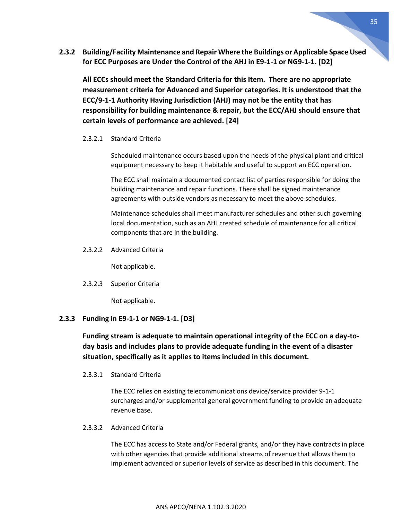**2.3.2 Building/Facility Maintenance and Repair Where the Buildings or Applicable Space Used for ECC Purposes are Under the Control of the AHJ in E9-1-1 or NG9-1-1. [D2]**

**All ECCs should meet the Standard Criteria for this Item. There are no appropriate measurement criteria for Advanced and Superior categories. It is understood that the ECC/9-1-1 Authority Having Jurisdiction (AHJ) may not be the entity that has responsibility for building maintenance & repair, but the ECC/AHJ should ensure that certain levels of performance are achieved. [24]**

2.3.2.1 Standard Criteria

Scheduled maintenance occurs based upon the needs of the physical plant and critical equipment necessary to keep it habitable and useful to support an ECC operation.

The ECC shall maintain a documented contact list of parties responsible for doing the building maintenance and repair functions. There shall be signed maintenance agreements with outside vendors as necessary to meet the above schedules.

Maintenance schedules shall meet manufacturer schedules and other such governing local documentation, such as an AHJ created schedule of maintenance for all critical components that are in the building.

2.3.2.2 Advanced Criteria

Not applicable.

2.3.2.3 Superior Criteria

Not applicable.

#### **2.3.3 Funding in E9-1-1 or NG9-1-1. [D3]**

**Funding stream is adequate to maintain operational integrity of the ECC on a day-today basis and includes plans to provide adequate funding in the event of a disaster situation, specifically as it applies to items included in this document.**

2.3.3.1 Standard Criteria

The ECC relies on existing telecommunications device/service provider 9-1-1 surcharges and/or supplemental general government funding to provide an adequate revenue base.

2.3.3.2 Advanced Criteria

The ECC has access to State and/or Federal grants, and/or they have contracts in place with other agencies that provide additional streams of revenue that allows them to implement advanced or superior levels of service as described in this document. The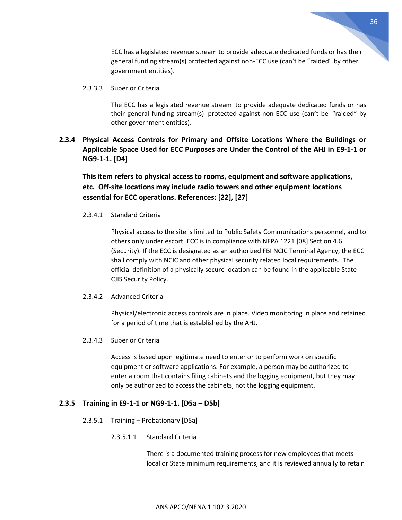ECC has a legislated revenue stream to provide adequate dedicated funds or has their general funding stream(s) protected against non-ECC use (can't be "raided" by other government entities).

2.3.3.3 Superior Criteria

The ECC has a legislated revenue stream to provide adequate dedicated funds or has their general funding stream(s) protected against non-ECC use (can't be "raided" by other government entities).

# **2.3.4 Physical Access Controls for Primary and Offsite Locations Where the Buildings or Applicable Space Used for ECC Purposes are Under the Control of the AHJ in E9-1-1 or NG9-1-1. [D4]**

**This item refers to physical access to rooms, equipment and software applications, etc. Off-site locations may include radio towers and other equipment locations essential for ECC operations. References: [22], [27]**

2.3.4.1 Standard Criteria

Physical access to the site is limited to Public Safety Communications personnel, and to others only under escort. ECC is in compliance with NFPA 1221 [08] Section 4.6 (Security). If the ECC is designated as an authorized FBI NCIC Terminal Agency, the ECC shall comply with NCIC and other physical security related local requirements. The official definition of a physically secure location can be found in the applicable State CJIS Security Policy.

#### 2.3.4.2 Advanced Criteria

Physical/electronic access controls are in place. Video monitoring in place and retained for a period of time that is established by the AHJ.

#### 2.3.4.3 Superior Criteria

Access is based upon legitimate need to enter or to perform work on specific equipment or software applications. For example, a person may be authorized to enter a room that contains filing cabinets and the logging equipment, but they may only be authorized to access the cabinets, not the logging equipment.

#### **2.3.5 Training in E9-1-1 or NG9-1-1. [D5a – D5b]**

- 2.3.5.1 Training Probationary [D5a]
	- 2.3.5.1.1 Standard Criteria

There is a documented training process for new employees that meets local or State minimum requirements, and it is reviewed annually to retain

#### ANS APCO/NENA 1.102.3.2020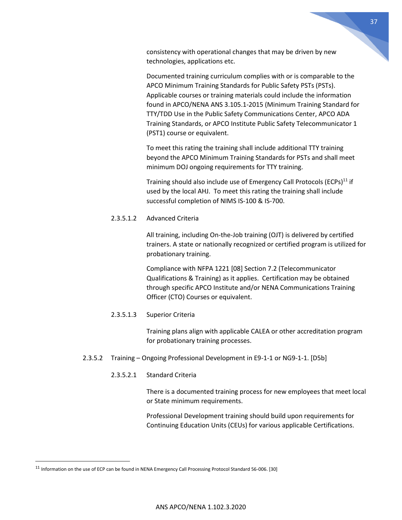consistency with operational changes that may be driven by new technologies, applications etc.

Documented training curriculum complies with or is comparable to the APCO Minimum Training Standards for Public Safety PSTs (PSTs). Applicable courses or training materials could include the information found in APCO/NENA ANS 3.105.1-2015 (Minimum Training Standard for TTY/TDD Use in the Public Safety Communications Center, APCO ADA Training Standards, or APCO Institute Public Safety Telecommunicator 1 (PST1) course or equivalent.

To meet this rating the training shall include additional TTY training beyond the APCO Minimum Training Standards for PSTs and shall meet minimum DOJ ongoing requirements for TTY training.

Training should also include use of Emergency Call Protocols (ECPs) $<sup>11</sup>$  if</sup> used by the local AHJ. To meet this rating the training shall include successful completion of NIMS IS-100 & IS-700.

2.3.5.1.2 Advanced Criteria

All training, including On-the-Job training (OJT) is delivered by certified trainers. A state or nationally recognized or certified program is utilized for probationary training.

Compliance with NFPA 1221 [08] Section 7.2 (Telecommunicator Qualifications & Training) as it applies. Certification may be obtained through specific APCO Institute and/or NENA Communications Training Officer (CTO) Courses or equivalent.

2.3.5.1.3 Superior Criteria

Training plans align with applicable CALEA or other accreditation program for probationary training processes.

- 2.3.5.2 Training Ongoing Professional Development in E9-1-1 or NG9-1-1. [D5b]
	- 2.3.5.2.1 Standard Criteria

There is a documented training process for new employees that meet local or State minimum requirements.

Professional Development training should build upon requirements for Continuing Education Units (CEUs) for various applicable Certifications.

<sup>11</sup> Information on the use of ECP can be found in NENA Emergency Call Processing Protocol Standard 56-006. [30]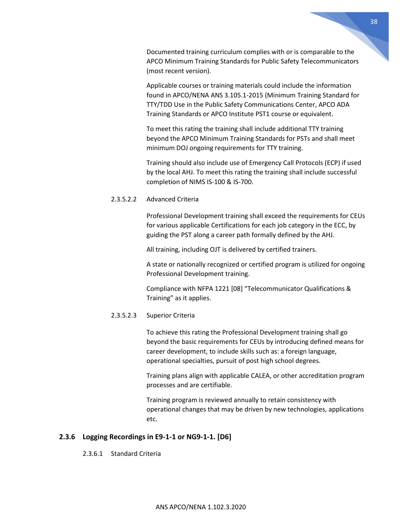Documented training curriculum complies with or is comparable to the APCO Minimum Training Standards for Public Safety Telecommunicators (most recent version).

Applicable courses or training materials could include the information found in APCO/NENA ANS 3.105.1-2015 (Minimum Training Standard for TTY/TDD Use in the Public Safety Communications Center, APCO ADA Training Standards or APCO Institute PST1 course or equivalent.

To meet this rating the training shall include additional TTY training beyond the APCO Minimum Training Standards for PSTs and shall meet minimum DOJ ongoing requirements for TTY training.

Training should also include use of Emergency Call Protocols (ECP) if used by the local AHJ. To meet this rating the training shall include successful completion of NIMS IS-100 & IS-700.

#### 2.3.5.2.2 Advanced Criteria

Professional Development training shall exceed the requirements for CEUs for various applicable Certifications for each job category in the ECC, by guiding the PST along a career path formally defined by the AHJ.

All training, including OJT is delivered by certified trainers.

A state or nationally recognized or certified program is utilized for ongoing Professional Development training.

Compliance with NFPA 1221 [08] "Telecommunicator Qualifications & Training" as it applies.

#### 2.3.5.2.3 Superior Criteria

To achieve this rating the Professional Development training shall go beyond the basic requirements for CEUs by introducing defined means for career development, to include skills such as: a foreign language, operational specialties, pursuit of post high school degrees.

Training plans align with applicable CALEA, or other accreditation program processes and are certifiable.

Training program is reviewed annually to retain consistency with operational changes that may be driven by new technologies, applications etc.

#### **2.3.6 Logging Recordings in E9-1-1 or NG9-1-1. [D6]**

2.3.6.1 Standard Criteria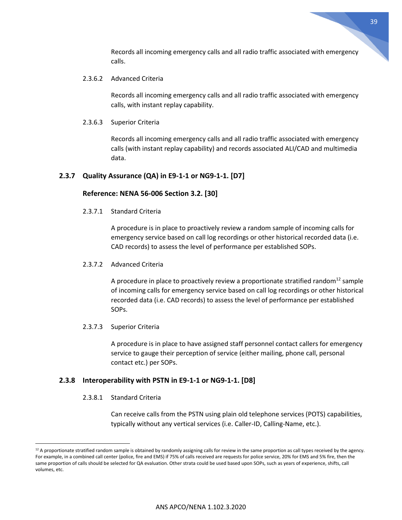Records all incoming emergency calls and all radio traffic associated with emergency calls.

#### 2.3.6.2 Advanced Criteria

Records all incoming emergency calls and all radio traffic associated with emergency calls, with instant replay capability.

#### 2.3.6.3 Superior Criteria

Records all incoming emergency calls and all radio traffic associated with emergency calls (with instant replay capability) and records associated ALI/CAD and multimedia data.

## **2.3.7 Quality Assurance (QA) in E9-1-1 or NG9-1-1. [D7]**

## **Reference: NENA 56-006 Section 3.2. [30]**

2.3.7.1 Standard Criteria

A procedure is in place to proactively review a random sample of incoming calls for emergency service based on call log recordings or other historical recorded data (i.e. CAD records) to assess the level of performance per established SOPs.

#### 2.3.7.2 Advanced Criteria

A procedure in place to proactively review a proportionate stratified random<sup>12</sup> sample of incoming calls for emergency service based on call log recordings or other historical recorded data (i.e. CAD records) to assess the level of performance per established SOPs.

#### 2.3.7.3 Superior Criteria

A procedure is in place to have assigned staff personnel contact callers for emergency service to gauge their perception of service (either mailing, phone call, personal contact etc.) per SOPs.

## **2.3.8 Interoperability with PSTN in E9-1-1 or NG9-1-1. [D8]**

## 2.3.8.1 Standard Criteria

Can receive calls from the PSTN using plain old telephone services (POTS) capabilities, typically without any vertical services (i.e. Caller-ID, Calling-Name, etc.).

 $12$  A proportionate stratified random sample is obtained by randomly assigning calls for review in the same proportion as call types received by the agency. For example, in a combined call center (police, fire and EMS) if 75% of calls received are requests for police service, 20% for EMS and 5% fire, then the same proportion of calls should be selected for QA evaluation. Other strata could be used based upon SOPs, such as years of experience, shifts, call volumes, etc.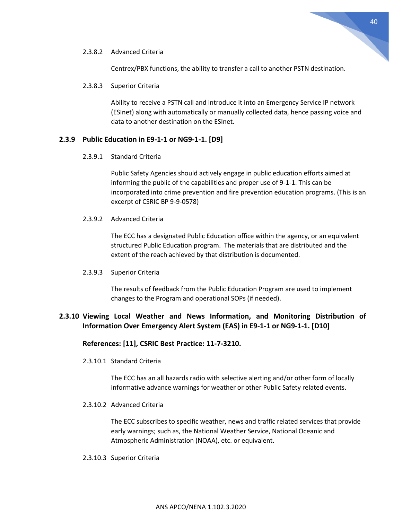#### 2.3.8.2 Advanced Criteria

Centrex/PBX functions, the ability to transfer a call to another PSTN destination.

#### 2.3.8.3 Superior Criteria

Ability to receive a PSTN call and introduce it into an Emergency Service IP network (ESInet) along with automatically or manually collected data, hence passing voice and data to another destination on the ESInet.

## **2.3.9 Public Education in E9-1-1 or NG9-1-1. [D9]**

2.3.9.1 Standard Criteria

Public Safety Agencies should actively engage in public education efforts aimed at informing the public of the capabilities and proper use of 9-1-1. This can be incorporated into crime prevention and fire prevention education programs. (This is an excerpt of CSRIC BP 9-9-0578)

## 2.3.9.2 Advanced Criteria

The ECC has a designated Public Education office within the agency, or an equivalent structured Public Education program. The materials that are distributed and the extent of the reach achieved by that distribution is documented.

2.3.9.3 Superior Criteria

The results of feedback from the Public Education Program are used to implement changes to the Program and operational SOPs (if needed).

# **2.3.10 Viewing Local Weather and News Information, and Monitoring Distribution of Information Over Emergency Alert System (EAS) in E9-1-1 or NG9-1-1. [D10]**

## **References: [11], CSRIC Best Practice: 11-7-3210.**

2.3.10.1 Standard Criteria

The ECC has an all hazards radio with selective alerting and/or other form of locally informative advance warnings for weather or other Public Safety related events.

2.3.10.2 Advanced Criteria

The ECC subscribes to specific weather, news and traffic related services that provide early warnings; such as, the National Weather Service, National Oceanic and Atmospheric Administration (NOAA), etc. or equivalent.

2.3.10.3 Superior Criteria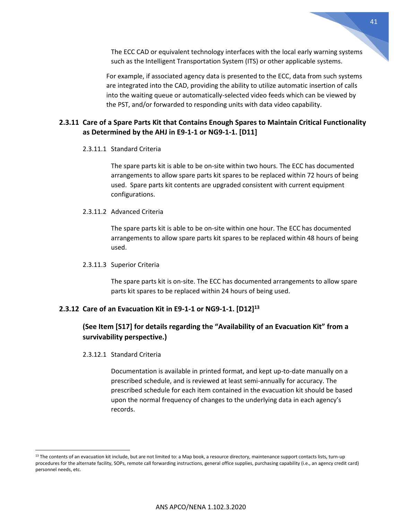The ECC CAD or equivalent technology interfaces with the local early warning systems such as the Intelligent Transportation System (ITS) or other applicable systems.

For example, if associated agency data is presented to the ECC, data from such systems are integrated into the CAD, providing the ability to utilize automatic insertion of calls into the waiting queue or automatically-selected video feeds which can be viewed by the PST, and/or forwarded to responding units with data video capability.

# **2.3.11 Care of a Spare Parts Kit that Contains Enough Spares to Maintain Critical Functionality as Determined by the AHJ in E9-1-1 or NG9-1-1. [D11]**

## 2.3.11.1 Standard Criteria

The spare parts kit is able to be on-site within two hours. The ECC has documented arrangements to allow spare parts kit spares to be replaced within 72 hours of being used. Spare parts kit contents are upgraded consistent with current equipment configurations.

## 2.3.11.2 Advanced Criteria

The spare parts kit is able to be on-site within one hour. The ECC has documented arrangements to allow spare parts kit spares to be replaced within 48 hours of being used.

#### 2.3.11.3 Superior Criteria

The spare parts kit is on-site. The ECC has documented arrangements to allow spare parts kit spares to be replaced within 24 hours of being used.

# **2.3.12 Care of an Evacuation Kit in E9-1-1 or NG9-1-1. [D12] 13**

# **(See Item [S17] for details regarding the "Availability of an Evacuation Kit" from a survivability perspective.)**

## 2.3.12.1 Standard Criteria

Documentation is available in printed format, and kept up-to-date manually on a prescribed schedule, and is reviewed at least semi-annually for accuracy. The prescribed schedule for each item contained in the evacuation kit should be based upon the normal frequency of changes to the underlying data in each agency's records.

<sup>&</sup>lt;sup>13</sup> The contents of an evacuation kit include, but are not limited to: a Map book, a resource directory, maintenance support contacts lists, turn-up procedures for the alternate facility, SOPs, remote call forwarding instructions, general office supplies, purchasing capability (i.e., an agency credit card) personnel needs, etc.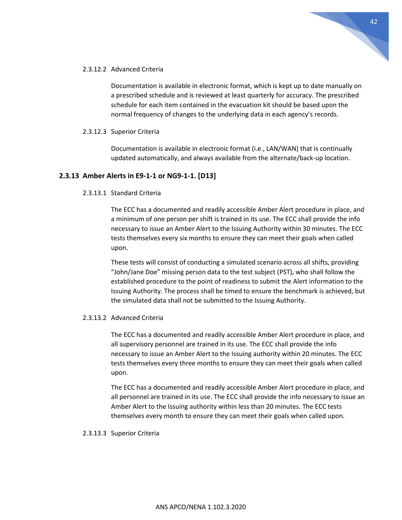#### 2.3.12.2 Advanced Criteria

Documentation is available in electronic format, which is kept up to date manually on a prescribed schedule and is reviewed at least quarterly for accuracy. The prescribed schedule for each item contained in the evacuation kit should be based upon the normal frequency of changes to the underlying data in each agency's records.

#### 2.3.12.3 Superior Criteria

Documentation is available in electronic format (i.e., LAN/WAN) that is continually updated automatically, and always available from the alternate/back-up location.

#### **2.3.13 Amber Alerts in E9-1-1 or NG9-1-1. [D13]**

#### 2.3.13.1 Standard Criteria

The ECC has a documented and readily accessible Amber Alert procedure in place, and a minimum of one person per shift is trained in its use. The ECC shall provide the info necessary to issue an Amber Alert to the Issuing Authority within 30 minutes. The ECC tests themselves every six months to ensure they can meet their goals when called upon.

These tests will consist of conducting a simulated scenario across all shifts, providing "John/Jane Doe" missing person data to the test subject (PST), who shall follow the established procedure to the point of readiness to submit the Alert information to the Issuing Authority. The process shall be timed to ensure the benchmark is achieved, but the simulated data shall not be submitted to the Issuing Authority.

#### 2.3.13.2 Advanced Criteria

The ECC has a documented and readily accessible Amber Alert procedure in place, and all supervisory personnel are trained in its use. The ECC shall provide the info necessary to issue an Amber Alert to the Issuing authority within 20 minutes. The ECC tests themselves every three months to ensure they can meet their goals when called upon.

The ECC has a documented and readily accessible Amber Alert procedure in place, and all personnel are trained in its use. The ECC shall provide the info necessary to issue an Amber Alert to the Issuing authority within less than 20 minutes. The ECC tests themselves every month to ensure they can meet their goals when called upon.

#### 2.3.13.3 Superior Criteria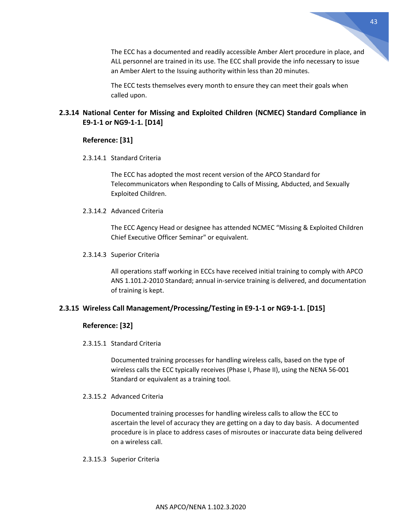43

The ECC tests themselves every month to ensure they can meet their goals when called upon.

The ECC has a documented and readily accessible Amber Alert procedure in place, and ALL personnel are trained in its use. The ECC shall provide the info necessary to issue

# **2.3.14 National Center for Missing and Exploited Children (NCMEC) Standard Compliance in E9-1-1 or NG9-1-1. [D14]**

an Amber Alert to the Issuing authority within less than 20 minutes.

## **Reference: [31]**

2.3.14.1 Standard Criteria

The ECC has adopted the most recent version of the APCO Standard for Telecommunicators when Responding to Calls of Missing, Abducted, and Sexually Exploited Children.

2.3.14.2 Advanced Criteria

The ECC Agency Head or designee has attended NCMEC "Missing & Exploited Children Chief Executive Officer Seminar" or equivalent.

2.3.14.3 Superior Criteria

All operations staff working in ECCs have received initial training to comply with APCO ANS 1.101.2-2010 Standard; annual in-service training is delivered, and documentation of training is kept.

## **2.3.15 Wireless Call Management/Processing/Testing in E9-1-1 or NG9-1-1. [D15]**

## **Reference: [32]**

## 2.3.15.1 Standard Criteria

Documented training processes for handling wireless calls, based on the type of wireless calls the ECC typically receives (Phase I, Phase II), using the NENA 56-001 Standard or equivalent as a training tool.

#### 2.3.15.2 Advanced Criteria

Documented training processes for handling wireless calls to allow the ECC to ascertain the level of accuracy they are getting on a day to day basis. A documented procedure is in place to address cases of misroutes or inaccurate data being delivered on a wireless call.

#### 2.3.15.3 Superior Criteria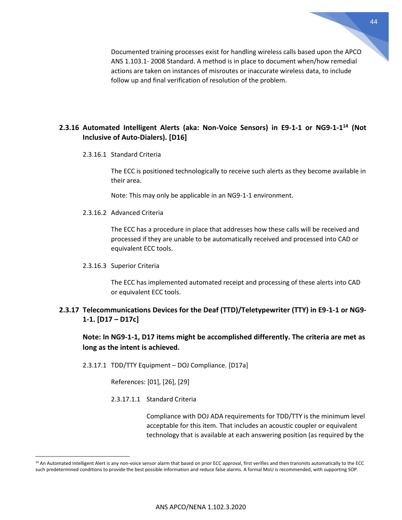Documented training processes exist for handling wireless calls based upon the APCO ANS 1.103.1- 2008 Standard. A method is in place to document when/how remedial actions are taken on instances of misroutes or inaccurate wireless data, to include follow up and final verification of resolution of the problem.

# **2.3.16 Automated Intelligent Alerts (aka: Non-Voice Sensors) in E9-1-1 or NG9-1-1 <sup>14</sup> (Not Inclusive of Auto-Dialers). [D16]**

2.3.16.1 Standard Criteria

The ECC is positioned technologically to receive such alerts as they become available in their area.

Note: This may only be applicable in an NG9-1-1 environment.

2.3.16.2 Advanced Criteria

The ECC has a procedure in place that addresses how these calls will be received and processed if they are unable to be automatically received and processed into CAD or equivalent ECC tools.

2.3.16.3 Superior Criteria

The ECC has implemented automated receipt and processing of these alerts into CAD or equivalent ECC tools.

# **2.3.17 Telecommunications Devices for the Deaf (TTD)/Teletypewriter (TTY) in E9-1-1 or NG9- 1-1. [D17 – D17c]**

# **Note: In NG9-1-1, D17 items might be accomplished differently. The criteria are met as long as the intent is achieved.**

2.3.17.1 TDD/TTY Equipment – DOJ Compliance. [D17a]

References: [01], [26], [29]

2.3.17.1.1 Standard Criteria

Compliance with DOJ ADA requirements for TDD/TTY is the minimum level acceptable for this item. That includes an acoustic coupler or equivalent technology that is available at each answering position (as required by the

<sup>&</sup>lt;sup>14</sup> An Automated Intelligent Alert is any non-voice sensor alarm that based on prior ECC approval, first verifies and then transmits automatically to the ECC such predetermined conditions to provide the best possible information and reduce false alarms. A formal MoU is recommended, with supporting SOP.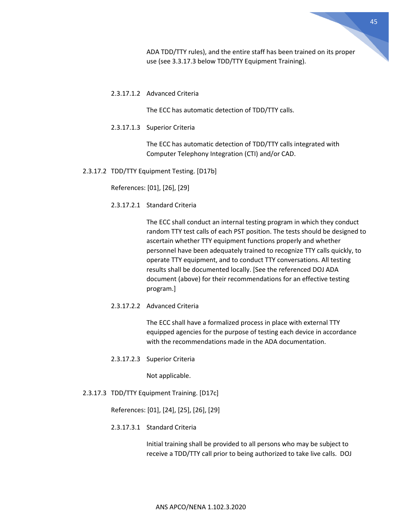ADA TDD/TTY rules), and the entire staff has been trained on its proper use (see 3.3.17.3 below TDD/TTY Equipment Training).

#### 2.3.17.1.2 Advanced Criteria

The ECC has automatic detection of TDD/TTY calls.

2.3.17.1.3 Superior Criteria

The ECC has automatic detection of TDD/TTY calls integrated with Computer Telephony Integration (CTI) and/or CAD.

2.3.17.2 TDD/TTY Equipment Testing. [D17b]

References: [01], [26], [29]

2.3.17.2.1 Standard Criteria

The ECC shall conduct an internal testing program in which they conduct random TTY test calls of each PST position. The tests should be designed to ascertain whether TTY equipment functions properly and whether personnel have been adequately trained to recognize TTY calls quickly, to operate TTY equipment, and to conduct TTY conversations. All testing results shall be documented locally. [See the referenced DOJ ADA document (above) for their recommendations for an effective testing program.]

2.3.17.2.2 Advanced Criteria

The ECC shall have a formalized process in place with external TTY equipped agencies for the purpose of testing each device in accordance with the recommendations made in the ADA documentation.

2.3.17.2.3 Superior Criteria

Not applicable.

2.3.17.3 TDD/TTY Equipment Training. [D17c]

References: [01], [24], [25], [26], [29]

2.3.17.3.1 Standard Criteria

Initial training shall be provided to all persons who may be subject to receive a TDD/TTY call prior to being authorized to take live calls. DOJ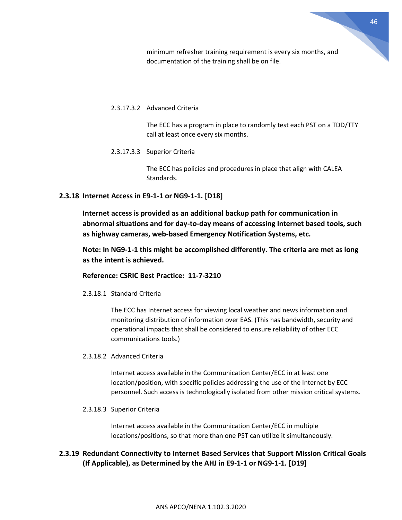minimum refresher training requirement is every six months, and documentation of the training shall be on file.

#### 2.3.17.3.2 Advanced Criteria

The ECC has a program in place to randomly test each PST on a TDD/TTY call at least once every six months.

2.3.17.3.3 Superior Criteria

The ECC has policies and procedures in place that align with CALEA Standards.

## **2.3.18 Internet Access in E9-1-1 or NG9-1-1. [D18]**

**Internet access is provided as an additional backup path for communication in abnormal situations and for day-to-day means of accessing Internet based tools, such as highway cameras, web-based Emergency Notification Systems, etc.**

**Note: In NG9-1-1 this might be accomplished differently. The criteria are met as long as the intent is achieved.**

#### **Reference: CSRIC Best Practice: 11-7-3210**

#### 2.3.18.1 Standard Criteria

The ECC has Internet access for viewing local weather and news information and monitoring distribution of information over EAS. (This has bandwidth, security and operational impacts that shall be considered to ensure reliability of other ECC communications tools.)

2.3.18.2 Advanced Criteria

Internet access available in the Communication Center/ECC in at least one location/position, with specific policies addressing the use of the Internet by ECC personnel. Such access is technologically isolated from other mission critical systems.

#### 2.3.18.3 Superior Criteria

Internet access available in the Communication Center/ECC in multiple locations/positions, so that more than one PST can utilize it simultaneously.

## **2.3.19 Redundant Connectivity to Internet Based Services that Support Mission Critical Goals (If Applicable), as Determined by the AHJ in E9-1-1 or NG9-1-1. [D19]**

#### ANS APCO/NENA 1.102.3.2020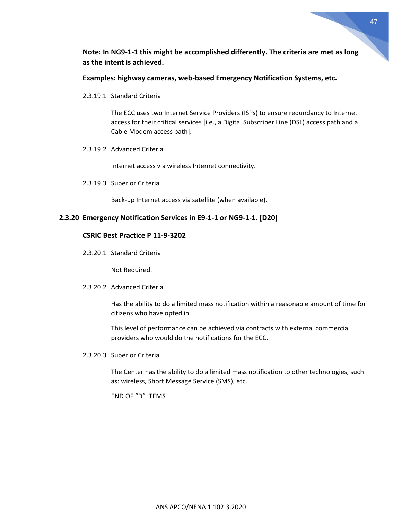**Note: In NG9-1-1 this might be accomplished differently. The criteria are met as long as the intent is achieved.**

**Examples: highway cameras, web-based Emergency Notification Systems, etc.**

2.3.19.1 Standard Criteria

The ECC uses two Internet Service Providers (ISPs) to ensure redundancy to Internet access for their critical services [i.e., a Digital Subscriber Line (DSL) access path and a Cable Modem access path].

2.3.19.2 Advanced Criteria

Internet access via wireless Internet connectivity.

2.3.19.3 Superior Criteria

Back-up Internet access via satellite (when available).

## **2.3.20 Emergency Notification Services in E9-1-1 or NG9-1-1. [D20]**

## **CSRIC Best Practice P 11-9-3202**

2.3.20.1 Standard Criteria

Not Required.

2.3.20.2 Advanced Criteria

Has the ability to do a limited mass notification within a reasonable amount of time for citizens who have opted in.

This level of performance can be achieved via contracts with external commercial providers who would do the notifications for the ECC.

2.3.20.3 Superior Criteria

The Center has the ability to do a limited mass notification to other technologies, such as: wireless, Short Message Service (SMS), etc.

END OF "D" ITEMS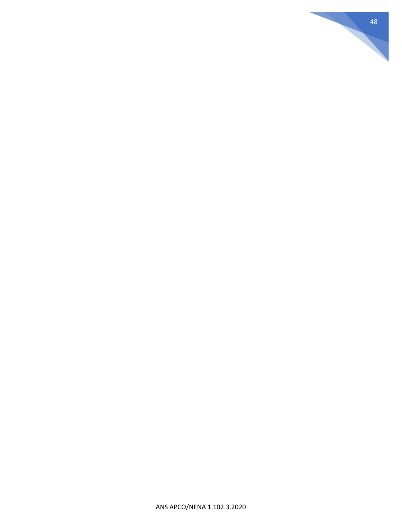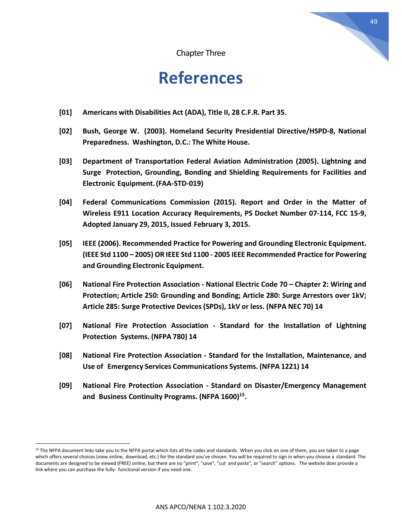Chapter Three

# **References**

- **[01] Americans with [Disabilities](http://www.ada.gov/911ta.htm) Act (ADA), Title II, 28 C.F.R. Part 35.**
- **[02] Bush, George W. (2003). Homeland Security Presidential [Directive/HSPD-8,](http://www.fas.org/irp/offdocs/nspd/hspd-8.html) National [Preparedness.](http://www.fas.org/irp/offdocs/nspd/hspd-8.html) Washington, D.C.: The White House.**
- **[03] Department of Transportation Federal Aviation [Administration](http://www.zandz.ru/docs/faa-std-019e.pdf) (2005). Lightning and Surge Protection, Grounding, Bonding and Shielding [Requirements](http://www.zandz.ru/docs/faa-std-019e.pdf) for Facilities and [Electronic](http://www.zandz.ru/docs/faa-std-019e.pdf) Equipment.(FAA-STD-019)**
- **[04] Federal [Communications](http://www.fcc.gov/Bureaus/Wireless/Orders/fcc96264.txt) Commission (2015). Report and Order in the Matter of [Wireless E911 Location Accuracy Requirements,](http://www.fcc.gov/Bureaus/Wireless/Orders/fcc96264.txt) PS Docket Number 07-114, FCC 15-9, Adopted [January 29, 2015,](http://www.fcc.gov/Bureaus/Wireless/Orders/fcc96264.txt) Issued February 3, 2015.**
- **[05] IEEE (2006). [Recommended](http://ieeexplore.ieee.org/xpl/freeabs_all.jsp?tp&isnumber=34343&arnumber=1638205&punumber=10911) Practice for Powering and Grounding Electronic Equipment. (IEEE Std 1100 – 2005) OR IEEE Std 1100 - 2005 IEEE [Recommended](http://ieeexplore.ieee.org/xpl/freeabs_all.jsp?tp&isnumber=34343&arnumber=1638205&punumber=10911) Practice for Powering and Grounding Electronic [Equipment.](http://ieeexplore.ieee.org/xpl/freeabs_all.jsp?tp&isnumber=34343&arnumber=1638205&punumber=10911)**
- **[06] National Fire Protection Association - National Electric Code 70 – Chapter 2: Wiring an[d](http://www.nfpa.org/aboutthecodes/AboutTheCodes.asp?DocNum=70) [Protection;](http://www.nfpa.org/aboutthecodes/AboutTheCodes.asp?DocNum=70) Article 250: Grounding and Bonding; Article 280: Surge Arrestors over 1kV; Article 285: Surge [Protective](http://www.nfpa.org/aboutthecodes/AboutTheCodes.asp?DocNum=70) Devices (SPDs), 1kV or less. (NFPA NEC 70) 14**
- **[07] National Fire Protection [Association](http://www.nfpa.org/aboutthecodes/AboutTheCodes.asp?DocNum=780) - Standard for the Installation of Lightning [Protection](http://www.nfpa.org/aboutthecodes/AboutTheCodes.asp?DocNum=780) Systems. (NFPA 780) 14**
- **[08] National Fire Protection Association - Standard for the Installation, Maintenance, and Use of Emergency Services [Communications](http://www.nfpa.org/assets/files/PDF/CodesStandards/TIAErrataFI/Errata1221-07-1.pdf) Systems. (NFPA 1221) 14**
- **[09] National Fire Protection Association - Standard on [Disaster/Emergency](http://www.nfpa.org/assets/files/PDF/CodesStandards/TIAErrataFI/Errata1221-07-1.pdf) Management and Business [Continuity](http://www.nfpa.org/assets/files/PDF/CodesStandards/TIAErrataFI/Errata1221-07-1.pdf) Programs. (NFPA 1600)<sup>15</sup> .**

<sup>&</sup>lt;sup>15</sup> The NFPA document links take you to the NFPA portal which lists all the codes and standards. When you click on one of them, you are taken to a page which offers several choices (view online, download, etc.) for the standard you've chosen. You will be required to sign in when you choose a standard. The documents are designed to be viewed (FREE) online, but there are no "print", "save", "cut and paste", or "search" options. The website does provide a link where you can purchase the fully- functional version if you need one.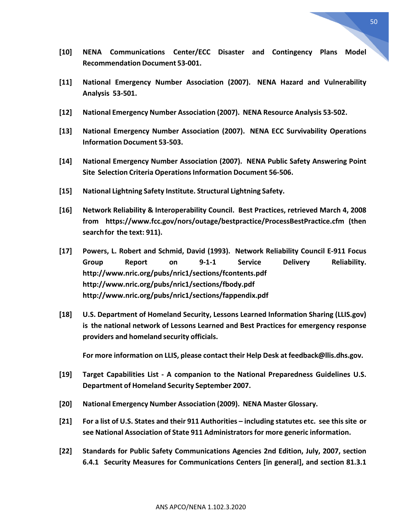- **[10] [NENA Communications Center/ECC](http://www.nena.org/sites/default/files/NENADisasterandContingencyPlanFinal060705.pdf) Disaster and Contingency Plans Model [Recommendation](http://www.nena.org/sites/default/files/NENADisasterandContingencyPlanFinal060705.pdf) Document 53-001.**
- **[11] National Emergency Number Association (2007). NENA Hazard and [Vulnerability](http://www.nena.org/standards/operations/hazard-vulnerability-analysis) [Analysis](http://www.nena.org/standards/operations/hazard-vulnerability-analysis) 53-501.**
- **[12] National Emergency Number [Association](http://www.nena.org/standards/operations/resource-analysis) (2007). NENA Resource Analysis 53-502.**
- **[13] National Emergency Number Association (2007). NENA ECC Survivability Operation[s](http://www.nena.org/operations/standards/psap-survivability) [Information](http://www.nena.org/operations/standards/psap-survivability) Document 53-503.**
- **[14] National Emergency Number [Association](http://www.nena.org/sites/default/files/PSAPSiteSelectionCriteriaFINAL071707.pdf) (2007). NENA Public Safety Answering Point Site Selection Criteria [OperationsInformation](http://www.nena.org/sites/default/files/PSAPSiteSelectionCriteriaFINAL071707.pdf) Document 56-506.**
- **[15] National Lightning Safety Institute. [Structural](http://www.lightningsafety.com/nlsi_lhm.html) Lightning Safety.**
- **[16] Network Reliability & [Interoperability](https://www.fcc.gov/nors/outage/bestpractice/ProcessBestPractice.cfm) Council. Best Practices, retrieved March 4, 2008 [from](https://www.fcc.gov/nors/outage/bestpractice/ProcessBestPractice.cfm) <https://www.fcc.gov/nors/outage/bestpractice/ProcessBestPractice.cfm> (then searchfor the text: 911).**
- **[17] Powers, L. Robert and Schmid, David (1993). Network Reliability Council E-911 Focus Group Report on 9-1-1 Service Delivery Reliability[.](http://www.nric.org/pubs/nric1/sections/fcontents.pdf) <http://www.nric.org/pubs/nric1/sections/fcontents.pdf> <http://www.nric.org/pubs/nric1/sections/fbody.pdf> <http://www.nric.org/pubs/nric1/sections/fappendix.pdf>**
- **[18] U.S. [Department](https://www.llis.dhs.gov/index.do) of Homeland Security, Lessons Learned Information Sharing (LLIS.gov) is the national network of Lessons Learned and Best Practices for [emergency](https://www.llis.dhs.gov/index.do) response providers and [homeland](https://www.llis.dhs.gov/index.do) security officials.**

**For more information on LLIS, please contact their Help Desk at [feedback@llis.dhs.gov.](mailto:feedback@llis.dhs.gov)**

- **[19] Target Capabilities List - A companion to the National [Preparedness](https://www.llis.dhs.gov/displayContent?contentID=26724) Guidelines U.S. [Department](https://www.llis.dhs.gov/displayContent?contentID=26724) of Homeland Security September 2007.**
- **[20] National Emergency Number [Association](http://www.nena.org/sites/default/files/NENA%2000-001_V12a%20July%202009.pdf) (2009). NENA Master Glossary.**
- **[21] For a list of U.S. States and their 911 [Authorities](http://www.nasna911.org/resources.php) – including statutes etc. see thissite or see National Association of State 911 [Administratorsfor](http://www.nasna911.org/resources.php) more generic information.**
- **[22] Standards for Public Safety [Communications](http://www.calea.org/online/OrderForms/publicationorderform0508.pdf) Agencies 2nd Edition, July, 2007, section 6.4.1 Security Measures for [Communications](http://www.calea.org/online/OrderForms/publicationorderform0508.pdf) Centers [in general], and section 81.3.1**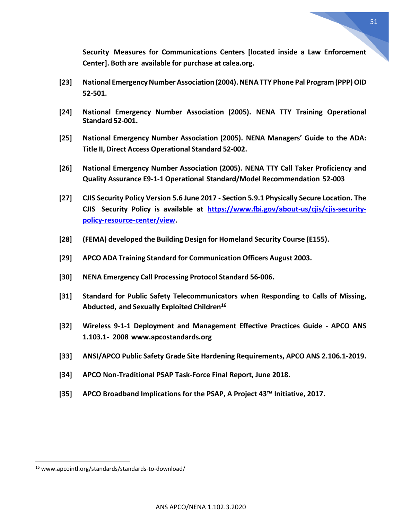**Security Measures for [Communications](http://www.calea.org/online/OrderForms/publicationorderform0508.pdf) Centers [located inside a Law Enforcement [Center\].](http://www.calea.org/online/OrderForms/publicationorderform0508.pdf) Both are available for purchase at calea.org.**

- **[23] National [EmergencyNumberAssociation](http://www.nena.org/sites/default/files/NENAopsOIDTTYPhonePals072904.pdf) (2004). NENA TTY Phone Pal Program [\(PPP\)OID](http://www.nena.org/sites/default/files/NENAopsOIDTTYPhonePals072904.pdf) [52-501.](http://www.nena.org/sites/default/files/NENAopsOIDTTYPhonePals072904.pdf)**
- **[24] National Emergency Number [Association](http://www.nena.org/sites/default/files/NENAopsAccessibilityTTYTrainingStandard020105final.pdf) (2005). NENA TTY Training [Operational](http://www.nena.org/sites/default/files/NENAopsAccessibilityTTYTrainingStandard020105final.pdf) [Standard](http://www.nena.org/sites/default/files/NENAopsAccessibilityTTYTrainingStandard020105final.pdf) 52-001.**
- **[25] National Emergency Number [Association](http://www.nena.org/sites/default/files/NENAopsAccessibilityMgrsGuideTitleIIDirectAccessstandard02%E2%80%A6.pdf) (2005). NENA [Managers'](http://www.nena.org/sites/default/files/NENAopsAccessibilityMgrsGuideTitleIIDirectAccessstandard02%E2%80%A6.pdf) Guide to the ADA: Title II, Direct Access [Operational](http://www.nena.org/sites/default/files/NENAopsAccessibilityMgrsGuideTitleIIDirectAccessstandard02%E2%80%A6.pdf) Standard 52-002.**
- **[26] National Emergency Number [Association](http://www.nena.org/sites/default/files/NENAopsAccessibilityMgrsGuideTitleIIDirectAccessstandard02%E2%80%A6.pdf) (2005). NENA TTY Call Taker [Proficiency](http://www.nena.org/sites/default/files/NENAopsAccessibilityMgrsGuideTitleIIDirectAccessstandard02%E2%80%A6.pdf) and Quality Assurance E9-1-1 Operational Standard/Model [Recommendation](http://www.nena.org/sites/default/files/NENAopsAccessibilityMgrsGuideTitleIIDirectAccessstandard02%E2%80%A6.pdf) 52-003**
- **[27] CJIS Security Policy Version 5.6 June 2017 - Section 5.9.1 Physically Secure Location. The CJIS Security Policy is available at [https://www.fbi.gov/about-us/cjis/cjis-security](https://www.fbi.gov/about-us/cjis/cjis-security-policy-resource-center/view)[policy-resource-center/view.](https://www.fbi.gov/about-us/cjis/cjis-security-policy-resource-center/view)**
- **[28] (FEMA) [developed](http://www.fema.gov/plan/prevent/rms/rmsp155) the Building Design for Homeland Security Course (E155).**
- **[29] APCO ADA Training Standard for [Communication](http://www.apcostandards.org/) Officers August 2003.**
- **[30] NENA [Emergency](http://www.nena.org/standards/operations/emergency-call-processing) Call Processing Protocol Standard 56-006.**
- **[31] Standard for Public Safety Telecommunicators when Responding to Calls of Missing, Abducted, and Sexually Exploited Children<sup>16</sup>**
- **[32] Wireless 9-1-1 Deployment and Management Effective Practices Guide - APCO ANS 1.103.1- 2008 www.apcostandards.org**
- **[33] ANSI/APCO Public Safety Grade Site Hardening Requirements, APCO ANS 2.106.1-2019.**
- **[34] APCO Non-Traditional PSAP Task-Force Final Report, June 2018.**
- **[35] APCO Broadband Implications for the PSAP, A Project 43™ Initiative, 2017.**

<sup>16</sup> www.apcointl.org/standards/standards-to-download/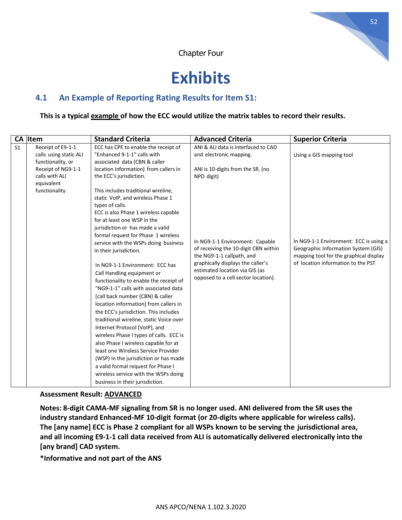Chapter Four

# **Exhibits**

# **4.1 An Example of Reporting Rating Results for Item S1:**

# **This is a typical example of how the ECC would utilize the matrix tables to record their results.**

|                | <b>CA Item</b>         | <b>Standard Criteria</b>                | <b>Advanced Criteria</b>             | <b>Superior Criteria</b>               |
|----------------|------------------------|-----------------------------------------|--------------------------------------|----------------------------------------|
| S <sub>1</sub> | Receipt of E9-1-1      | ECC has CPE to enable the receipt of    | ANI & ALI data is interfaced to CAD  |                                        |
|                | calls using static ALI | "Enhanced 9-1-1" calls with             | and electronic mapping.              | Using a GIS mapping tool               |
|                | functionality, or      | associated data (CBN & caller           |                                      |                                        |
|                | Receipt of NG9-1-1     | location information) from callers in   | ANI is 10-digits from the SR. (no    |                                        |
|                | calls with ALI         | the ECC's jurisdiction.                 | NPD digit)                           |                                        |
|                | equivalent             |                                         |                                      |                                        |
|                | functionality          | This includes traditional wireline,     |                                      |                                        |
|                |                        | static VoIP, and wireless Phase 1       |                                      |                                        |
|                |                        | types of calls.                         |                                      |                                        |
|                |                        | ECC is also Phase 1 wireless capable    |                                      |                                        |
|                |                        | for at least one WSP in the             |                                      |                                        |
|                |                        | jurisdiction or has made a valid        |                                      |                                        |
|                |                        | formal request for Phase 1 wireless     | In NG9-1-1 Environment: Capable      | In NG9-1-1 Environment: ECC is using a |
|                |                        | service with the WSPs doing business    | of receiving the 10-digit CBN within | Geographic Information System (GIS)    |
|                |                        | in their jurisdiction.                  | the NG9-1-1 callpath, and            | mapping tool for the graphical display |
|                |                        | In NG9-1-1 Environment: ECC has         | graphically displays the caller's    | of location information to the PST     |
|                |                        |                                         | estimated location via GIS (as       |                                        |
|                |                        | Call Handling equipment or              | opposed to a cell sector location).  |                                        |
|                |                        | functionality to enable the receipt of  |                                      |                                        |
|                |                        | "NG9-1-1" calls with associated data    |                                      |                                        |
|                |                        | [call back number (CBN) & caller        |                                      |                                        |
|                |                        | location information] from callers in   |                                      |                                        |
|                |                        | the ECC's jurisdiction. This includes   |                                      |                                        |
|                |                        | traditional wireline, static Voice over |                                      |                                        |
|                |                        | Internet Protocol (VoIP), and           |                                      |                                        |
|                |                        | wireless Phase I types of calls. ECC is |                                      |                                        |
|                |                        | also Phase I wireless capable for at    |                                      |                                        |
|                |                        | least one Wireless Service Provider     |                                      |                                        |
|                |                        | (WSP) in the jurisdiction or has made   |                                      |                                        |
|                |                        | a valid formal request for Phase I      |                                      |                                        |
|                |                        | wireless service with the WSPs doing    |                                      |                                        |
|                |                        | business in their jurisdiction.         |                                      |                                        |

## **Assessment Result: ADVANCED**

**Notes: 8-digit CAMA-MF signaling from SR is no longer used. ANI delivered from the SR uses the industry standard Enhanced-MF 10-digit format (or 20-digits where applicable for wireless calls). The [any name] ECC is Phase 2 compliant for all WSPs known to be serving the jurisdictional area, and all incoming E9-1-1 call data received from ALI is automatically delivered electronically into the [any brand] CAD system.**

**\*Informative and not part of the ANS**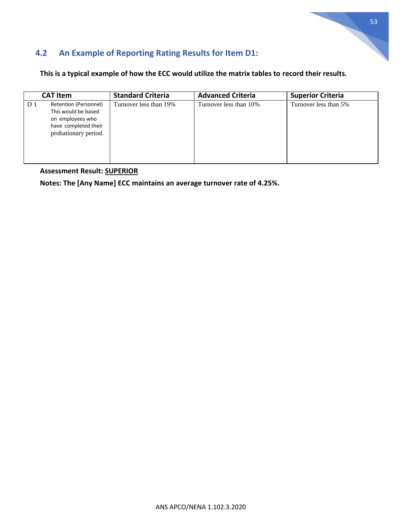

# **This is a typical example of how the ECC would utilize the matrix tables to record their results.**

| <b>CAT Item</b> |                                                                                                                  | <b>Standard Criteria</b> | <b>Advanced Criteria</b> | <b>Superior Criteria</b> |
|-----------------|------------------------------------------------------------------------------------------------------------------|--------------------------|--------------------------|--------------------------|
| D <sub>1</sub>  | Retention (Personnel)<br>This would be based<br>on employees who<br>have completed their<br>probationary period. | Turnover less than 19%   | Turnover less than 10%   | Turnover less than 5%    |

# **Assessment Result: SUPERIOR**

**Notes: The [Any Name] ECC maintains an average turnover rate of 4.25%.**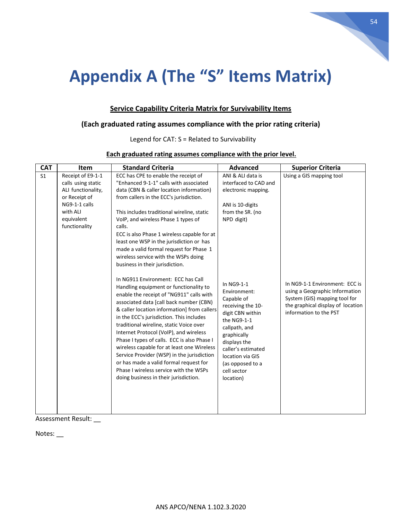

## **Service Capability Criteria Matrix for Survivability Items**

# **(Each graduated rating assumes compliance with the prior rating criteria)**

Legend for CAT: S = Related to Survivability

## **Each graduated rating assumes compliance with the prior level.**

| <b>CAT</b>     | Item                                                                                                                                       | <b>Standard Criteria</b>                                                                                                                                                                                                                                                                                                                                                                                                                                                                                                                                                                                                    | <b>Advanced</b>                                                                                                                                                                                                                            | <b>Superior Criteria</b>                                                                                                                                         |
|----------------|--------------------------------------------------------------------------------------------------------------------------------------------|-----------------------------------------------------------------------------------------------------------------------------------------------------------------------------------------------------------------------------------------------------------------------------------------------------------------------------------------------------------------------------------------------------------------------------------------------------------------------------------------------------------------------------------------------------------------------------------------------------------------------------|--------------------------------------------------------------------------------------------------------------------------------------------------------------------------------------------------------------------------------------------|------------------------------------------------------------------------------------------------------------------------------------------------------------------|
| S <sub>1</sub> | Receipt of E9-1-1<br>calls using static<br>ALI functionality,<br>or Receipt of<br>NG9-1-1 calls<br>with ALI<br>equivalent<br>functionality | ECC has CPE to enable the receipt of<br>"Enhanced 9-1-1" calls with associated<br>data (CBN & caller location information)<br>from callers in the ECC's jurisdiction.<br>This includes traditional wireline, static<br>VoIP, and wireless Phase 1 types of<br>calls.<br>ECC is also Phase 1 wireless capable for at<br>least one WSP in the jurisdiction or has<br>made a valid formal request for Phase 1<br>wireless service with the WSPs doing<br>business in their jurisdiction.                                                                                                                                       | ANI & ALI data is<br>interfaced to CAD and<br>electronic mapping.<br>ANI is 10-digits<br>from the SR. (no<br>NPD digit)                                                                                                                    | Using a GIS mapping tool                                                                                                                                         |
|                |                                                                                                                                            | In NG911 Environment: ECC has Call<br>Handling equipment or functionality to<br>enable the receipt of "NG911" calls with<br>associated data [call back number (CBN)<br>& caller location information] from callers<br>in the ECC's jurisdiction. This includes<br>traditional wireline, static Voice over<br>Internet Protocol (VoIP), and wireless<br>Phase I types of calls. ECC is also Phase I<br>wireless capable for at least one Wireless<br>Service Provider (WSP) in the jurisdiction<br>or has made a valid formal request for<br>Phase I wireless service with the WSPs<br>doing business in their jurisdiction. | In NG9-1-1<br>Environment:<br>Capable of<br>receiving the 10-<br>digit CBN within<br>the NG9-1-1<br>callpath, and<br>graphically<br>displays the<br>caller's estimated<br>location via GIS<br>(as opposed to a<br>cell sector<br>location) | In NG9-1-1 Environment: ECC is<br>using a Geographic Information<br>System (GIS) mapping tool for<br>the graphical display of location<br>information to the PST |

Assessment Result: \_\_

Notes: \_\_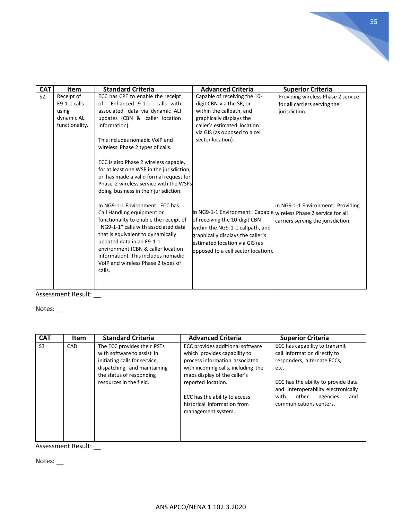|  | 55 |
|--|----|
|  |    |

| <b>CAT</b><br>S <sub>2</sub> | <b>Item</b><br>Receipt of<br>$E9-1-1$ calls<br>using<br>dynamic ALI<br>functionality. | <b>Standard Criteria</b><br>ECC has CPE to enable the receipt<br>of "Enhanced 9-1-1" calls with<br>associated data via dynamic ALI<br>updates (CBN & caller location<br>information).<br>This includes nomadic VoIP and<br>wireless Phase 2 types of calls.<br>ECC is also Phase 2 wireless capable,<br>for at least one WSP in the jurisdiction,<br>or has made a valid formal request for<br>Phase 2 wireless service with the WSPs<br>doing business in their jurisdiction.<br>In NG9-1-1 Environment: ECC has<br>Call Handling equipment or | <b>Advanced Criteria</b><br>Capable of receiving the 10-<br>digit CBN via the SR, or<br>within the callpath, and<br>graphically displays the<br>caller's estimated location<br>via GIS (as opposed to a cell<br>sector location).<br>In NG9-1-1 Environment: Capable wireless Phase 2 service for all | <b>Superior Criteria</b><br>Providing wireless Phase 2 service<br>for all carriers serving the<br>jurisdiction.<br>In NG9-1-1 Environment: Providing |
|------------------------------|---------------------------------------------------------------------------------------|-------------------------------------------------------------------------------------------------------------------------------------------------------------------------------------------------------------------------------------------------------------------------------------------------------------------------------------------------------------------------------------------------------------------------------------------------------------------------------------------------------------------------------------------------|-------------------------------------------------------------------------------------------------------------------------------------------------------------------------------------------------------------------------------------------------------------------------------------------------------|------------------------------------------------------------------------------------------------------------------------------------------------------|
|                              |                                                                                       | functionality to enable the receipt of<br>"NG9-1-1" calls with associated data<br>that is equivalent to dynamically<br>updated data in an E9-1-1<br>environment (CBN & caller location<br>information). This includes nomadic<br>VoIP and wireless Phase 2 types of<br>calls.                                                                                                                                                                                                                                                                   | of receiving the 10-digit CBN<br>within the NG9-1-1 callpath, and<br>graphically displays the caller's<br>estimated location via GIS (as<br>opposed to a cell sector location).                                                                                                                       | carriers serving the jurisdiction.                                                                                                                   |

Notes: \_\_

| <b>CAT</b>     | Item | <b>Standard Criteria</b>                                                                                                                                                          | <b>Advanced Criteria</b>                                                                                                                                                                                                                                                             | <b>Superior Criteria</b>                                                                                                                                                                                                                           |
|----------------|------|-----------------------------------------------------------------------------------------------------------------------------------------------------------------------------------|--------------------------------------------------------------------------------------------------------------------------------------------------------------------------------------------------------------------------------------------------------------------------------------|----------------------------------------------------------------------------------------------------------------------------------------------------------------------------------------------------------------------------------------------------|
| S <sub>3</sub> | CAD  | The ECC provides their PSTs<br>with software to assist in<br>initiating calls for service,<br>dispatching, and maintaining<br>the status of responding<br>resources in the field. | ECC provides additional software<br>which provides capability to<br>process information associated<br>with incoming calls, including the<br>maps display of the caller's<br>reported location.<br>ECC has the ability to access<br>historical information from<br>management system. | ECC has capability to transmit<br>call information directly to<br>responders, alternate ECCs,<br>etc.<br>ECC has the ability to provide data<br>and interoperability electronically<br>with<br>other<br>agencies<br>and<br>communications centers. |

Assessment Result: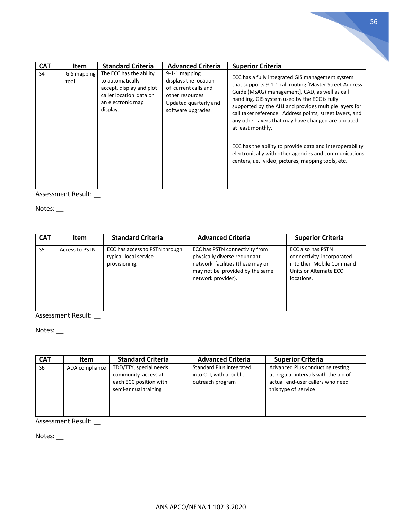| <b>CAT</b>     | <b>Item</b>         | <b>Standard Criteria</b>                                                                                                            | <b>Advanced Criteria</b>                                                                                                          | <b>Superior Criteria</b>                                                                                                                                                                                                                                                                                                                                                                                                                                                                                                                                                                    |
|----------------|---------------------|-------------------------------------------------------------------------------------------------------------------------------------|-----------------------------------------------------------------------------------------------------------------------------------|---------------------------------------------------------------------------------------------------------------------------------------------------------------------------------------------------------------------------------------------------------------------------------------------------------------------------------------------------------------------------------------------------------------------------------------------------------------------------------------------------------------------------------------------------------------------------------------------|
| S <sub>4</sub> | GIS mapping<br>tool | The ECC has the ability<br>to automatically<br>accept, display and plot<br>caller location data on<br>an electronic map<br>display. | 9-1-1 mapping<br>displays the location<br>of current calls and<br>other resources.<br>Updated quarterly and<br>software upgrades. | ECC has a fully integrated GIS management system<br>that supports 9-1-1 call routing [Master Street Address]<br>Guide (MSAG) management], CAD, as well as call<br>handling. GIS system used by the ECC is fully<br>supported by the AHJ and provides multiple layers for<br>call taker reference. Address points, street layers, and<br>any other layers that may have changed are updated<br>at least monthly.<br>ECC has the ability to provide data and interoperability<br>electronically with other agencies and communications<br>centers, i.e.: video, pictures, mapping tools, etc. |
|                |                     |                                                                                                                                     |                                                                                                                                   |                                                                                                                                                                                                                                                                                                                                                                                                                                                                                                                                                                                             |

Notes: \_\_

| <b>CAT</b>     | Item           | <b>Standard Criteria</b>                                                 | <b>Advanced Criteria</b>                                                                                                                                    | <b>Superior Criteria</b>                                                                                            |
|----------------|----------------|--------------------------------------------------------------------------|-------------------------------------------------------------------------------------------------------------------------------------------------------------|---------------------------------------------------------------------------------------------------------------------|
| S <sub>5</sub> | Access to PSTN | ECC has access to PSTN through<br>typical local service<br>provisioning. | ECC has PSTN connectivity from<br>physically diverse redundant<br>network facilities (these may or<br>may not be provided by the same<br>network provider). | ECC also has PSTN<br>connectivity incorporated<br>into their Mobile Command<br>Units or Alternate ECC<br>locations. |

Assessment Result: \_\_

# Notes: \_\_

| <b>CAT</b>     | Item           | <b>Standard Criteria</b>                                                                        | <b>Advanced Criteria</b>                                                | <b>Superior Criteria</b>                                                                                                             |
|----------------|----------------|-------------------------------------------------------------------------------------------------|-------------------------------------------------------------------------|--------------------------------------------------------------------------------------------------------------------------------------|
| S <sub>6</sub> | ADA compliance | TDD/TTY, special needs<br>community access at<br>each ECC position with<br>semi-annual training | Standard Plus integrated<br>into CTI, with a public<br>outreach program | Advanced Plus conducting testing<br>at regular intervals with the aid of<br>actual end-user callers who need<br>this type of service |

Assessment Result: \_\_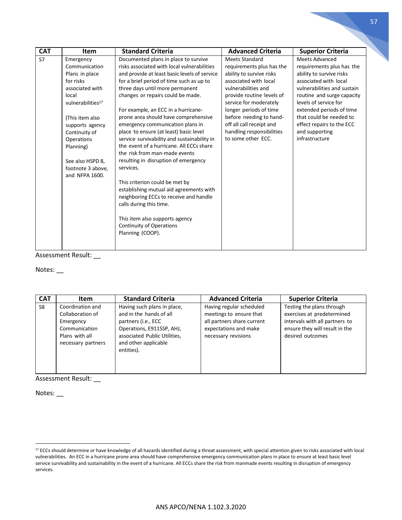| <b>CAT</b> | <b>Item</b>                         | <b>Standard Criteria</b>                     | <b>Advanced Criteria</b>  | <b>Superior Criteria</b>    |
|------------|-------------------------------------|----------------------------------------------|---------------------------|-----------------------------|
| S7         | Emergency                           | Documented plans in place to survive         | <b>Meets Standard</b>     | Meets Advanced              |
|            | Communication                       | risks associated with local vulnerabilities  | requirements plus has the | requirements plus has the   |
|            | Plans in place                      | and provide at least basic levels of service | ability to survive risks  | ability to survive risks    |
|            | for risks                           | for a brief period of time such as up to     | associated with local     | associated with local       |
|            | associated with                     | three days until more permanent              | vulnerabilities and       | vulnerabilities and sustain |
|            | local                               | changes or repairs could be made.            | provide routine levels of | routine and surge capacity  |
|            | vulnerabilities <sup>17</sup>       |                                              | service for moderately    | levels of service for       |
|            |                                     | For example, an ECC in a hurricane-          | longer periods of time    | extended periods of time    |
|            | (This item also                     | prone area should have comprehensive         | before needing to hand-   | that could be needed to     |
|            | supports agency                     | emergency communication plans in             | off all call receipt and  | effect repairs to the ECC   |
|            | Continuity of                       | place to ensure (at least) basic level       | handling responsibilities | and supporting              |
|            | Operations                          | service survivability and sustainability in  | to some other ECC.        | infrastructure              |
|            | Planning)                           | the event of a hurricane. All ECCs share     |                           |                             |
|            |                                     | the risk from man-made events                |                           |                             |
|            | See also HSPD 8,                    | resulting in disruption of emergency         |                           |                             |
|            | footnote 3 above.<br>and NFPA 1600. | services.                                    |                           |                             |
|            |                                     | This criterion could be met by               |                           |                             |
|            |                                     | establishing mutual aid agreements with      |                           |                             |
|            |                                     | neighboring ECCs to receive and handle       |                           |                             |
|            |                                     | calls during this time.                      |                           |                             |
|            |                                     | This item also supports agency               |                           |                             |
|            |                                     | <b>Continuity of Operations</b>              |                           |                             |
|            |                                     | Planning (COOP).                             |                           |                             |

Notes: \_\_

| <b>CAT</b> | Item                                                                                                       | <b>Standard Criteria</b>                                                                                                                                                         | <b>Advanced Criteria</b>                                                                                                          | <b>Superior Criteria</b>                                                                                                                        |
|------------|------------------------------------------------------------------------------------------------------------|----------------------------------------------------------------------------------------------------------------------------------------------------------------------------------|-----------------------------------------------------------------------------------------------------------------------------------|-------------------------------------------------------------------------------------------------------------------------------------------------|
| S8         | Coordination and<br>Collaboration of<br>Emergency<br>Communication<br>Plans with all<br>necessary partners | Having such plans in place,<br>and in the hands of all<br>partners (i.e., ECC<br>Operations, E911SSP, AHJ,<br>associated Public Utilities,<br>and other applicable<br>entities). | Having regular scheduled<br>meetings to ensure that<br>all partners share current<br>expectations and make<br>necessary revisions | Testing the plans through<br>exercises at predetermined<br>intervals with all partners to<br>ensure they will result in the<br>desired outcomes |

Assessment Result: \_\_

<sup>&</sup>lt;sup>17</sup> ECCs should determine or have knowledge of all hazards identified during a threat assessment, with special attention given to risks associated with local vulnerabilities. An ECC in a hurricane prone area should have comprehensive emergency communication plans in place to ensure at least basic level service survivability and sustainability in the event of a hurricane. All ECCs share the risk from manmade events resulting in disruption of emergency services.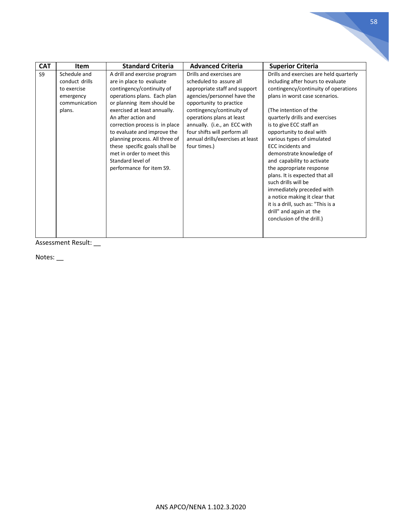| <b>CAT</b>     | <b>Item</b>                                                                           | <b>Standard Criteria</b>                                                                                                                                                                                                                                                                                                                                                                                                    | <b>Advanced Criteria</b>                                                                                                                                                                                                                                                                                                     | <b>Superior Criteria</b>                                                                                                                                                                                                                                                                                                                                                                                                                                                                                                                                                                                                                      |
|----------------|---------------------------------------------------------------------------------------|-----------------------------------------------------------------------------------------------------------------------------------------------------------------------------------------------------------------------------------------------------------------------------------------------------------------------------------------------------------------------------------------------------------------------------|------------------------------------------------------------------------------------------------------------------------------------------------------------------------------------------------------------------------------------------------------------------------------------------------------------------------------|-----------------------------------------------------------------------------------------------------------------------------------------------------------------------------------------------------------------------------------------------------------------------------------------------------------------------------------------------------------------------------------------------------------------------------------------------------------------------------------------------------------------------------------------------------------------------------------------------------------------------------------------------|
| S <sub>9</sub> | Schedule and<br>conduct drills<br>to exercise<br>emergency<br>communication<br>plans. | A drill and exercise program<br>are in place to evaluate<br>contingency/continuity of<br>operations plans. Each plan<br>or planning item should be<br>exercised at least annually.<br>An after action and<br>correction process is in place<br>to evaluate and improve the<br>planning process. All three of<br>these specific goals shall be<br>met in order to meet this<br>Standard level of<br>performance for item S9. | Drills and exercises are<br>scheduled to assure all<br>appropriate staff and support<br>agencies/personnel have the<br>opportunity to practice<br>contingency/continuity of<br>operations plans at least<br>annually. (i.e., an ECC with<br>four shifts will perform all<br>annual drills/exercises at least<br>four times.) | Drills and exercises are held quarterly<br>including after hours to evaluate<br>contingency/continuity of operations<br>plans in worst case scenarios.<br>(The intention of the<br>quarterly drills and exercises<br>is to give ECC staff an<br>opportunity to deal with<br>various types of simulated<br><b>ECC</b> incidents and<br>demonstrate knowledge of<br>and capability to activate<br>the appropriate response<br>plans. It is expected that all<br>such drills will be<br>immediately preceded with<br>a notice making it clear that<br>it is a drill, such as: "This is a<br>drill" and again at the<br>conclusion of the drill.) |
|                |                                                                                       |                                                                                                                                                                                                                                                                                                                                                                                                                             |                                                                                                                                                                                                                                                                                                                              |                                                                                                                                                                                                                                                                                                                                                                                                                                                                                                                                                                                                                                               |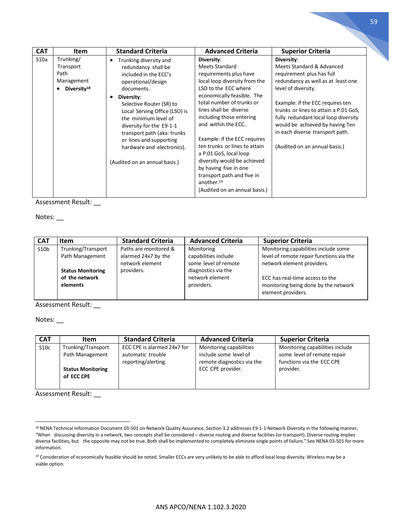| <b>CAT</b> | Item                                                                                 | <b>Standard Criteria</b>                                                                                                                                                                                                                                                                                                                                           | <b>Advanced Criteria</b>                                                                                                                                                                                                                                                                                                                                                                                                                                                                                   | <b>Superior Criteria</b>                                                                                                                                                                                                                                                                                                                                      |
|------------|--------------------------------------------------------------------------------------|--------------------------------------------------------------------------------------------------------------------------------------------------------------------------------------------------------------------------------------------------------------------------------------------------------------------------------------------------------------------|------------------------------------------------------------------------------------------------------------------------------------------------------------------------------------------------------------------------------------------------------------------------------------------------------------------------------------------------------------------------------------------------------------------------------------------------------------------------------------------------------------|---------------------------------------------------------------------------------------------------------------------------------------------------------------------------------------------------------------------------------------------------------------------------------------------------------------------------------------------------------------|
| S10a       | Trunking/<br>Transport<br>Path<br>Management<br>Diversity <sup>18</sup><br>$\bullet$ | Trunking diversity and<br>redundancy shall be<br>included in the ECC's<br>operational/design<br>documents.<br>Diversity:<br>Selective Router (SR) to<br>Local Serving Office (LSO) is<br>the minimum level of<br>diversity for the E9-1-1<br>transport path (aka: trunks<br>or lines and supporting<br>hardware and electronics).<br>(Audited on an annual basis.) | Diversity:<br><b>Meets Standard</b><br>requirements plus have<br>local loop diversity from the<br>LSO to the ECC where<br>economically feasible. The<br>total number of trunks or<br>lines shall be diverse<br>including those entering<br>and within the ECC.<br>Example: if the ECC requires<br>ten trunks or lines to attain<br>a P.01 GoS, local loop<br>diversity would be achieved<br>by having five in one<br>transport path and five in<br>another. <sup>19</sup><br>(Audited on an annual basis.) | Diversity:<br>Meets Standard & Advanced<br>requirement plus has full<br>redundancy as well as at least one<br>level of diversity.<br>Example: if the ECC requires ten<br>trunks or lines to attain a P.01 GoS,<br>fully redundant local loop diversity<br>would be achieved by having Ten<br>in each diverse transport path.<br>(Audited on an annual basis.) |

59

Assessment Result: \_\_

Notes: \_\_

| <b>CAT</b>       | <b>Item</b>                                            | <b>Standard Criteria</b>                                        | <b>Advanced Criteria</b>                                   | <b>Superior Criteria</b>                                                                                       |
|------------------|--------------------------------------------------------|-----------------------------------------------------------------|------------------------------------------------------------|----------------------------------------------------------------------------------------------------------------|
| S10 <sub>b</sub> | Trunking/Transport<br>Path Management                  | Paths are monitored &<br>alarmed 24x7 by the<br>network element | Monitoring<br>capabilities include<br>some level of remote | Monitoring capabilities include some<br>level of remote repair functions via the<br>network element providers. |
|                  | <b>Status Monitoring</b><br>of the network<br>elements | providers.                                                      | diagnostics via the<br>network element<br>providers.       | ECC has real-time access to the<br>monitoring being done by the network<br>element providers.                  |

Assessment Result: \_\_

Notes: \_\_

| <b>CAT</b> | Item                                                                            | <b>Standard Criteria</b>                                                | <b>Advanced Criteria</b>                                                                            | <b>Superior Criteria</b>                                                                                 |
|------------|---------------------------------------------------------------------------------|-------------------------------------------------------------------------|-----------------------------------------------------------------------------------------------------|----------------------------------------------------------------------------------------------------------|
| S10c       | Trunking/Transport<br>Path Management<br><b>Status Monitoring</b><br>of ECC CPE | ECC CPE is alarmed 24x7 for<br>automatic trouble<br>reporting/alerting. | Monitoring capabilities<br>include some level of<br>remote diagnostics via the<br>ECC CPE provider. | Monitoring capabilities include<br>some level of remote repair<br>functions via the ECC CPE<br>provider. |

Assessment Result: \_\_

<sup>18</sup> NENA Technical Information Document 03-501 on Network Quality Assurance, Section 3.2 addresses E9-1-1 Network Diversity in the following manner, "When discussing diversity in a network, two concepts shall be considered – diverse routing and diverse facilities (or transport). Diverse routing implies diverse facilities, but the opposite may not be true. Both shall be implemented to completely eliminate single points of failure." See NENA 03-501 for more information.

<sup>&</sup>lt;sup>19</sup> Consideration of economically feasible should be noted. Smaller ECCs are very unlikely to be able to afford local loop diversity. Wireless may be a viable option.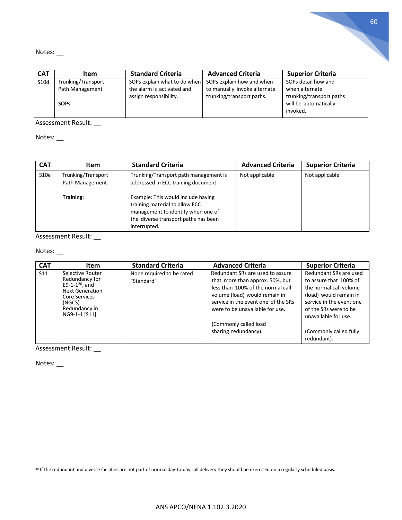Notes: \_\_

| <b>CAT</b> | <b>Item</b>                                          | <b>Standard Criteria</b>                                                             | <b>Advanced Criteria</b>                                                               | <b>Superior Criteria</b>                                                                               |
|------------|------------------------------------------------------|--------------------------------------------------------------------------------------|----------------------------------------------------------------------------------------|--------------------------------------------------------------------------------------------------------|
| S10d       | Trunking/Transport<br>Path Management<br><b>SOPs</b> | SOPs explain what to do when<br>the alarm is activated and<br>assign responsibility. | SOPs explain how and when<br>to manually invoke alternate<br>trunking/transport paths. | SOPs detail how and<br>when alternate<br>trunking/transport paths<br>will be automatically<br>invoked. |

Assessment Result: \_\_

Notes: \_\_

| <b>CAT</b> | <b>Item</b>                           | <b>Standard Criteria</b>                                                                                                                                           | <b>Advanced Criteria</b> | <b>Superior Criteria</b> |
|------------|---------------------------------------|--------------------------------------------------------------------------------------------------------------------------------------------------------------------|--------------------------|--------------------------|
| S10e       | Trunking/Transport<br>Path Management | Trunking/Transport path management is<br>addressed in ECC training document.                                                                                       | Not applicable           | Not applicable           |
|            | Training:                             | Example: This would include having<br>training material to allow ECC<br>management to identify when one of<br>the diverse transport paths has been<br>interrupted. |                          |                          |

Assessment Result:

# Notes: \_\_

| <b>CAT</b>      | Item                                                                                                                                                    | <b>Standard Criteria</b>                | <b>Advanced Criteria</b>                                                                                                                                                                                                                                             | <b>Superior Criteria</b>                                                                                                                                                                                                    |
|-----------------|---------------------------------------------------------------------------------------------------------------------------------------------------------|-----------------------------------------|----------------------------------------------------------------------------------------------------------------------------------------------------------------------------------------------------------------------------------------------------------------------|-----------------------------------------------------------------------------------------------------------------------------------------------------------------------------------------------------------------------------|
| S <sub>11</sub> | Selective Router<br>Redundancy for<br>E9-1-1 <sup>20</sup> , and<br><b>Next Generation</b><br>Core Services<br>(NGCS)<br>Redundancy in<br>NG9-1-1 [S11] | None required to be rated<br>"Standard" | Redundant SRs are used to assure<br>that more than approx. 50%, but<br>less than 100% of the normal call<br>volume (load) would remain in<br>service in the event one of the SRs<br>were to be unavailable for use.<br>(Commonly called load<br>sharing redundancy). | Redundant SRs are used<br>to assure that 100% of<br>the normal call volume<br>(load) would remain in<br>service in the event one<br>of the SRs were to be<br>unavailable for use.<br>(Commonly called fully)<br>redundant). |

Assessment Result: \_\_

<sup>&</sup>lt;sup>20</sup> If the redundant and diverse facilities are not part of normal day-to-day call delivery they should be exercised on a regularly scheduled basis.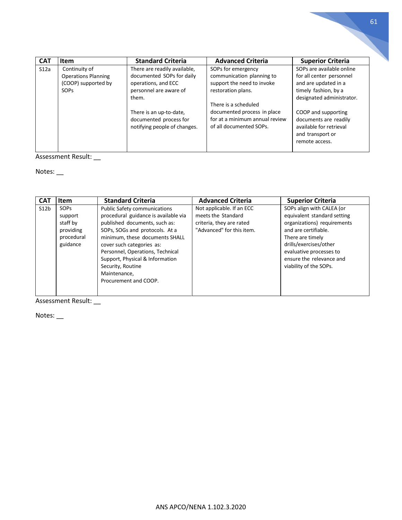| <b>CAT</b> | <b>Item</b>                                                                | <b>Standard Criteria</b>                                                                                            | <b>Advanced Criteria</b>                                                                                         | <b>Superior Criteria</b>                                                                                                           |
|------------|----------------------------------------------------------------------------|---------------------------------------------------------------------------------------------------------------------|------------------------------------------------------------------------------------------------------------------|------------------------------------------------------------------------------------------------------------------------------------|
| S12a       | Continuity of<br><b>Operations Planning</b><br>(COOP) supported by<br>SOPs | There are readily available,<br>documented SOPs for daily<br>operations, and ECC<br>personnel are aware of<br>them. | SOPs for emergency<br>communication planning to<br>support the need to invoke<br>restoration plans.              | SOPs are available online<br>for all center personnel<br>and are updated in a<br>timely fashion, by a<br>designated administrator. |
|            |                                                                            | There is an up-to-date,<br>documented process for<br>notifying people of changes.                                   | There is a scheduled<br>documented process in place<br>for at a minimum annual review<br>of all documented SOPs. | COOP and supporting<br>documents are readily<br>available for retrieval<br>and transport or<br>remote access.                      |

Notes: \_\_

| <b>CAT</b>       | <b>Item</b>                                                        | <b>Standard Criteria</b>                                                                                                                                                                                                                                                                                                                           | <b>Advanced Criteria</b>                                                                                 | <b>Superior Criteria</b>                                                                                                                                                                                                                       |
|------------------|--------------------------------------------------------------------|----------------------------------------------------------------------------------------------------------------------------------------------------------------------------------------------------------------------------------------------------------------------------------------------------------------------------------------------------|----------------------------------------------------------------------------------------------------------|------------------------------------------------------------------------------------------------------------------------------------------------------------------------------------------------------------------------------------------------|
| S12 <sub>b</sub> | SOPS<br>support<br>staff by<br>providing<br>procedural<br>guidance | <b>Public Safety communications</b><br>procedural guidance is available via<br>published documents, such as:<br>SOPs, SOGs and protocols. At a<br>minimum, these documents SHALL<br>cover such categories as:<br>Personnel, Operations, Technical<br>Support, Physical & Information<br>Security, Routine<br>Maintenance,<br>Procurement and COOP. | Not applicable. If an ECC<br>meets the Standard<br>criteria, they are rated<br>"Advanced" for this item. | SOPs align with CALEA (or<br>equivalent standard setting<br>organizations) requirements<br>and are certifiable.<br>There are timely<br>drills/exercises/other<br>evaluative processes to<br>ensure the relevance and<br>viability of the SOPs. |

Assessment Result: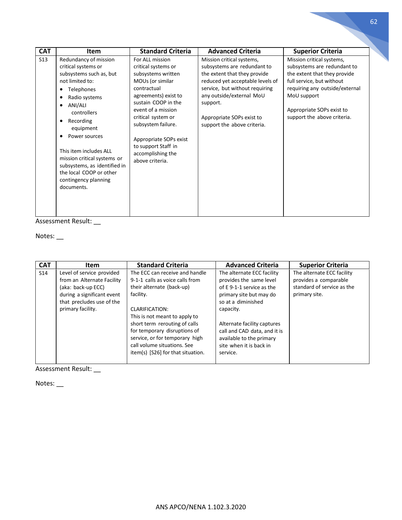| <b>CAT</b><br><b>Item</b>                                                                                                                                                                                                                                                                                                                                                                                                    | <b>Standard Criteria</b>                                                                                                                                                                                                                                                                                  | <b>Advanced Criteria</b>                                                                                                                                                                                                                                           | <b>Superior Criteria</b>                                                                                                                                                                                                           |
|------------------------------------------------------------------------------------------------------------------------------------------------------------------------------------------------------------------------------------------------------------------------------------------------------------------------------------------------------------------------------------------------------------------------------|-----------------------------------------------------------------------------------------------------------------------------------------------------------------------------------------------------------------------------------------------------------------------------------------------------------|--------------------------------------------------------------------------------------------------------------------------------------------------------------------------------------------------------------------------------------------------------------------|------------------------------------------------------------------------------------------------------------------------------------------------------------------------------------------------------------------------------------|
| Redundancy of mission<br>S <sub>13</sub><br>critical systems or<br>subsystems such as, but<br>not limited to:<br>Telephones<br>٠<br>Radio systems<br>٠<br>ANI/ALI<br>$\bullet$<br>controllers<br>Recording<br>$\bullet$<br>equipment<br>Power sources<br>$\bullet$<br>This item includes ALL<br>mission critical systems or<br>subsystems, as identified in<br>the local COOP or other<br>contingency planning<br>documents. | For ALL mission<br>critical systems or<br>subsystems written<br>MOUs (or similar<br>contractual<br>agreements) exist to<br>sustain COOP in the<br>event of a mission<br>critical system or<br>subsystem failure.<br>Appropriate SOPs exist<br>to support Staff in<br>accomplishing the<br>above criteria. | Mission critical systems,<br>subsystems are redundant to<br>the extent that they provide<br>reduced yet acceptable levels of<br>service, but without requiring<br>any outside/external MoU<br>support.<br>Appropriate SOPs exist to<br>support the above criteria. | Mission critical systems,<br>subsystems are redundant to<br>the extent that they provide<br>full service, but without<br>requiring any outside/external<br>MoU support<br>Appropriate SOPs exist to<br>support the above criteria. |

Notes: \_\_

| <b>CAT</b>      | Item                       | <b>Standard Criteria</b>          | <b>Advanced Criteria</b>     | <b>Superior Criteria</b>   |
|-----------------|----------------------------|-----------------------------------|------------------------------|----------------------------|
| S <sub>14</sub> | Level of service provided  | The ECC can receive and handle    | The alternate ECC facility   | The alternate ECC facility |
|                 | from an Alternate Facility | 9-1-1 calls as voice calls from   | provides the same level      | provides a comparable      |
|                 | (aka: back-up ECC)         | their alternate (back-up)         | of E 9-1-1 service as the    | standard of service as the |
|                 | during a significant event | facility.                         | primary site but may do      | primary site.              |
|                 | that precludes use of the  |                                   | so at a diminished           |                            |
|                 | primary facility.          | CLARIFICATION:                    | capacity.                    |                            |
|                 |                            | This is not meant to apply to     |                              |                            |
|                 |                            | short term rerouting of calls     | Alternate facility captures  |                            |
|                 |                            | for temporary disruptions of      | call and CAD data, and it is |                            |
|                 |                            | service, or for temporary high    | available to the primary     |                            |
|                 |                            | call volume situations. See       | site when it is back in      |                            |
|                 |                            | item(s) [S26] for that situation. | service.                     |                            |
|                 |                            |                                   |                              |                            |

Assessment Result:

Notes: \_\_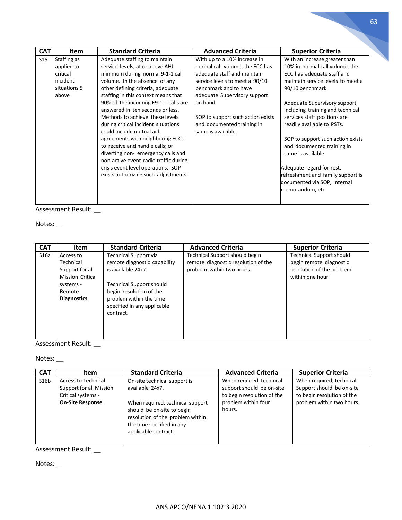| <b>CAT</b>      | <b>Item</b>                                                                | <b>Standard Criteria</b>                                                                                                                                                                                                                                                                                                                                                                                                                                                                                                                                                                                                              | <b>Advanced Criteria</b>                                                                                                                                                                                                                                                                       | <b>Superior Criteria</b>                                                                                                                                                                                                                                                                                                                                                                                                                                                                                |
|-----------------|----------------------------------------------------------------------------|---------------------------------------------------------------------------------------------------------------------------------------------------------------------------------------------------------------------------------------------------------------------------------------------------------------------------------------------------------------------------------------------------------------------------------------------------------------------------------------------------------------------------------------------------------------------------------------------------------------------------------------|------------------------------------------------------------------------------------------------------------------------------------------------------------------------------------------------------------------------------------------------------------------------------------------------|---------------------------------------------------------------------------------------------------------------------------------------------------------------------------------------------------------------------------------------------------------------------------------------------------------------------------------------------------------------------------------------------------------------------------------------------------------------------------------------------------------|
| S <sub>15</sub> | Staffing as<br>applied to<br>critical<br>incident<br>situations 5<br>above | Adequate staffing to maintain<br>service levels, at or above AHJ<br>minimum during normal 9-1-1 call<br>volume. In the absence of any<br>other defining criteria, adequate<br>staffing in this context means that<br>90% of the incoming E9-1-1 calls are<br>answered in ten seconds or less.<br>Methods to achieve these levels<br>during critical incident situations<br>could include mutual aid<br>agreements with neighboring ECCs<br>to receive and handle calls; or<br>diverting non-emergency calls and<br>non-active event radio traffic during<br>crisis event level operations. SOP<br>exists authorizing such adjustments | With up to a 10% increase in<br>normal call volume, the ECC has<br>adequate staff and maintain<br>service levels to meet a 90/10<br>benchmark and to have<br>adequate Supervisory support<br>on hand.<br>SOP to support such action exists<br>and documented training in<br>same is available. | With an increase greater than<br>10% in normal call volume, the<br>ECC has adequate staff and<br>maintain service levels to meet a<br>90/10 benchmark.<br>Adequate Supervisory support,<br>including training and technical<br>services staff positions are<br>readily available to PSTs.<br>SOP to support such action exists<br>and documented training in<br>same is available<br>Adequate regard for rest,<br>refreshment and family support is<br>documented via SOP, internal<br>memorandum, etc. |

# Notes: \_\_

| <b>CAT</b> | Item                                                                                                              | <b>Standard Criteria</b>                                                                                                                                                                                                | <b>Advanced Criteria</b>                                                                           | <b>Superior Criteria</b>                                                                                    |
|------------|-------------------------------------------------------------------------------------------------------------------|-------------------------------------------------------------------------------------------------------------------------------------------------------------------------------------------------------------------------|----------------------------------------------------------------------------------------------------|-------------------------------------------------------------------------------------------------------------|
| S16a       | Access to<br>Technical<br>Support for all<br><b>Mission Critical</b><br>systems -<br>Remote<br><b>Diagnostics</b> | <b>Technical Support via</b><br>remote diagnostic capability<br>is available 24x7.<br><b>Technical Support should</b><br>begin resolution of the<br>problem within the time<br>specified in any applicable<br>contract. | Technical Support should begin<br>remote diagnostic resolution of the<br>problem within two hours. | <b>Technical Support should</b><br>begin remote diagnostic<br>resolution of the problem<br>within one hour. |

Assessment Result: \_\_

# Notes: \_\_

| <b>CAT</b>       | <b>Item</b>                                                                                      | <b>Standard Criteria</b>                                                                                                                                                                                   | <b>Advanced Criteria</b>                                                                                             | <b>Superior Criteria</b>                                                                                         |
|------------------|--------------------------------------------------------------------------------------------------|------------------------------------------------------------------------------------------------------------------------------------------------------------------------------------------------------------|----------------------------------------------------------------------------------------------------------------------|------------------------------------------------------------------------------------------------------------------|
| S16 <sub>b</sub> | <b>Access to Technical</b><br>Support for all Mission<br>Critical systems -<br>On-Site Response. | On-site technical support is<br>available 24x7.<br>When required, technical support<br>should be on-site to begin<br>resolution of the problem within<br>the time specified in any<br>applicable contract. | When required, technical<br>support should be on-site<br>to begin resolution of the<br>problem within four<br>hours. | When required, technical<br>Support should be on-site<br>to begin resolution of the<br>problem within two hours. |

Assessment Result:

Notes: \_\_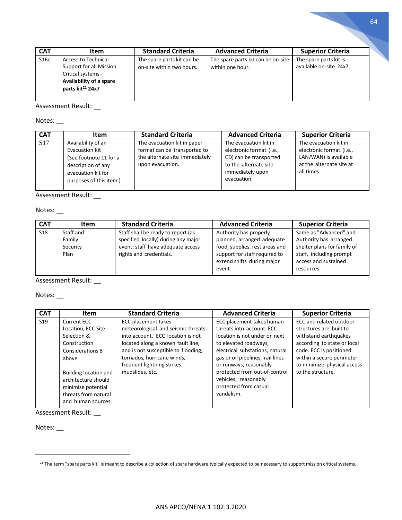| <b>CAT</b> | <b>Item</b>                                                                                                                     | <b>Standard Criteria</b>                                | <b>Advanced Criteria</b>                               | <b>Superior Criteria</b>                          |
|------------|---------------------------------------------------------------------------------------------------------------------------------|---------------------------------------------------------|--------------------------------------------------------|---------------------------------------------------|
| S16c       | Access to Technical<br>Support for all Mission<br>Critical systems -<br>Availability of a spare<br>parts kit <sup>21</sup> 24x7 | The spare parts kit can be<br>on-site within two hours. | The spare parts kit can be on-site<br>within one hour. | The spare parts kit is<br>available on-site 24x7. |

Notes: \_\_

| <b>CAT</b> | Item                                                                                                                                         | <b>Standard Criteria</b>                                                                                          | <b>Advanced Criteria</b>                                                                                                                | <b>Superior Criteria</b>                                                                                             |
|------------|----------------------------------------------------------------------------------------------------------------------------------------------|-------------------------------------------------------------------------------------------------------------------|-----------------------------------------------------------------------------------------------------------------------------------------|----------------------------------------------------------------------------------------------------------------------|
| S17        | Availability of an<br><b>Evacuation Kit</b><br>(See footnote 11 for a<br>description of any<br>evacuation kit for<br>purposes of this item.) | The evacuation kit in paper<br>format can be transported to<br>the alternate site immediately<br>upon evacuation. | The evacuation kit in<br>electronic format (i.e.,<br>CD) can be transported<br>to the alternate site<br>immediately upon<br>evacuation. | The evacuation kit in<br>electronic format (i.e.,<br>LAN/WAN) is available<br>at the alternate site at<br>all times. |

Assessment Result: \_\_

#### Notes: \_\_

| <b>CAT</b> | Item                                    | <b>Standard Criteria</b>                                                                                                                  | <b>Advanced Criteria</b>                                                                                                                                        | <b>Superior Criteria</b>                                                                                                                         |
|------------|-----------------------------------------|-------------------------------------------------------------------------------------------------------------------------------------------|-----------------------------------------------------------------------------------------------------------------------------------------------------------------|--------------------------------------------------------------------------------------------------------------------------------------------------|
| S18        | Staff and<br>Family<br>Security<br>Plan | Staff shall be ready to report (as<br>specified locally) during any major<br>event; staff have adequate access<br>rights and credentials. | Authority has properly<br>planned, arranged adequate<br>food, supplies, rest areas and<br>support for staff required to<br>extend shifts during major<br>event. | Same as "Advanced" and<br>Authority has arranged<br>shelter plans for family of<br>staff, including prompt<br>access and sustained<br>resources. |

Assessment Result:

## Notes: \_\_

| <b>CAT</b>      | <b>Item</b>           | <b>Standard Criteria</b>            | <b>Advanced Criteria</b>         | <b>Superior Criteria</b>    |
|-----------------|-----------------------|-------------------------------------|----------------------------------|-----------------------------|
| S <sub>19</sub> | Current ECC           | <b>ECC placement takes</b>          | ECC placement takes human        | ECC and related outdoor     |
|                 | Location, ECC Site    | meteorological and seismic threats  | threats into account. ECC        | structures are built to     |
|                 | Selection &           | into account. ECC location is not   | location is not under or next    | withstand earthquakes       |
|                 | Construction          | located along a known fault line,   | to elevated roadways,            | according to state or local |
|                 | Considerations 8      | and is not susceptible to flooding, | electrical substations, natural  | code. ECC is positioned     |
|                 | above.                | tornados, hurricane winds,          | gas or oil pipelines, rail lines | within a secure perimeter   |
|                 |                       | frequent lightning strikes,         | or runways; reasonably           | to minimize physical access |
|                 | Building location and | mudslides, etc.                     | protected from out-of-control    | to the structure.           |
|                 | architecture should   |                                     | vehicles; reasonably             |                             |
|                 | minimize potential    |                                     | protected from casual            |                             |
|                 | threats from natural  |                                     | vandalism.                       |                             |
|                 | and human sources.    |                                     |                                  |                             |

Assessment Result: \_\_

<sup>&</sup>lt;sup>21</sup> The term "spare parts kit" is meant to describe a collection of spare hardware typically expected to be necessary to support mission critical systems.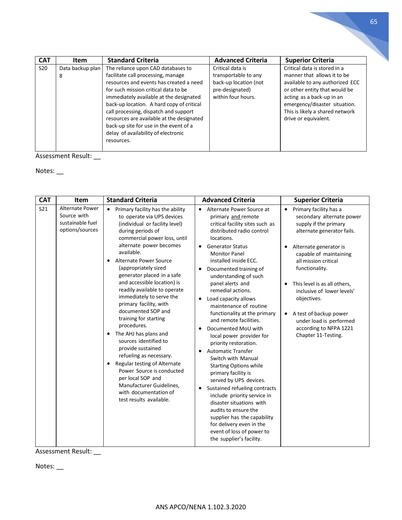| <b>CAT</b> | Item                  | <b>Standard Criteria</b>                                                                                                                                                                                                                                                                                                                                                                                                                 | <b>Advanced Criteria</b>                                                                                   | <b>Superior Criteria</b>                                                                                                                                                                                                                                 |
|------------|-----------------------|------------------------------------------------------------------------------------------------------------------------------------------------------------------------------------------------------------------------------------------------------------------------------------------------------------------------------------------------------------------------------------------------------------------------------------------|------------------------------------------------------------------------------------------------------------|----------------------------------------------------------------------------------------------------------------------------------------------------------------------------------------------------------------------------------------------------------|
| <b>S20</b> | Data backup plan<br>8 | The reliance upon CAD databases to<br>facilitate call processing, manage<br>resources and events has created a need<br>for such mission critical data to be<br>immediately available at the designated<br>back-up location. A hard copy of critical<br>call processing, dispatch and support<br>resources are available at the designated<br>back-up site for use in the event of a<br>delay of availability of electronic<br>resources. | Critical data is<br>transportable to any<br>back-up location (not<br>pre-designated)<br>within four hours. | Critical data is stored in a<br>manner that allows it to be<br>available to any authorized ECC<br>or other entity that would be<br>acting as a back-up in an<br>emergency/disaster situation.<br>This is likely a shared network<br>drive or equivalent. |

Notes: \_\_

| <b>CAT</b> | Item                                                                         | <b>Standard Criteria</b>                                                                                                                                                                                                                                                                                                                                                                                                    | <b>Advanced Criteria</b>                                                                                                                                                                                                                                                                                                                                                                                                                                                                                                                                                                                         | <b>Superior Criteria</b>                                                                                                                                                                                                                              |
|------------|------------------------------------------------------------------------------|-----------------------------------------------------------------------------------------------------------------------------------------------------------------------------------------------------------------------------------------------------------------------------------------------------------------------------------------------------------------------------------------------------------------------------|------------------------------------------------------------------------------------------------------------------------------------------------------------------------------------------------------------------------------------------------------------------------------------------------------------------------------------------------------------------------------------------------------------------------------------------------------------------------------------------------------------------------------------------------------------------------------------------------------------------|-------------------------------------------------------------------------------------------------------------------------------------------------------------------------------------------------------------------------------------------------------|
| S21        | <b>Alternate Power</b><br>Source with<br>sustainable fuel<br>options/sources | Primary facility has the ability<br>$\bullet$<br>to operate via UPS devices<br>(individual or facility level)<br>during periods of<br>commercial power loss, until<br>alternate power becomes<br>available.<br><b>Alternate Power Source</b><br>$\bullet$<br>(appropriately sized<br>generator placed in a safe<br>and accessible location) is                                                                              | Alternate Power Source at<br>$\bullet$<br>primary and remote<br>critical facility sites such as<br>distributed radio control<br>locations.<br><b>Generator Status</b><br>$\bullet$<br><b>Monitor Panel</b><br>installed inside ECC.<br>Documented training of<br>understanding of such<br>panel alerts and                                                                                                                                                                                                                                                                                                       | Primary facility has a<br>$\bullet$<br>secondary alternate power<br>supply if the primary<br>alternate generator fails.<br>Alternate generator is<br>capable of maintaining<br>all mission critical<br>functionality.<br>This level is as all others, |
|            |                                                                              | readily available to operate<br>immediately to serve the<br>primary facility, with<br>documented SOP and<br>training for starting<br>procedures.<br>• The AHJ has plans and<br>sources identified to<br>provide sustained<br>refueling as necessary.<br>Regular testing of Alternate<br>٠<br>Power Source is conducted<br>per local SOP and<br>Manufacturer Guidelines,<br>with documentation of<br>test results available. | remedial actions.<br>Load capacity allows<br>$\bullet$<br>maintenance of routine<br>functionality at the primary<br>and remote facilities.<br>Documented MoU with<br>local power provider for<br>priority restoration.<br><b>Automatic Transfer</b><br>Switch with Manual<br><b>Starting Options while</b><br>primary facility is<br>served by UPS devices.<br>Sustained refueling contracts<br>$\bullet$<br>include priority service in<br>disaster situations with<br>audits to ensure the<br>supplier has the capability<br>for delivery even in the<br>event of loss of power to<br>the supplier's facility. | inclusive of lower levels'<br>objectives.<br>A test of backup power<br>$\bullet$<br>under load is performed<br>according to NFPA 1221<br>Chapter 11-Testing.                                                                                          |

Assessment Result: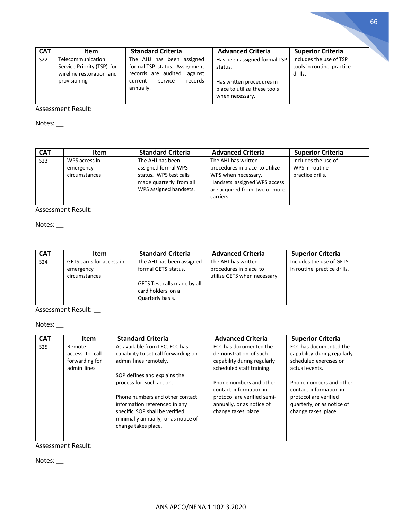| <b>CAT</b>      | Item                                                   | <b>Standard Criteria</b>                                        | <b>Advanced Criteria</b>                                                     | <b>Superior Criteria</b>             |
|-----------------|--------------------------------------------------------|-----------------------------------------------------------------|------------------------------------------------------------------------------|--------------------------------------|
| S <sub>22</sub> | <b>Telecommunication</b>                               | The AHJ has been assigned                                       | Has been assigned formal TSP                                                 | Includes the use of TSP              |
|                 | Service Priority (TSP) for<br>wireline restoration and | formal TSP status. Assignment<br>records are audited<br>against | status.                                                                      | tools in routine practice<br>drills. |
|                 | provisioning                                           | records<br>service<br>current<br>annually.                      | Has written procedures in<br>place to utilize these tools<br>when necessary. |                                      |

Notes: \_\_

| <b>CAT</b> | <b>Item</b>                                 | <b>Standard Criteria</b>                                                                                               | <b>Advanced Criteria</b>                                                                                                                                   | <b>Superior Criteria</b>                                  |
|------------|---------------------------------------------|------------------------------------------------------------------------------------------------------------------------|------------------------------------------------------------------------------------------------------------------------------------------------------------|-----------------------------------------------------------|
| <b>S23</b> | WPS access in<br>emergency<br>circumstances | The AHJ has been<br>assigned formal WPS<br>status. WPS test calls<br>made quarterly from all<br>WPS assigned handsets. | The AHJ has written<br>procedures in place to utilize<br>WPS when necessary.<br>Handsets assigned WPS access<br>are acquired from two or more<br>carriers. | Includes the use of<br>WPS in routine<br>practice drills. |

Assessment Result: \_\_

Notes: \_\_

| <b>CAT</b> | <b>Item</b>                                            | <b>Standard Criteria</b>                                                                                                 | <b>Advanced Criteria</b>                                                      | <b>Superior Criteria</b>                                |
|------------|--------------------------------------------------------|--------------------------------------------------------------------------------------------------------------------------|-------------------------------------------------------------------------------|---------------------------------------------------------|
| S24        | GETS cards for access in<br>emergency<br>circumstances | The AHJ has been assigned<br>formal GETS status.<br>GETS Test calls made by all<br>card holders on a<br>Quarterly basis. | The AHJ has written<br>procedures in place to<br>utilize GETS when necessary. | Includes the use of GETS<br>in routine practice drills. |

Assessment Result: \_\_

Notes: \_\_

| <b>CAT</b>      | <b>Item</b>                                               | <b>Standard Criteria</b>                                                                                                                                                                                                                                                                                                        | <b>Advanced Criteria</b>                                                                                                                                                                                                                            | <b>Superior Criteria</b>                                                                                                                                                                                                             |
|-----------------|-----------------------------------------------------------|---------------------------------------------------------------------------------------------------------------------------------------------------------------------------------------------------------------------------------------------------------------------------------------------------------------------------------|-----------------------------------------------------------------------------------------------------------------------------------------------------------------------------------------------------------------------------------------------------|--------------------------------------------------------------------------------------------------------------------------------------------------------------------------------------------------------------------------------------|
| S <sub>25</sub> | Remote<br>access to call<br>forwarding for<br>admin lines | As available from LEC, ECC has<br>capability to set call forwarding on<br>admin lines remotely.<br>SOP defines and explains the<br>process for such action.<br>Phone numbers and other contact<br>information referenced in any<br>specific SOP shall be verified<br>minimally annually, or as notice of<br>change takes place. | ECC has documented the<br>demonstration of such<br>capability during regularly<br>scheduled staff training.<br>Phone numbers and other<br>contact information in<br>protocol are verified semi-<br>annually, or as notice of<br>change takes place. | ECC has documented the<br>capability during regularly<br>scheduled exercises or<br>actual events.<br>Phone numbers and other<br>contact information in<br>protocol are verified<br>quarterly, or as notice of<br>change takes place. |
|                 |                                                           |                                                                                                                                                                                                                                                                                                                                 |                                                                                                                                                                                                                                                     |                                                                                                                                                                                                                                      |

Assessment Result:

Notes: \_\_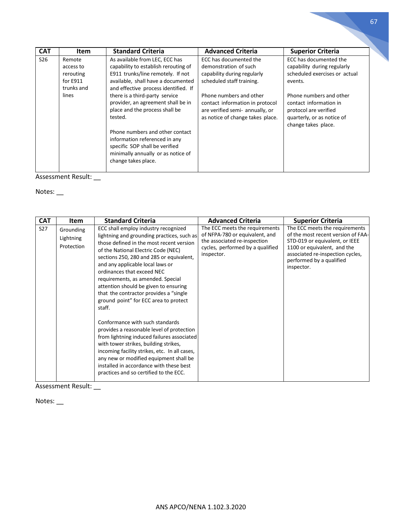| <b>CAT</b>      | <b>Item</b>                                                         | <b>Standard Criteria</b>                                                                                                                                                                                                                                                                                                                                                                                                                                                          | <b>Advanced Criteria</b>                                                                                                                                                                                                                         | <b>Superior Criteria</b>                                                                                                                                                                                                             |
|-----------------|---------------------------------------------------------------------|-----------------------------------------------------------------------------------------------------------------------------------------------------------------------------------------------------------------------------------------------------------------------------------------------------------------------------------------------------------------------------------------------------------------------------------------------------------------------------------|--------------------------------------------------------------------------------------------------------------------------------------------------------------------------------------------------------------------------------------------------|--------------------------------------------------------------------------------------------------------------------------------------------------------------------------------------------------------------------------------------|
| S <sub>26</sub> | Remote<br>access to<br>rerouting<br>for E911<br>trunks and<br>lines | As available from LEC, ECC has<br>capability to establish rerouting of<br>E911 trunks/line remotely. If not<br>available, shall have a documented<br>and effective process identified. If<br>there is a third-party service<br>provider, an agreement shall be in<br>place and the process shall be<br>tested.<br>Phone numbers and other contact<br>information referenced in any<br>specific SOP shall be verified<br>minimally annually or as notice of<br>change takes place. | ECC has documented the<br>demonstration of such<br>capability during regularly<br>scheduled staff training.<br>Phone numbers and other<br>contact information in protocol<br>are verified semi- annually, or<br>as notice of change takes place. | ECC has documented the<br>capability during regularly<br>scheduled exercises or actual<br>events.<br>Phone numbers and other<br>contact information in<br>protocol are verified<br>quarterly, or as notice of<br>change takes place. |

# Notes: \_\_

| <b>CAT</b> | Item                                 | <b>Standard Criteria</b>                                                                                                                                                                                                                                                                                                                                                                                                                                        | <b>Advanced Criteria</b>                                                                                                                           | <b>Superior Criteria</b>                                                                                                                                                                                            |
|------------|--------------------------------------|-----------------------------------------------------------------------------------------------------------------------------------------------------------------------------------------------------------------------------------------------------------------------------------------------------------------------------------------------------------------------------------------------------------------------------------------------------------------|----------------------------------------------------------------------------------------------------------------------------------------------------|---------------------------------------------------------------------------------------------------------------------------------------------------------------------------------------------------------------------|
| <b>S27</b> | Grounding<br>Lightning<br>Protection | ECC shall employ industry recognized<br>lightning and grounding practices, such as<br>those defined in the most recent version<br>of the National Electric Code (NEC)<br>sections 250, 280 and 285 or equivalent,<br>and any applicable local laws or<br>ordinances that exceed NEC<br>requirements, as amended. Special<br>attention should be given to ensuring<br>that the contractor provides a "single"<br>ground point" for ECC area to protect<br>staff. | The ECC meets the requirements<br>of NFPA-780 or equivalent, and<br>the associated re-inspection<br>cycles, performed by a qualified<br>inspector. | The ECC meets the requirements<br>of the most recent version of FAA-<br>STD-019 or equivalent, or IEEE<br>1100 or equivalent, and the<br>associated re-inspection cycles,<br>performed by a qualified<br>inspector. |
|            |                                      | Conformance with such standards<br>provides a reasonable level of protection<br>from lightning induced failures associated<br>with tower strikes, building strikes,<br>incoming facility strikes, etc. In all cases,<br>any new or modified equipment shall be<br>installed in accordance with these best<br>practices and so certified to the ECC.                                                                                                             |                                                                                                                                                    |                                                                                                                                                                                                                     |

Assessment Result: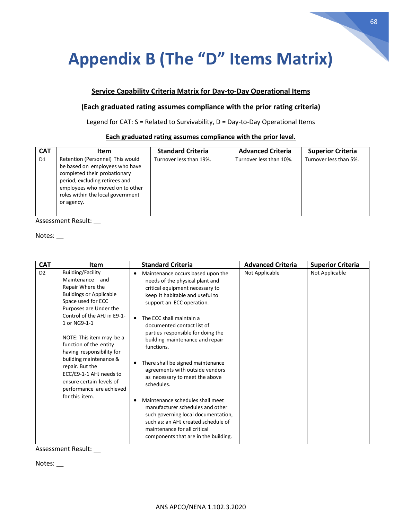# **Appendix B (The "D" Items Matrix)**

## **Service Capability Criteria Matrix for Day-to-Day Operational Items**

# **(Each graduated rating assumes compliance with the prior rating criteria)**

Legend for CAT: S = Related to Survivability, D = Day-to-Day Operational Items

## **Each graduated rating assumes compliance with the prior level.**

| <b>CAT</b> | <b>Item</b>                                                                                                                                                                                                                | <b>Standard Criteria</b> | <b>Advanced Criteria</b> | <b>Superior Criteria</b> |
|------------|----------------------------------------------------------------------------------------------------------------------------------------------------------------------------------------------------------------------------|--------------------------|--------------------------|--------------------------|
| D1         | Retention (Personnel) This would<br>be based on employees who have<br>completed their probationary<br>period, excluding retirees and<br>employees who moved on to other<br>roles within the local government<br>or agency. | Turnover less than 19%.  | Turnover less than 10%.  | Turnover less than 5%.   |

Assessment Result: \_\_

Notes: \_\_

| <b>CAT</b>     | <b>Item</b>                                                                                                                                                                                                                                                                                                                                                                                                                    | <b>Standard Criteria</b>                                                                                                                                                                                                                                                                                                                                                                                                                                                                                                                                                                                                                                                                                          | <b>Advanced Criteria</b> | <b>Superior Criteria</b> |
|----------------|--------------------------------------------------------------------------------------------------------------------------------------------------------------------------------------------------------------------------------------------------------------------------------------------------------------------------------------------------------------------------------------------------------------------------------|-------------------------------------------------------------------------------------------------------------------------------------------------------------------------------------------------------------------------------------------------------------------------------------------------------------------------------------------------------------------------------------------------------------------------------------------------------------------------------------------------------------------------------------------------------------------------------------------------------------------------------------------------------------------------------------------------------------------|--------------------------|--------------------------|
| D <sub>2</sub> | Building/Facility<br>Maintenance and<br>Repair Where the<br><b>Buildings or Applicable</b><br>Space used for ECC<br>Purposes are Under the<br>Control of the AHJ in E9-1-<br>1 or NG9-1-1<br>NOTE: This item may be a<br>function of the entity<br>having responsibility for<br>building maintenance &<br>repair. But the<br>ECC/E9-1-1 AHJ needs to<br>ensure certain levels of<br>performance are achieved<br>for this item. | Maintenance occurs based upon the<br>$\bullet$<br>needs of the physical plant and<br>critical equipment necessary to<br>keep it habitable and useful to<br>support an ECC operation.<br>The ECC shall maintain a<br>$\bullet$<br>documented contact list of<br>parties responsible for doing the<br>building maintenance and repair<br>functions.<br>There shall be signed maintenance<br>٠<br>agreements with outside vendors<br>as necessary to meet the above<br>schedules.<br>Maintenance schedules shall meet<br>٠<br>manufacturer schedules and other<br>such governing local documentation,<br>such as: an AHJ created schedule of<br>maintenance for all critical<br>components that are in the building. | Not Applicable           | Not Applicable           |

Assessment Result: \_\_

Notes: \_\_

 $\overline{\mathbf{r}}$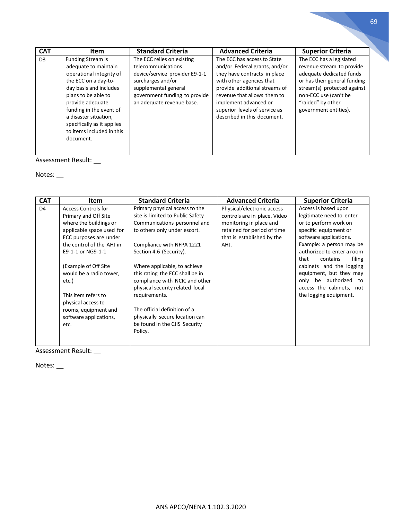| <b>CAT</b>     | <b>Item</b>                                                                                                                                                                                                                                                                                           | <b>Standard Criteria</b>                                                                                                                                                                      | <b>Advanced Criteria</b>                                                                                                                                                                                                                                                          | <b>Superior Criteria</b>                                                                                                                                                                                                |
|----------------|-------------------------------------------------------------------------------------------------------------------------------------------------------------------------------------------------------------------------------------------------------------------------------------------------------|-----------------------------------------------------------------------------------------------------------------------------------------------------------------------------------------------|-----------------------------------------------------------------------------------------------------------------------------------------------------------------------------------------------------------------------------------------------------------------------------------|-------------------------------------------------------------------------------------------------------------------------------------------------------------------------------------------------------------------------|
| D <sub>3</sub> | <b>Funding Stream is</b><br>adequate to maintain<br>operational integrity of<br>the ECC on a day-to-<br>day basis and includes<br>plans to be able to<br>provide adequate<br>funding in the event of<br>a disaster situation,<br>specifically as it applies<br>to items included in this<br>document. | The ECC relies on existing<br>telecommunications<br>device/service provider E9-1-1<br>surcharges and/or<br>supplemental general<br>government funding to provide<br>an adequate revenue base. | The ECC has access to State<br>and/or Federal grants, and/or<br>they have contracts in place<br>with other agencies that<br>provide additional streams of<br>revenue that allows them to<br>implement advanced or<br>superior levels of service as<br>described in this document. | The ECC has a legislated<br>revenue stream to provide<br>adequate dedicated funds<br>or has their general funding<br>stream(s) protected against<br>non-ECC use (can't be<br>"raided" by other<br>government entities). |

# Notes: \_\_

| <b>CAT</b>     | Item                                                                                                                                                                                                                                                                                                                                                      | <b>Standard Criteria</b>                                                                                                                                                                                                                                                                                                                                                                                                                                          | <b>Advanced Criteria</b>                                                                                                                                   | <b>Superior Criteria</b>                                                                                                                                                                                                                                                                                                                                      |
|----------------|-----------------------------------------------------------------------------------------------------------------------------------------------------------------------------------------------------------------------------------------------------------------------------------------------------------------------------------------------------------|-------------------------------------------------------------------------------------------------------------------------------------------------------------------------------------------------------------------------------------------------------------------------------------------------------------------------------------------------------------------------------------------------------------------------------------------------------------------|------------------------------------------------------------------------------------------------------------------------------------------------------------|---------------------------------------------------------------------------------------------------------------------------------------------------------------------------------------------------------------------------------------------------------------------------------------------------------------------------------------------------------------|
| D <sub>4</sub> | <b>Access Controls for</b><br>Primary and Off Site<br>where the buildings or<br>applicable space used for<br>ECC purposes are under<br>the control of the AHJ in<br>E9-1-1 or NG9-1-1<br>(Example of Off Site)<br>would be a radio tower,<br>etc.)<br>This item refers to<br>physical access to<br>rooms, equipment and<br>software applications,<br>etc. | Primary physical access to the<br>site is limited to Public Safety<br>Communications personnel and<br>to others only under escort.<br>Compliance with NFPA 1221<br>Section 4.6 (Security).<br>Where applicable, to achieve<br>this rating the ECC shall be in<br>compliance with NCIC and other<br>physical security related local<br>requirements.<br>The official definition of a<br>physically secure location can<br>be found in the CJIS Security<br>Policy. | Physical/electronic access<br>controls are in place. Video<br>monitoring in place and<br>retained for period of time<br>that is established by the<br>AHJ. | Access is based upon<br>legitimate need to enter<br>or to perform work on<br>specific equipment or<br>software applications.<br>Example: a person may be<br>authorized to enter a room<br>that<br>contains<br>filing<br>cabinets and the logging<br>equipment, but they may<br>only be authorized<br>to<br>access the cabinets, not<br>the logging equipment. |

Assessment Result: \_\_

Notes: \_\_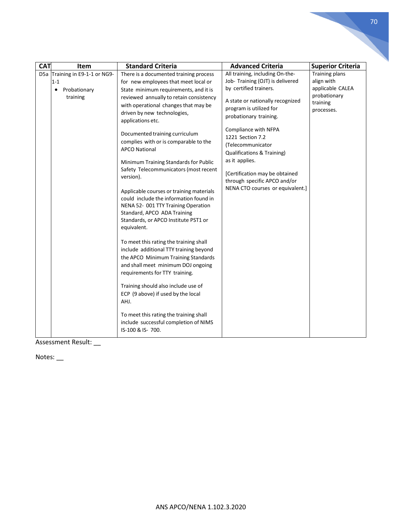|                                                                                    |                                                                                                                                                                                                                                                                                                                                                                                                                                                                                                                                                                                                                                                                                                                                                                                                                                                                                                                                                                                                                                                                                    |                                                                                                                                                                                                                                                                                                                                                                                                              | 70                                                                                         |
|------------------------------------------------------------------------------------|------------------------------------------------------------------------------------------------------------------------------------------------------------------------------------------------------------------------------------------------------------------------------------------------------------------------------------------------------------------------------------------------------------------------------------------------------------------------------------------------------------------------------------------------------------------------------------------------------------------------------------------------------------------------------------------------------------------------------------------------------------------------------------------------------------------------------------------------------------------------------------------------------------------------------------------------------------------------------------------------------------------------------------------------------------------------------------|--------------------------------------------------------------------------------------------------------------------------------------------------------------------------------------------------------------------------------------------------------------------------------------------------------------------------------------------------------------------------------------------------------------|--------------------------------------------------------------------------------------------|
|                                                                                    |                                                                                                                                                                                                                                                                                                                                                                                                                                                                                                                                                                                                                                                                                                                                                                                                                                                                                                                                                                                                                                                                                    |                                                                                                                                                                                                                                                                                                                                                                                                              |                                                                                            |
| <b>CAT</b><br><b>Item</b>                                                          | <b>Standard Criteria</b>                                                                                                                                                                                                                                                                                                                                                                                                                                                                                                                                                                                                                                                                                                                                                                                                                                                                                                                                                                                                                                                           | <b>Advanced Criteria</b>                                                                                                                                                                                                                                                                                                                                                                                     | <b>Superior Criteria</b>                                                                   |
| D5a Training in E9-1-1 or NG9-<br>$1 - 1$<br>Probationary<br>$\bullet$<br>training | There is a documented training process<br>for new employees that meet local or<br>State minimum requirements, and it is<br>reviewed annually to retain consistency<br>with operational changes that may be<br>driven by new technologies,<br>applications etc.<br>Documented training curriculum<br>complies with or is comparable to the<br><b>APCO National</b><br>Minimum Training Standards for Public<br>Safety Telecommunicators (most recent<br>version).<br>Applicable courses or training materials<br>could include the information found in<br>NENA 52-001 TTY Training Operation<br>Standard, APCO ADA Training<br>Standards, or APCO Institute PST1 or<br>equivalent.<br>To meet this rating the training shall<br>include additional TTY training beyond<br>the APCO Minimum Training Standards<br>and shall meet minimum DOJ ongoing<br>requirements for TTY training.<br>Training should also include use of<br>ECP (9 above) if used by the local<br>AHJ.<br>To meet this rating the training shall<br>include successful completion of NIMS<br>IS-100 & IS- 700. | All training, including On-the-<br>Job-Training (OJT) is delivered<br>by certified trainers.<br>A state or nationally recognized<br>program is utilized for<br>probationary training.<br>Compliance with NFPA<br>1221 Section 7.2<br>(Telecommunicator<br>Qualifications & Training)<br>as it applies.<br>[Certification may be obtained<br>through specific APCO and/or<br>NENA CTO courses or equivalent.] | Training plans<br>align with<br>applicable CALEA<br>probationary<br>training<br>processes. |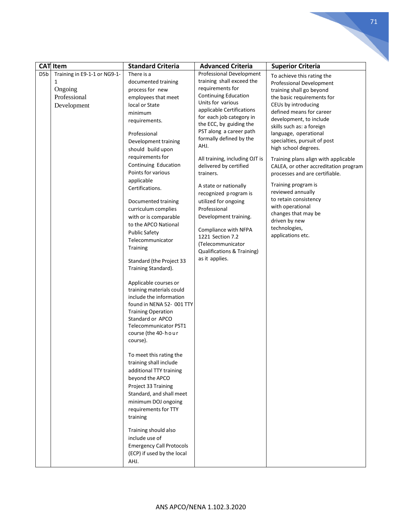| <b>CAT Item</b>  |                                                                             | <b>Standard Criteria</b>                                                                                                                                                                                                                                                                                                                                                                                                                                                                                                                                                                                                                                                                                                                                                                                                                                                                                                                                                                                                                                         | <b>Advanced Criteria</b>                                                                                                                                                                                                                                                                                                                                                                                                                                                                                                                                                                     | <b>Superior Criteria</b>                                                                                                                                                                                                                                                                                                                                                                                                                                                                                                                                                                               |
|------------------|-----------------------------------------------------------------------------|------------------------------------------------------------------------------------------------------------------------------------------------------------------------------------------------------------------------------------------------------------------------------------------------------------------------------------------------------------------------------------------------------------------------------------------------------------------------------------------------------------------------------------------------------------------------------------------------------------------------------------------------------------------------------------------------------------------------------------------------------------------------------------------------------------------------------------------------------------------------------------------------------------------------------------------------------------------------------------------------------------------------------------------------------------------|----------------------------------------------------------------------------------------------------------------------------------------------------------------------------------------------------------------------------------------------------------------------------------------------------------------------------------------------------------------------------------------------------------------------------------------------------------------------------------------------------------------------------------------------------------------------------------------------|--------------------------------------------------------------------------------------------------------------------------------------------------------------------------------------------------------------------------------------------------------------------------------------------------------------------------------------------------------------------------------------------------------------------------------------------------------------------------------------------------------------------------------------------------------------------------------------------------------|
| D <sub>5</sub> b | Training in E9-1-1 or NG9-1-<br>1<br>Ongoing<br>Professional<br>Development | There is a<br>documented training<br>process for new<br>employees that meet<br>local or State<br>minimum<br>requirements.<br>Professional<br>Development training<br>should build upon<br>requirements for<br>Continuing Education<br>Points for various<br>applicable<br>Certifications.<br>Documented training<br>curriculum complies<br>with or is comparable<br>to the APCO National<br><b>Public Safety</b><br>Telecommunicator<br>Training<br>Standard (the Project 33<br>Training Standard).<br>Applicable courses or<br>training materials could<br>include the information<br>found in NENA 52-001 TTY<br><b>Training Operation</b><br>Standard or APCO<br>Telecommunicator PST1<br>course (the 40-hour<br>course).<br>To meet this rating the<br>training shall include<br>additional TTY training<br>beyond the APCO<br>Project 33 Training<br>Standard, and shall meet<br>minimum DOJ ongoing<br>requirements for TTY<br>training<br>Training should also<br>include use of<br><b>Emergency Call Protocols</b><br>(ECP) if used by the local<br>AHJ. | Professional Development<br>training shall exceed the<br>requirements for<br><b>Continuing Education</b><br>Units for various<br>applicable Certifications<br>for each job category in<br>the ECC, by guiding the<br>PST along a career path<br>formally defined by the<br>AHJ.<br>All training, including OJT is<br>delivered by certified<br>trainers.<br>A state or nationally<br>recognized program is<br>utilized for ongoing<br>Professional<br>Development training.<br>Compliance with NFPA<br>1221 Section 7.2<br>(Telecommunicator<br>Qualifications & Training)<br>as it applies. | To achieve this rating the<br>Professional Development<br>training shall go beyond<br>the basic requirements for<br>CEUs by introducing<br>defined means for career<br>development, to include<br>skills such as: a foreign<br>language, operational<br>specialties, pursuit of post<br>high school degrees.<br>Training plans align with applicable<br>CALEA, or other accreditation program<br>processes and are certifiable.<br>Training program is<br>reviewed annually<br>to retain consistency<br>with operational<br>changes that may be<br>driven by new<br>technologies,<br>applications etc. |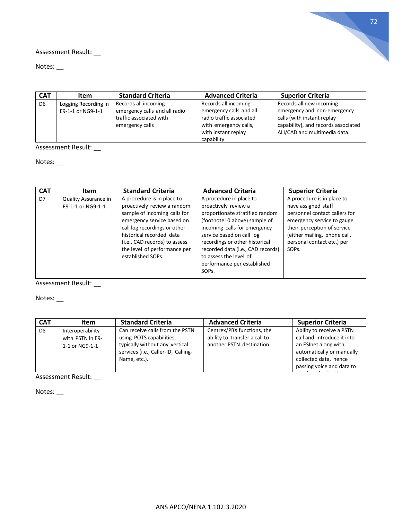Notes: \_\_

| <b>CAT</b>     | Item                 | <b>Standard Criteria</b>      | <b>Advanced Criteria</b> | <b>Superior Criteria</b>            |
|----------------|----------------------|-------------------------------|--------------------------|-------------------------------------|
| D <sub>6</sub> | Logging Recording in | Records all incoming          | Records all incoming     | Records all new incoming            |
|                | E9-1-1 or NG9-1-1    | emergency calls and all radio | emergency calls and all  | emergency and non-emergency         |
|                |                      | traffic associated with       | radio traffic associated | calls (with instant replay          |
|                |                      | emergency calls               | with emergency calls,    | capability), and records associated |
|                |                      |                               | with instant replay      | ALI/CAD and multimedia data.        |
|                |                      |                               | capability               |                                     |

Assessment Result: \_\_

Notes: \_\_

| <b>CAT</b> | <b>Item</b>          | <b>Standard Criteria</b>                                                                                                                                                                                                                    | <b>Advanced Criteria</b>                                                                                                                                                                                                                                                                                   | <b>Superior Criteria</b>                                                                                                                                                                              |
|------------|----------------------|---------------------------------------------------------------------------------------------------------------------------------------------------------------------------------------------------------------------------------------------|------------------------------------------------------------------------------------------------------------------------------------------------------------------------------------------------------------------------------------------------------------------------------------------------------------|-------------------------------------------------------------------------------------------------------------------------------------------------------------------------------------------------------|
| D7         | Quality Assurance in | A procedure is in place to                                                                                                                                                                                                                  | A procedure in place to                                                                                                                                                                                                                                                                                    | A procedure is in place to                                                                                                                                                                            |
|            | E9-1-1 or NG9-1-1    | proactively review a random<br>sample of incoming calls for<br>emergency service based on<br>call log recordings or other<br>historical recorded data<br>(i.e., CAD records) to assess<br>the level of performance per<br>established SOPs. | proactively review a<br>proportionate stratified random<br>(footnote10 above) sample of<br>incoming calls for emergency<br>service based on call log<br>recordings or other historical<br>recorded data (i.e., CAD records)<br>to assess the level of<br>performance per established<br>SOP <sub>S</sub> . | have assigned staff<br>personnel contact callers for<br>emergency service to gauge<br>their perception of service<br>(either mailing, phone call,<br>personal contact etc.) per<br>SOP <sub>S</sub> . |

Assessment Result: \_\_

Notes: \_\_

| <b>CAT</b>     | <b>Item</b>                                            | <b>Standard Criteria</b>                                                                                                                             | <b>Advanced Criteria</b>                                                                 | <b>Superior Criteria</b>                                                                                                                                           |
|----------------|--------------------------------------------------------|------------------------------------------------------------------------------------------------------------------------------------------------------|------------------------------------------------------------------------------------------|--------------------------------------------------------------------------------------------------------------------------------------------------------------------|
| D <sub>8</sub> | Interoperability<br>with PSTN in E9-<br>1-1 or NG9-1-1 | Can receive calls from the PSTN<br>using POTS capabilities,<br>typically without any vertical<br>services (i.e., Caller-ID, Calling-<br>Name, etc.). | Centrex/PBX functions, the<br>ability to transfer a call to<br>another PSTN destination. | Ability to receive a PSTN<br>call and introduce it into<br>an ESInet along with<br>automatically or manually<br>collected data, hence<br>passing voice and data to |
|                | Accordont Doculty                                      |                                                                                                                                                      |                                                                                          |                                                                                                                                                                    |

Assessment Result:

Notes: \_\_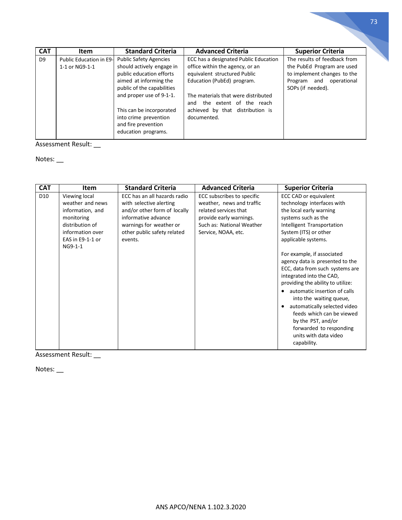| <b>CAT</b>     | Item                                      | <b>Standard Criteria</b>                                                                                                                                                   | <b>Advanced Criteria</b>                                                                                                                                                      | <b>Superior Criteria</b>                                                                                                                  |
|----------------|-------------------------------------------|----------------------------------------------------------------------------------------------------------------------------------------------------------------------------|-------------------------------------------------------------------------------------------------------------------------------------------------------------------------------|-------------------------------------------------------------------------------------------------------------------------------------------|
| D <sub>9</sub> | Public Education in E9-<br>1-1 or NG9-1-1 | <b>Public Safety Agencies</b><br>should actively engage in<br>public education efforts<br>aimed at informing the<br>public of the capabilities<br>and proper use of 9-1-1. | ECC has a designated Public Education<br>office within the agency, or an<br>equivalent structured Public<br>Education (PubEd) program.<br>The materials that were distributed | The results of feedback from<br>the PubEd Program are used<br>to implement changes to the<br>Program and operational<br>SOPs (if needed). |
|                |                                           | This can be incorporated<br>into crime prevention<br>and fire prevention<br>education programs.                                                                            | and the extent of the reach<br>achieved by that distribution is<br>documented.                                                                                                |                                                                                                                                           |

## Notes: \_\_

| <b>CAT</b>      | <b>Item</b>                                                                                                                               | <b>Standard Criteria</b>                                                                                                                                                            | <b>Advanced Criteria</b>                                                                                                                                        | <b>Superior Criteria</b>                                                                                                                                                                                                                                                                                                                                                                                                                                                                                                                                          |
|-----------------|-------------------------------------------------------------------------------------------------------------------------------------------|-------------------------------------------------------------------------------------------------------------------------------------------------------------------------------------|-----------------------------------------------------------------------------------------------------------------------------------------------------------------|-------------------------------------------------------------------------------------------------------------------------------------------------------------------------------------------------------------------------------------------------------------------------------------------------------------------------------------------------------------------------------------------------------------------------------------------------------------------------------------------------------------------------------------------------------------------|
| D <sub>10</sub> | Viewing local<br>weather and news<br>information, and<br>monitoring<br>distribution of<br>information over<br>EAS in E9-1-1 or<br>NG9-1-1 | ECC has an all hazards radio<br>with selective alerting<br>and/or other form of locally<br>informative advance<br>warnings for weather or<br>other public safety related<br>events. | ECC subscribes to specific<br>weather, news and traffic<br>related services that<br>provide early warnings.<br>Such as: National Weather<br>Service, NOAA, etc. | <b>ECC CAD or equivalent</b><br>technology interfaces with<br>the local early warning<br>systems such as the<br>Intelligent Transportation<br>System (ITS) or other<br>applicable systems.<br>For example, if associated<br>agency data is presented to the<br>ECC, data from such systems are<br>integrated into the CAD,<br>providing the ability to utilize:<br>automatic insertion of calls<br>into the waiting queue,<br>automatically selected video<br>feeds which can be viewed<br>by the PST, and/or<br>forwarded to responding<br>units with data video |
|                 |                                                                                                                                           |                                                                                                                                                                                     |                                                                                                                                                                 | capability.                                                                                                                                                                                                                                                                                                                                                                                                                                                                                                                                                       |

Assessment Result: \_\_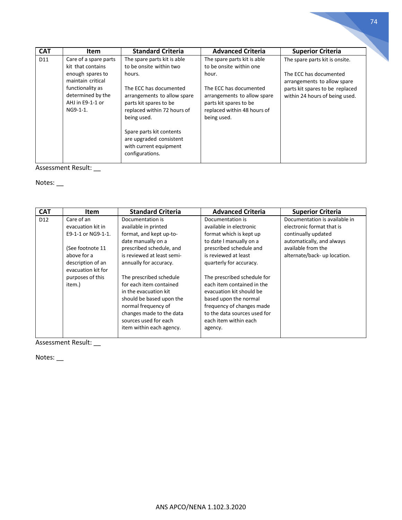| <b>CAT</b> | <b>Item</b>                                                             | <b>Standard Criteria</b>                                                                                                                                                                                                          | <b>Advanced Criteria</b>                                                                                                      | <b>Superior Criteria</b>                                          |
|------------|-------------------------------------------------------------------------|-----------------------------------------------------------------------------------------------------------------------------------------------------------------------------------------------------------------------------------|-------------------------------------------------------------------------------------------------------------------------------|-------------------------------------------------------------------|
| D11        | Care of a spare parts<br>kit that contains                              | The spare parts kit is able<br>to be onsite within two                                                                                                                                                                            | The spare parts kit is able<br>to be onsite within one                                                                        | The spare parts kit is onsite.                                    |
|            | enough spares to<br>maintain critical                                   | hours.                                                                                                                                                                                                                            | hour.                                                                                                                         | The ECC has documented<br>arrangements to allow spare             |
|            | functionality as<br>determined by the<br>AHJ in E9-1-1 or<br>$NG9-1-1.$ | The ECC has documented<br>arrangements to allow spare<br>parts kit spares to be<br>replaced within 72 hours of<br>being used.<br>Spare parts kit contents<br>are upgraded consistent<br>with current equipment<br>configurations. | The ECC has documented<br>arrangements to allow spare<br>parts kit spares to be<br>replaced within 48 hours of<br>being used. | parts kit spares to be replaced<br>within 24 hours of being used. |

Notes: \_\_

| <b>CAT</b>      | <b>Item</b>                                                                                                                                                       | <b>Standard Criteria</b>                                                                                                                                                                                                                                                                                                                    | <b>Advanced Criteria</b>                                                                                                                                                                                                                                                                                                                                       | <b>Superior Criteria</b>                                                                                                                                             |
|-----------------|-------------------------------------------------------------------------------------------------------------------------------------------------------------------|---------------------------------------------------------------------------------------------------------------------------------------------------------------------------------------------------------------------------------------------------------------------------------------------------------------------------------------------|----------------------------------------------------------------------------------------------------------------------------------------------------------------------------------------------------------------------------------------------------------------------------------------------------------------------------------------------------------------|----------------------------------------------------------------------------------------------------------------------------------------------------------------------|
| D <sub>12</sub> | Care of an<br>evacuation kit in<br>E9-1-1 or NG9-1-1.<br>(See footnote 11<br>above for a<br>description of an<br>evacuation kit for<br>purposes of this<br>item.) | Documentation is<br>available in printed<br>format, and kept up-to-<br>date manually on a<br>prescribed schedule, and<br>is reviewed at least semi-<br>annually for accuracy.<br>The prescribed schedule<br>for each item contained<br>in the evacuation kit<br>should be based upon the<br>normal frequency of<br>changes made to the data | Documentation is<br>available in electronic<br>format which is kept up<br>to date I manually on a<br>prescribed schedule and<br>is reviewed at least<br>quarterly for accuracy.<br>The prescribed schedule for<br>each item contained in the<br>evacuation kit should be<br>based upon the normal<br>frequency of changes made<br>to the data sources used for | Documentation is available in<br>electronic format that is<br>continually updated<br>automatically, and always<br>available from the<br>alternate/back- up location. |
|                 |                                                                                                                                                                   | sources used for each<br>item within each agency.                                                                                                                                                                                                                                                                                           | each item within each<br>agency.                                                                                                                                                                                                                                                                                                                               |                                                                                                                                                                      |

Assessment Result: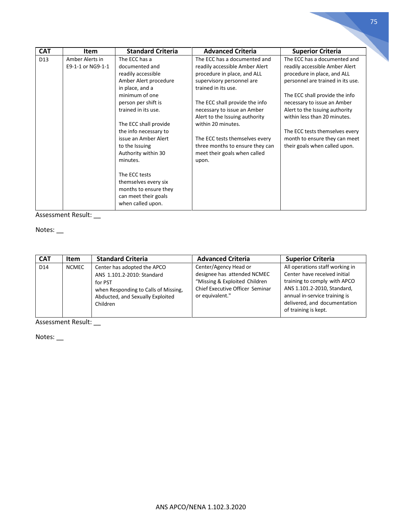| <b>CAT</b>      | <b>Item</b>       | <b>Standard Criteria</b> | <b>Advanced Criteria</b>        | <b>Superior Criteria</b>          |
|-----------------|-------------------|--------------------------|---------------------------------|-----------------------------------|
| D <sub>13</sub> | Amber Alerts in   | The ECC has a            | The ECC has a documented and    | The ECC has a documented and      |
|                 | E9-1-1 or NG9-1-1 | documented and           | readily accessible Amber Alert  | readily accessible Amber Alert    |
|                 |                   | readily accessible       | procedure in place, and ALL     | procedure in place, and ALL       |
|                 |                   | Amber Alert procedure    | supervisory personnel are       | personnel are trained in its use. |
|                 |                   | in place, and a          | trained in its use.             |                                   |
|                 |                   | minimum of one           |                                 | The ECC shall provide the info    |
|                 |                   | person per shift is      | The ECC shall provide the info  | necessary to issue an Amber       |
|                 |                   | trained in its use.      | necessary to issue an Amber     | Alert to the Issuing authority    |
|                 |                   |                          | Alert to the Issuing authority  | within less than 20 minutes.      |
|                 |                   | The ECC shall provide    | within 20 minutes.              |                                   |
|                 |                   | the info necessary to    |                                 | The ECC tests themselves every    |
|                 |                   | issue an Amber Alert     | The ECC tests themselves every  | month to ensure they can meet     |
|                 |                   | to the Issuing           | three months to ensure they can | their goals when called upon.     |
|                 |                   | Authority within 30      | meet their goals when called    |                                   |
|                 |                   | minutes.                 | upon.                           |                                   |
|                 |                   | The ECC tests            |                                 |                                   |
|                 |                   | themselves every six     |                                 |                                   |
|                 |                   | months to ensure they    |                                 |                                   |
|                 |                   | can meet their goals     |                                 |                                   |
|                 |                   | when called upon.        |                                 |                                   |

Notes: \_\_

| <b>CAT</b>      | <b>Item</b>  | <b>Standard Criteria</b>                                                                                                                                     | <b>Advanced Criteria</b>                                                                                                                    | <b>Superior Criteria</b>                                                                                                                                                                                                |
|-----------------|--------------|--------------------------------------------------------------------------------------------------------------------------------------------------------------|---------------------------------------------------------------------------------------------------------------------------------------------|-------------------------------------------------------------------------------------------------------------------------------------------------------------------------------------------------------------------------|
| D <sub>14</sub> | <b>NCMEC</b> | Center has adopted the APCO<br>ANS 1.101.2-2010: Standard<br>for PST<br>when Responding to Calls of Missing,<br>Abducted, and Sexually Exploited<br>Children | Center/Agency Head or<br>designee has attended NCMEC<br>"Missing & Exploited Children<br>Chief Executive Officer Seminar<br>or equivalent." | All operations staff working in<br>Center have received initial<br>training to comply with APCO<br>ANS 1.101.2-2010, Standard,<br>annual in-service training is<br>delivered, and documentation<br>of training is kept. |

Assessment Result: \_\_

Notes: \_\_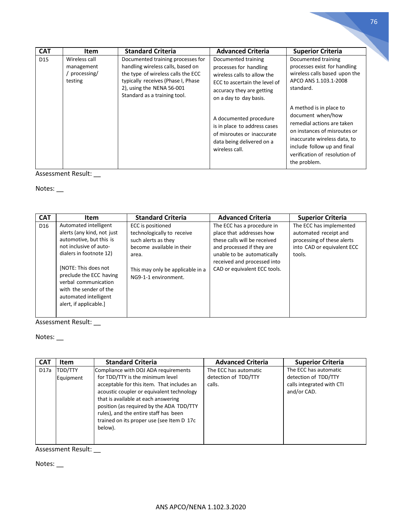| <b>CAT</b>      | <b>Item</b>                                             | <b>Standard Criteria</b>                                                                                                                                                                                        | <b>Advanced Criteria</b>                                                                                                                                             | <b>Superior Criteria</b>                                                                                                                                                                                                   |
|-----------------|---------------------------------------------------------|-----------------------------------------------------------------------------------------------------------------------------------------------------------------------------------------------------------------|----------------------------------------------------------------------------------------------------------------------------------------------------------------------|----------------------------------------------------------------------------------------------------------------------------------------------------------------------------------------------------------------------------|
| D <sub>15</sub> | Wireless call<br>management<br>' processing/<br>testing | Documented training processes for<br>handling wireless calls, based on<br>the type of wireless calls the ECC<br>typically receives (Phase I, Phase<br>2), using the NENA 56-001<br>Standard as a training tool. | Documented training<br>processes for handling<br>wireless calls to allow the<br>ECC to ascertain the level of<br>accuracy they are getting<br>on a day to day basis. | Documented training<br>processes exist for handling<br>wireless calls based upon the<br>APCO ANS 1.103.1-2008<br>standard.                                                                                                 |
|                 |                                                         |                                                                                                                                                                                                                 | A documented procedure<br>is in place to address cases<br>of misroutes or inaccurate<br>data being delivered on a<br>wireless call.                                  | A method is in place to<br>document when/how<br>remedial actions are taken<br>on instances of misroutes or<br>inaccurate wireless data, to<br>include follow up and final<br>verification of resolution of<br>the problem. |

Notes: \_\_

| <b>CAT</b> | <b>Item</b>                                                                                                                                          | <b>Standard Criteria</b>                                                                                            | <b>Advanced Criteria</b>                                                                                                                                                         | <b>Superior Criteria</b>                                                                                               |
|------------|------------------------------------------------------------------------------------------------------------------------------------------------------|---------------------------------------------------------------------------------------------------------------------|----------------------------------------------------------------------------------------------------------------------------------------------------------------------------------|------------------------------------------------------------------------------------------------------------------------|
| D16        | Automated intelligent<br>alerts (any kind, not just<br>automotive, but this is<br>not inclusive of auto-<br>dialers in footnote 12)                  | <b>ECC</b> is positioned<br>technologically to receive<br>such alerts as they<br>become available in their<br>area. | The ECC has a procedure in<br>place that addresses how<br>these calls will be received<br>and processed if they are<br>unable to be automatically<br>received and processed into | The ECC has implemented<br>automated receipt and<br>processing of these alerts<br>into CAD or equivalent ECC<br>tools. |
|            | [NOTE: This does not<br>preclude the ECC having<br>verbal communication<br>with the sender of the<br>automated intelligent<br>alert, if applicable.] | This may only be applicable in a<br>NG9-1-1 environment.                                                            | CAD or equivalent ECC tools.                                                                                                                                                     |                                                                                                                        |

Assessment Result: \_\_

## Notes: \_\_

| <b>CAT</b> | Item                 | <b>Standard Criteria</b>                                                                                                                                                                                                                                                                                                                                | <b>Advanced Criteria</b>                                | <b>Superior Criteria</b>                                                                  |
|------------|----------------------|---------------------------------------------------------------------------------------------------------------------------------------------------------------------------------------------------------------------------------------------------------------------------------------------------------------------------------------------------------|---------------------------------------------------------|-------------------------------------------------------------------------------------------|
| D17a       | TDD/TTY<br>Equipment | Compliance with DOJ ADA requirements<br>for TDD/TTY is the minimum level<br>acceptable for this item. That includes an<br>acoustic coupler or equivalent technology<br>that is available at each answering<br>position (as required by the ADA TDD/TTY<br>rules), and the entire staff has been<br>trained on its proper use (see Item D 17c<br>below). | The ECC has automatic<br>detection of TDD/TTY<br>calls. | The ECC has automatic<br>detection of TDD/TTY<br>calls integrated with CTI<br>and/or CAD. |

Assessment Result: \_\_

Notes: \_\_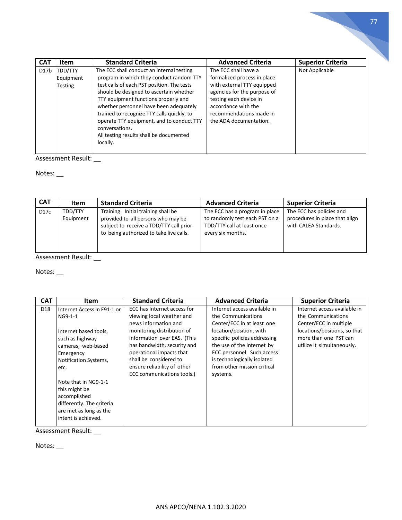| <b>CAT</b> | <b>Item</b>    | <b>Standard Criteria</b>                   | <b>Advanced Criteria</b>    | <b>Superior Criteria</b> |
|------------|----------------|--------------------------------------------|-----------------------------|--------------------------|
| D17b       | <b>TDD/TTY</b> | The ECC shall conduct an internal testing  | The ECC shall have a        | Not Applicable           |
|            | Equipment      | program in which they conduct random TTY   | formalized process in place |                          |
|            | <b>Testing</b> | test calls of each PST position. The tests | with external TTY equipped  |                          |
|            |                | should be designed to ascertain whether    | agencies for the purpose of |                          |
|            |                | TTY equipment functions properly and       | testing each device in      |                          |
|            |                | whether personnel have been adequately     | accordance with the         |                          |
|            |                | trained to recognize TTY calls quickly, to | recommendations made in     |                          |
|            |                | operate TTY equipment, and to conduct TTY  | the ADA documentation.      |                          |
|            |                | conversations.                             |                             |                          |
|            |                | All testing results shall be documented    |                             |                          |
|            |                | locally.                                   |                             |                          |
|            |                |                                            |                             |                          |

## Notes: \_\_

| <b>CAT</b>        | <b>Item</b>          | <b>Standard Criteria</b>                                                                                                                                       | <b>Advanced Criteria</b>                                                                                            | <b>Superior Criteria</b>                                                            |
|-------------------|----------------------|----------------------------------------------------------------------------------------------------------------------------------------------------------------|---------------------------------------------------------------------------------------------------------------------|-------------------------------------------------------------------------------------|
| D <sub>17</sub> c | TDD/TTY<br>Equipment | Training Initial training shall be<br>provided to all persons who may be<br>subject to receive a TDD/TTY call prior<br>to being authorized to take live calls. | The ECC has a program in place<br>to randomly test each PST on a<br>TDD/TTY call at least once<br>every six months. | The ECC has policies and<br>procedures in place that align<br>with CALEA Standards. |

Assessment Result: \_\_

Notes: \_\_

| <b>CAT</b> | <b>Item</b>                                                                                                                                                     | <b>Standard Criteria</b>                                                                                                                                                                                                                                                                        | <b>Advanced Criteria</b>                                                                                                                                                                                                                                                         | <b>Superior Criteria</b>                                                                                                                                            |
|------------|-----------------------------------------------------------------------------------------------------------------------------------------------------------------|-------------------------------------------------------------------------------------------------------------------------------------------------------------------------------------------------------------------------------------------------------------------------------------------------|----------------------------------------------------------------------------------------------------------------------------------------------------------------------------------------------------------------------------------------------------------------------------------|---------------------------------------------------------------------------------------------------------------------------------------------------------------------|
| D18        | Internet Access in E91-1 or<br>$NG9-1-1$<br>Internet based tools,<br>such as highway<br>cameras, web-based<br>Emergency<br><b>Notification Systems,</b><br>etc. | ECC has Internet access for<br>viewing local weather and<br>news information and<br>monitoring distribution of<br>information over EAS. (This<br>has bandwidth, security and<br>operational impacts that<br>shall be considered to<br>ensure reliability of other<br>ECC communications tools.) | Internet access available in<br>the Communications<br>Center/ECC in at least one<br>location/position, with<br>specific policies addressing<br>the use of the Internet by<br>ECC personnel Such access<br>is technologically isolated<br>from other mission critical<br>systems. | Internet access available in<br>the Communications<br>Center/ECC in multiple<br>locations/positions, so that<br>more than one PST can<br>utilize it simultaneously. |
|            | Note that in NG9-1-1<br>this might be<br>accomplished<br>differently. The criteria<br>are met as long as the<br>intent is achieved.                             |                                                                                                                                                                                                                                                                                                 |                                                                                                                                                                                                                                                                                  |                                                                                                                                                                     |

Assessment Result: \_\_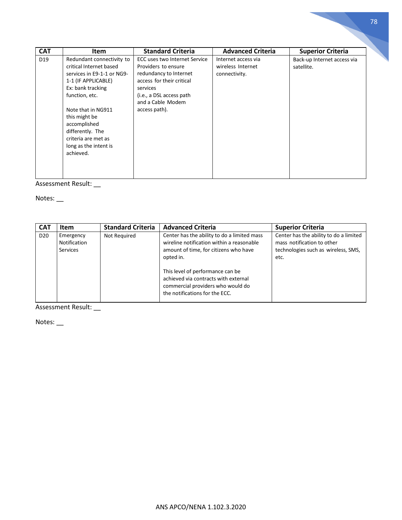| <b>CAT</b> | <b>Item</b>                | <b>Standard Criteria</b>      | <b>Advanced Criteria</b> | <b>Superior Criteria</b>    |
|------------|----------------------------|-------------------------------|--------------------------|-----------------------------|
|            | Redundant connectivity to  | ECC uses two Internet Service | Internet access via      | Back-up Internet access via |
| D19        | critical Internet based    | Providers to ensure           | wireless Internet        | satellite.                  |
|            | services in E9-1-1 or NG9- | redundancy to Internet        | connectivity.            |                             |
|            | 1-1 (IF APPLICABLE)        | access for their critical     |                          |                             |
|            | Ex: bank tracking          | services                      |                          |                             |
|            | function, etc.             | (i.e., a DSL access path      |                          |                             |
|            |                            | and a Cable Modem             |                          |                             |
|            | Note that in NG911         | access path).                 |                          |                             |
|            | this might be              |                               |                          |                             |
|            | accomplished               |                               |                          |                             |
|            | differently. The           |                               |                          |                             |
|            | criteria are met as        |                               |                          |                             |
|            | long as the intent is      |                               |                          |                             |
|            | achieved.                  |                               |                          |                             |

## Notes: \_\_

| <b>CAT</b>      | <b>Item</b>                                  | <b>Standard Criteria</b> | <b>Advanced Criteria</b>                                                                                                                                                                                                                                                                          | <b>Superior Criteria</b>                                                                                            |
|-----------------|----------------------------------------------|--------------------------|---------------------------------------------------------------------------------------------------------------------------------------------------------------------------------------------------------------------------------------------------------------------------------------------------|---------------------------------------------------------------------------------------------------------------------|
| D <sub>20</sub> | Emergency<br>Notification<br><b>Services</b> | Not Required             | Center has the ability to do a limited mass<br>wireline notification within a reasonable<br>amount of time, for citizens who have<br>opted in.<br>This level of performance can be<br>achieved via contracts with external<br>commercial providers who would do<br>the notifications for the ECC. | Center has the ability to do a limited<br>mass notification to other<br>technologies such as wireless, SMS,<br>etc. |

### Assessment Result: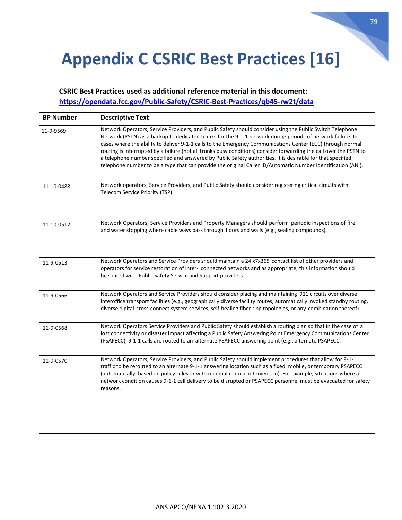# **Appendix C CSRIC Best Practices [16]**

#### **CSRIC Best Practices used as additional reference material in this document:**

**<https://opendata.fcc.gov/Public-Safety/CSRIC-Best-Practices/qb45-rw2t/data>**

| <b>BP Number</b> | <b>Descriptive Text</b>                                                                                                                                                                                                                                                                                                                                                                                                                                                                                                                                                                                                                                                                   |
|------------------|-------------------------------------------------------------------------------------------------------------------------------------------------------------------------------------------------------------------------------------------------------------------------------------------------------------------------------------------------------------------------------------------------------------------------------------------------------------------------------------------------------------------------------------------------------------------------------------------------------------------------------------------------------------------------------------------|
| 11-9-9569        | Network Operators, Service Providers, and Public Safety should consider using the Public Switch Telephone<br>Network (PSTN) as a backup to dedicated trunks for the 9-1-1 network during periods of network failure. In<br>cases where the ability to deliver 9-1-1 calls to the Emergency Communications Center (ECC) through normal<br>routing is interrupted by a failure (not all trunks busy conditions) consider forwarding the call over the PSTN to<br>a telephone number specified and answered by Public Safety authorities. It is desirable for that specified<br>telephone number to be a type that can provide the original Caller ID/Automatic Number Identification (ANI). |
| 11-10-0488       | Network operators, Service Providers, and Public Safety should consider registering critical circuits with<br>Telecom Service Priority (TSP).                                                                                                                                                                                                                                                                                                                                                                                                                                                                                                                                             |
| 11-10-0512       | Network Operators, Service Providers and Property Managers should perform periodic inspections of fire<br>and water stopping where cable ways pass through floors and walls (e.g., sealing compounds).                                                                                                                                                                                                                                                                                                                                                                                                                                                                                    |
| 11-9-0513        | Network Operators and Service Providers should maintain a 24 x7x365 contact list of other providers and<br>operators for service restoration of inter- connected networks and as appropriate, this information should<br>be shared with Public Safety Service and Support providers.                                                                                                                                                                                                                                                                                                                                                                                                      |
| 11-9-0566        | Network Operators and Service Providers should consider placing and maintaining 911 circuits over diverse<br>interoffice transport facilities (e.g., geographically diverse facility routes, automatically invoked standby routing,<br>diverse digital cross-connect system services, self-healing fiber ring topologies, or any combination thereof).                                                                                                                                                                                                                                                                                                                                    |
| 11-9-0568        | Network Operators Service Providers and Public Safety should establish a routing plan so that in the case of a<br>lost connectivity or disaster impact affecting a Public Safety Answering Point Emergency Communications Center<br>(PSAPECC), 9-1-1 calls are routed to an alternate PSAPECC answering point (e.g., alternate PSAPECC.                                                                                                                                                                                                                                                                                                                                                   |
| 11-9-0570        | Network Operators, Service Providers, and Public Safety should implement procedures that allow for 9-1-1<br>traffic to be rerouted to an alternate 9-1-1 answering location such as a fixed, mobile, or temporary PSAPECC<br>(automatically, based on policy rules or with minimal manual intervention). For example, situations where a<br>network condition causes 9-1-1 call delivery to be disrupted or PSAPECC personnel must be evacuated for safety<br>reasons.                                                                                                                                                                                                                    |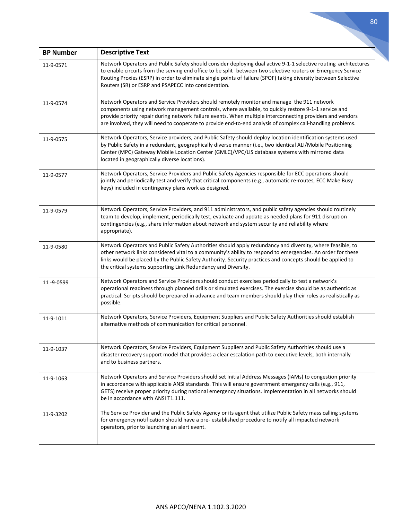| <b>BP Number</b> | <b>Descriptive Text</b>                                                                                                                                                                                                                                                                                                                                                                                                        |
|------------------|--------------------------------------------------------------------------------------------------------------------------------------------------------------------------------------------------------------------------------------------------------------------------------------------------------------------------------------------------------------------------------------------------------------------------------|
| 11-9-0571        | Network Operators and Public Safety should consider deploying dual active 9-1-1 selective routing architectures<br>to enable circuits from the serving end office to be split between two selective routers or Emergency Service<br>Routing Proxies (ESRP) in order to eliminate single points of failure (SPOF) taking diversity between Selective<br>Routers (SR) or ESRP and PSAPECC into consideration.                    |
| 11-9-0574        | Network Operators and Service Providers should remotely monitor and manage the 911 network<br>components using network management controls, where available, to quickly restore 9-1-1 service and<br>provide priority repair during network failure events. When multiple interconnecting providers and vendors<br>are involved, they will need to cooperate to provide end-to-end analysis of complex call-handling problems. |
| 11-9-0575        | Network Operators, Service providers, and Public Safety should deploy location identification systems used<br>by Public Safety in a redundant, geographically diverse manner (i.e., two identical ALI/Mobile Positioning<br>Center (MPC) Gateway Mobile Location Center (GMLC)/VPC/LIS database systems with mirrored data<br>located in geographically diverse locations).                                                    |
| 11-9-0577        | Network Operators, Service Providers and Public Safety Agencies responsible for ECC operations should<br>jointly and periodically test and verify that critical components (e.g., automatic re-routes, ECC Make Busy<br>keys) included in contingency plans work as designed.                                                                                                                                                  |
| 11-9-0579        | Network Operators, Service Providers, and 911 administrators, and public safety agencies should routinely<br>team to develop, implement, periodically test, evaluate and update as needed plans for 911 disruption<br>contingencies (e.g., share information about network and system security and reliability where<br>appropriate).                                                                                          |
| 11-9-0580        | Network Operators and Public Safety Authorities should apply redundancy and diversity, where feasible, to<br>other network links considered vital to a community's ability to respond to emergencies. An order for these<br>links would be placed by the Public Safety Authority. Security practices and concepts should be applied to<br>the critical systems supporting Link Redundancy and Diversity.                       |
| 11-9-0599        | Network Operators and Service Providers should conduct exercises periodically to test a network's<br>operational readiness through planned drills or simulated exercises. The exercise should be as authentic as<br>practical. Scripts should be prepared in advance and team members should play their roles as realistically as<br>possible.                                                                                 |
| 11-9-1011        | Network Operators, Service Providers, Equipment Suppliers and Public Safety Authorities should establish<br>alternative methods of communication for critical personnel.                                                                                                                                                                                                                                                       |
| 11-9-1037        | Network Operators, Service Providers, Equipment Suppliers and Public Safety Authorities should use a<br>disaster recovery support model that provides a clear escalation path to executive levels, both internally<br>and to business partners.                                                                                                                                                                                |
| 11-9-1063        | Network Operators and Service Providers should set Initial Address Messages (IAMs) to congestion priority<br>in accordance with applicable ANSI standards. This will ensure government emergency calls (e.g., 911,<br>GETS) receive proper priority during national emergency situations. Implementation in all networks should<br>be in accordance with ANSI T1.111.                                                          |
| 11-9-3202        | The Service Provider and the Public Safety Agency or its agent that utilize Public Safety mass calling systems<br>for emergency notification should have a pre- established procedure to notify all impacted network<br>operators, prior to launching an alert event.                                                                                                                                                          |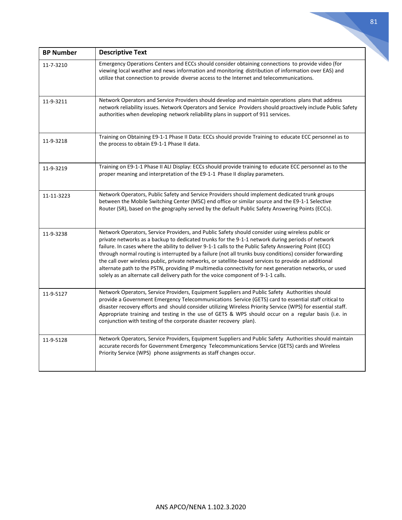| <b>BP Number</b> | <b>Descriptive Text</b>                                                                                                                                                                                                                                                                                                                                                                                                                                                                                                                                                                                                                                                                                                          |
|------------------|----------------------------------------------------------------------------------------------------------------------------------------------------------------------------------------------------------------------------------------------------------------------------------------------------------------------------------------------------------------------------------------------------------------------------------------------------------------------------------------------------------------------------------------------------------------------------------------------------------------------------------------------------------------------------------------------------------------------------------|
| 11-7-3210        | Emergency Operations Centers and ECCs should consider obtaining connections to provide video (for<br>viewing local weather and news information and monitoring distribution of information over EAS) and<br>utilize that connection to provide diverse access to the Internet and telecommunications.                                                                                                                                                                                                                                                                                                                                                                                                                            |
| 11-9-3211        | Network Operators and Service Providers should develop and maintain operations plans that address<br>network reliability issues. Network Operators and Service Providers should proactively include Public Safety<br>authorities when developing network reliability plans in support of 911 services.                                                                                                                                                                                                                                                                                                                                                                                                                           |
| 11-9-3218        | Training on Obtaining E9-1-1 Phase II Data: ECCs should provide Training to educate ECC personnel as to<br>the process to obtain E9-1-1 Phase II data.                                                                                                                                                                                                                                                                                                                                                                                                                                                                                                                                                                           |
| 11-9-3219        | Training on E9-1-1 Phase II ALI Display: ECCs should provide training to educate ECC personnel as to the<br>proper meaning and interpretation of the E9-1-1 Phase II display parameters.                                                                                                                                                                                                                                                                                                                                                                                                                                                                                                                                         |
| 11-11-3223       | Network Operators, Public Safety and Service Providers should implement dedicated trunk groups<br>between the Mobile Switching Center (MSC) end office or similar source and the E9-1-1 Selective<br>Router (SR), based on the geography served by the default Public Safety Answering Points (ECCs).                                                                                                                                                                                                                                                                                                                                                                                                                            |
| 11-9-3238        | Network Operators, Service Providers, and Public Safety should consider using wireless public or<br>private networks as a backup to dedicated trunks for the 9-1-1 network during periods of network<br>failure. In cases where the ability to deliver 9-1-1 calls to the Public Safety Answering Point (ECC)<br>through normal routing is interrupted by a failure (not all trunks busy conditions) consider forwarding<br>the call over wireless public, private networks, or satellite-based services to provide an additional<br>alternate path to the PSTN, providing IP multimedia connectivity for next generation networks, or used<br>solely as an alternate call delivery path for the voice component of 9-1-1 calls. |
| 11-9-5127        | Network Operators, Service Providers, Equipment Suppliers and Public Safety Authorities should<br>provide a Government Emergency Telecommunications Service (GETS) card to essential staff critical to<br>disaster recovery efforts and should consider utilizing Wireless Priority Service (WPS) for essential staff.<br>Appropriate training and testing in the use of GETS & WPS should occur on a regular basis (i.e. in<br>conjunction with testing of the corporate disaster recovery plan).                                                                                                                                                                                                                               |
| 11-9-5128        | Network Operators, Service Providers, Equipment Suppliers and Public Safety Authorities should maintain<br>accurate records for Government Emergency Telecommunications Service (GETS) cards and Wireless<br>Priority Service (WPS) phone assignments as staff changes occur.                                                                                                                                                                                                                                                                                                                                                                                                                                                    |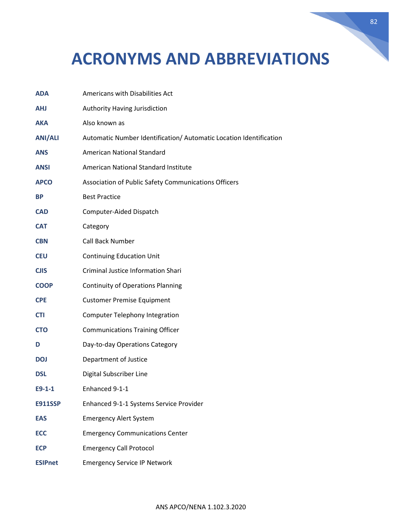# **ACRONYMS AND ABBREVIATIONS**

| <b>ADA</b>     | Americans with Disabilities Act                                    |
|----------------|--------------------------------------------------------------------|
| <b>AHJ</b>     | Authority Having Jurisdiction                                      |
| <b>AKA</b>     | Also known as                                                      |
| <b>ANI/ALI</b> | Automatic Number Identification/ Automatic Location Identification |
| <b>ANS</b>     | American National Standard                                         |
| <b>ANSI</b>    | American National Standard Institute                               |
| <b>APCO</b>    | Association of Public Safety Communications Officers               |
| <b>BP</b>      | <b>Best Practice</b>                                               |
| <b>CAD</b>     | Computer-Aided Dispatch                                            |
| <b>CAT</b>     | Category                                                           |
| <b>CBN</b>     | Call Back Number                                                   |
| <b>CEU</b>     | <b>Continuing Education Unit</b>                                   |
| <b>CJIS</b>    | <b>Criminal Justice Information Shari</b>                          |
| <b>COOP</b>    | <b>Continuity of Operations Planning</b>                           |
| <b>CPE</b>     | <b>Customer Premise Equipment</b>                                  |
| <b>CTI</b>     | <b>Computer Telephony Integration</b>                              |
| <b>CTO</b>     | <b>Communications Training Officer</b>                             |
| D              | Day-to-day Operations Category                                     |
| <b>DOJ</b>     | Department of Justice                                              |
| <b>DSL</b>     | Digital Subscriber Line                                            |
| $E9-1-1$       | Enhanced 9-1-1                                                     |
| <b>E911SSP</b> | Enhanced 9-1-1 Systems Service Provider                            |
| <b>EAS</b>     | <b>Emergency Alert System</b>                                      |
| <b>ECC</b>     | <b>Emergency Communications Center</b>                             |
| <b>ECP</b>     | <b>Emergency Call Protocol</b>                                     |
| <b>ESIPnet</b> | <b>Emergency Service IP Network</b>                                |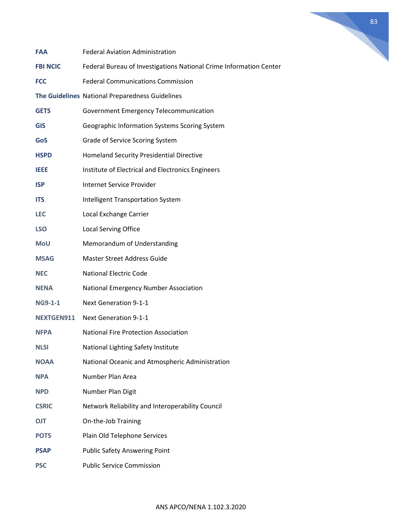

| <b>FAA</b>        | <b>Federal Aviation Administration</b>                             |
|-------------------|--------------------------------------------------------------------|
| <b>FBI NCIC</b>   | Federal Bureau of Investigations National Crime Information Center |
| <b>FCC</b>        | <b>Federal Communications Commission</b>                           |
|                   | The Guidelines National Preparedness Guidelines                    |
| <b>GETS</b>       | Government Emergency Telecommunication                             |
| <b>GIS</b>        | Geographic Information Systems Scoring System                      |
| GoS               | Grade of Service Scoring System                                    |
| <b>HSPD</b>       | <b>Homeland Security Presidential Directive</b>                    |
| <b>IEEE</b>       | Institute of Electrical and Electronics Engineers                  |
| <b>ISP</b>        | Internet Service Provider                                          |
| <b>ITS</b>        | <b>Intelligent Transportation System</b>                           |
| <b>LEC</b>        | Local Exchange Carrier                                             |
| <b>LSO</b>        | <b>Local Serving Office</b>                                        |
| <b>MoU</b>        | Memorandum of Understanding                                        |
| <b>MSAG</b>       | Master Street Address Guide                                        |
| <b>NEC</b>        | <b>National Electric Code</b>                                      |
| <b>NENA</b>       | <b>National Emergency Number Association</b>                       |
| <b>NG9-1-1</b>    | <b>Next Generation 9-1-1</b>                                       |
| <b>NEXTGEN911</b> | Next Generation 9-1-1                                              |
| NFPA              | <b>National Fire Protection Association</b>                        |
| <b>NLSI</b>       | National Lighting Safety Institute                                 |
| <b>NOAA</b>       | National Oceanic and Atmospheric Administration                    |
| <b>NPA</b>        | Number Plan Area                                                   |
| <b>NPD</b>        | Number Plan Digit                                                  |
| <b>CSRIC</b>      | Network Reliability and Interoperability Council                   |
| OJT               | On-the-Job Training                                                |
| <b>POTS</b>       | Plain Old Telephone Services                                       |
| <b>PSAP</b>       | <b>Public Safety Answering Point</b>                               |
| <b>PSC</b>        | <b>Public Service Commission</b>                                   |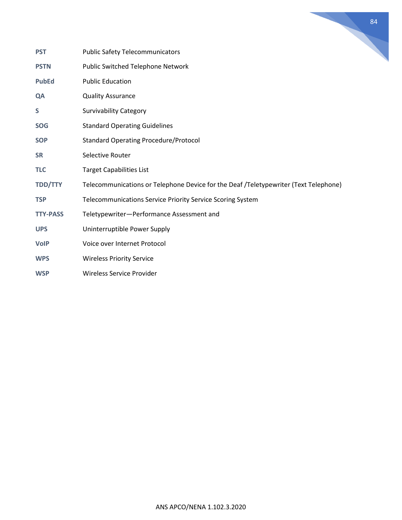

| <b>PST</b>      | <b>Public Safety Telecommunicators</b>                                               |
|-----------------|--------------------------------------------------------------------------------------|
| <b>PSTN</b>     | Public Switched Telephone Network                                                    |
| <b>PubEd</b>    | <b>Public Education</b>                                                              |
| QA              | <b>Quality Assurance</b>                                                             |
| S               | <b>Survivability Category</b>                                                        |
| <b>SOG</b>      | <b>Standard Operating Guidelines</b>                                                 |
| <b>SOP</b>      | <b>Standard Operating Procedure/Protocol</b>                                         |
| <b>SR</b>       | Selective Router                                                                     |
| <b>TLC</b>      | <b>Target Capabilities List</b>                                                      |
| <b>TDD/TTY</b>  | Telecommunications or Telephone Device for the Deaf /Teletypewriter (Text Telephone) |
| <b>TSP</b>      | Telecommunications Service Priority Service Scoring System                           |
| <b>TTY-PASS</b> | Teletypewriter-Performance Assessment and                                            |
| <b>UPS</b>      | Uninterruptible Power Supply                                                         |
| <b>VolP</b>     | Voice over Internet Protocol                                                         |
| <b>WPS</b>      | <b>Wireless Priority Service</b>                                                     |
| <b>WSP</b>      | Wireless Service Provider                                                            |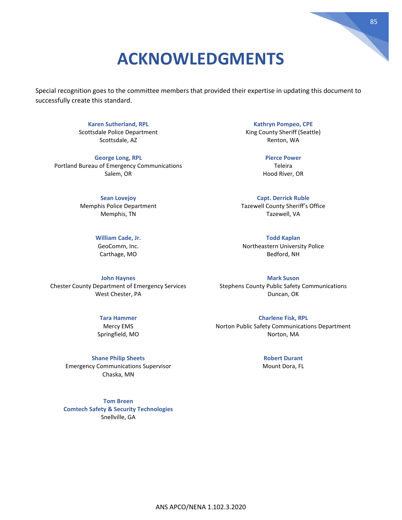# **ACKNOWLEDGMENTS**

Special recognition goes to the committee members that provided their expertise in updating this document to successfully create this standard.

**Karen Sutherland, RPL**

Scottsdale Police Department Scottsdale, AZ

**George Long, RPL**  Portland Bureau of Emergency Communications Salem, OR

**Sean Lovejoy** 

Memphis Police Department Memphis, TN

> **William Cade, Jr.** GeoComm, Inc. Carthage, MO

**John Haynes** Chester County Department of Emergency Services West Chester, PA

King County Sheriff (Seattle) Renton, WA

**Kathryn Pompeo, CPE**

**Pierce Power**  Teleira Hood River, OR

**Capt. Derrick Ruble** Tazewell County Sheriff's Office Tazewell, VA

**Todd Kaplan** Northeastern University Police Bedford, NH

**Mark Suson** Stephens County Public Safety Communications Duncan, OK

**Tara Hammer** Mercy EMS Springfield, MO

**Shane Philip Sheets**  Emergency Communications Supervisor Chaska, MN

**Tom Breen Comtech Safety & Security Technologies** Snellville, GA

**Charlene Fisk, RPL**  Norton Public Safety Communications Department Norton, MA

> **Robert Durant**  Mount Dora, FL

85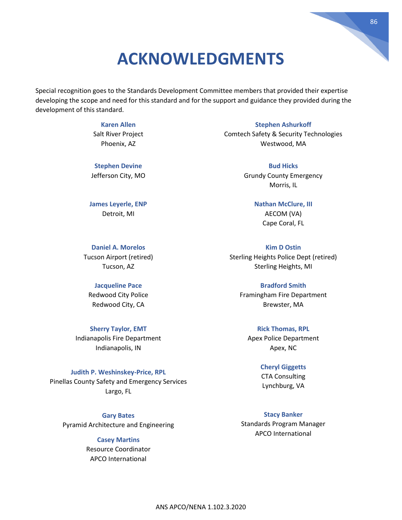# **ACKNOWLEDGMENTS**

Special recognition goes to the Standards Development Committee members that provided their expertise developing the scope and need for this standard and for the support and guidance they provided during the development of this standard.

#### **Karen Allen**

Salt River Project Phoenix, AZ

**Stephen Devine**  Jefferson City, MO

**James Leyerle, ENP** Detroit, MI

#### **Stephen Ashurkoff**

Comtech Safety & Security Technologies Westwood, MA

> **Bud Hicks**  Grundy County Emergency Morris, IL

> > **Nathan McClure, III** AECOM (VA) Cape Coral, FL

**Kim D Ostin** Sterling Heights Police Dept (retired) Sterling Heights, MI

**Bradford Smith** Framingham Fire Department Brewster, MA

**Rick Thomas, RPL** Apex Police Department Apex, NC

### **Cheryl Giggetts**

CTA Consulting Lynchburg, VA

**Stacy Banker** Standards Program Manager APCO International

**Daniel A. Morelos** Tucson Airport (retired) Tucson, AZ

#### **Jacqueline Pace**

Redwood City Police Redwood City, CA

**Sherry Taylor, EMT** Indianapolis Fire Department Indianapolis, IN

#### **Judith P. Weshinskey-Price, RPL**

Pinellas County Safety and Emergency Services Largo, FL

**Gary Bates** Pyramid Architecture and Engineering

> **Casey Martins** Resource Coordinator APCO International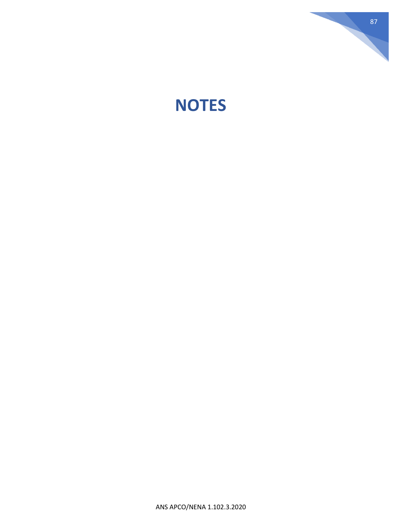

# **NOTES**